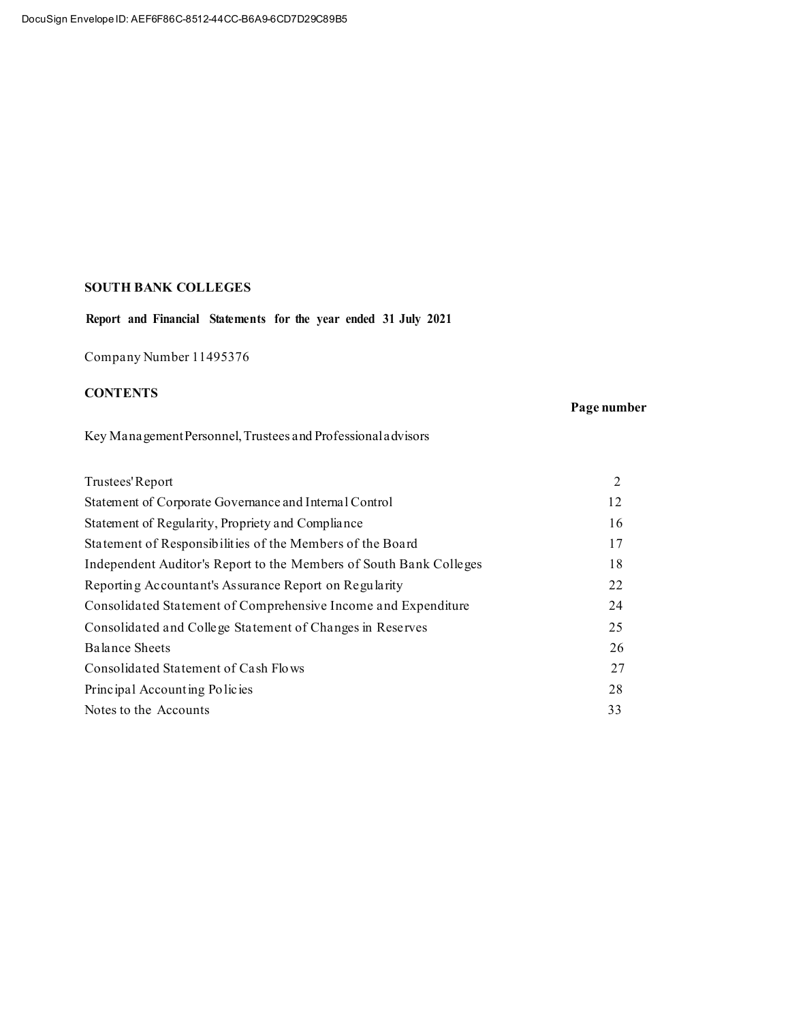KPMG Note: Consistent with version attached at 4.7.3.0060 where final checks performed.

# **SOUTH BANK COLLEGES**

**Report and Financial Statements for the year ended 31 July 2021**

Company Number 11495376

# **CONTENTS**

# **Page number**

Key ManagementPersonnel,Trustees and Professionaladvisors

| Trustees' Report                                                   | 2  |
|--------------------------------------------------------------------|----|
| Statement of Corporate Governance and Internal Control             | 12 |
| Statement of Regularity, Propriety and Compliance                  | 16 |
| Statement of Responsibilities of the Members of the Board          | 17 |
| Independent Auditor's Report to the Members of South Bank Colleges | 18 |
| Reporting Accountant's Assurance Report on Regularity              | 22 |
| Consolidated Statement of Comprehensive Income and Expenditure     | 24 |
| Consolidated and College Statement of Changes in Reserves          | 25 |
| Balance Sheets                                                     | 26 |
| Consolidated Statement of Cash Flows                               | 27 |
| Principal Accounting Policies                                      | 28 |
| Notes to the Accounts                                              | 33 |
|                                                                    |    |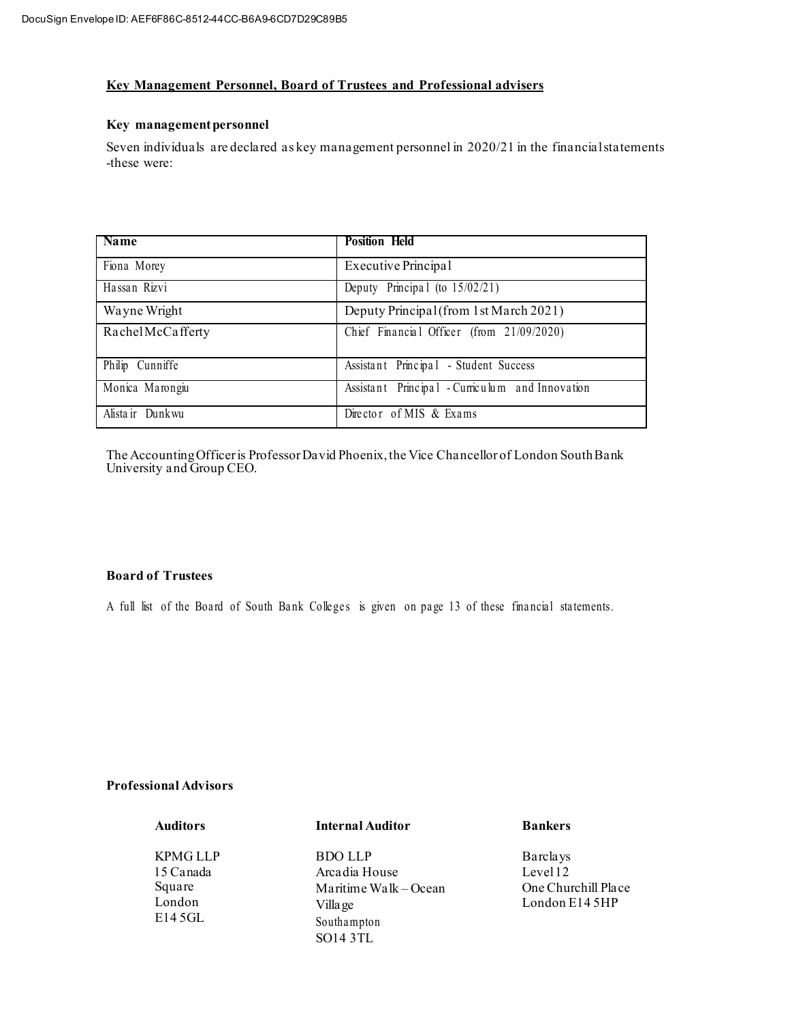### **Key Management Personnel, Board of Trustees and Professional advisers**

## **Key managementpersonnel**

Seven individuals are declared as key management personnel in 2020/21 in the financialstatements -these were:

| <b>Name</b>       | <b>Position Held</b>                            |
|-------------------|-------------------------------------------------|
| Fiona Morey       | <b>Executive Principal</b>                      |
| Hassan Rizvi      | Deputy Principal (to 15/02/21)                  |
| Wayne Wright      | Deputy Principal (from 1st March 2021)          |
| Rachel McCafferty | Chief Financial Officer (from 21/09/2020)       |
| Philip Cunniffe   | Assistant Principal - Student Success           |
| Monica Marongiu   | Assistant Principal - Curriculum and Innovation |
| Alista ir Dunkwu  | Director of MIS & Exams                         |

The Accounting Officer is Professor David Phoenix, the Vice Chancellor of London South Bank University and Group CEO.

# **Board of Trustees**

A full list of the Board of South Bank Colleges is given on page 13 of these financial statements.

## **Professional Advisors**

| <b>Auditors</b>                                            | <b>Internal Auditor</b>                                                                                | <b>Bankers</b>                                                       |
|------------------------------------------------------------|--------------------------------------------------------------------------------------------------------|----------------------------------------------------------------------|
| <b>KPMGLLP</b><br>15 Canada<br>Square<br>London<br>E14 5GL | <b>BDO LLP</b><br>Arcadia House<br>Maritime Walk – Ocean<br>Villa ge<br>Southampton<br><b>SO14 3TL</b> | <b>Barclays</b><br>Level 12<br>One Churchill Place<br>London E14 5HP |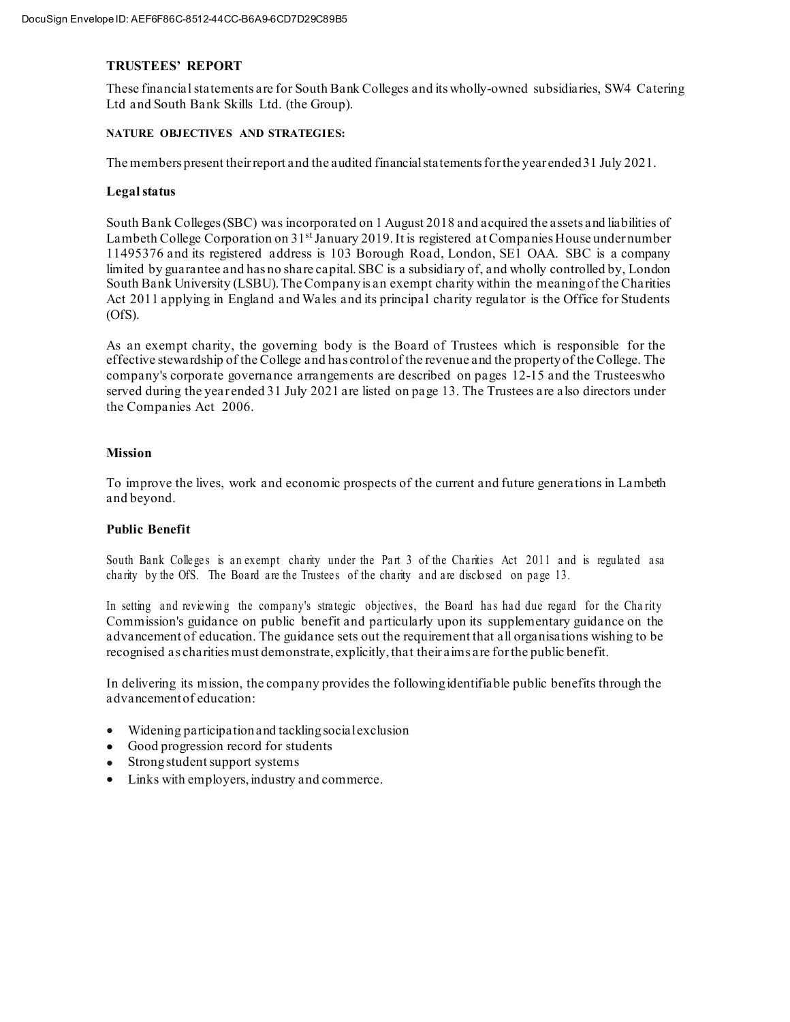## <span id="page-2-0"></span>**TRUSTEES' REPORT**

These financial statements are for South Bank Colleges and its wholly-owned subsidiaries, SW4 Catering Ltd and South Bank Skills Ltd. (the Group).

### **NATURE OBJECTIVES AND STRATEGIES:**

The members present their report and the audited financial statements for the year ended 31 July 2021.

## **Legalstatus**

South Bank Colleges (SBC) was incorporated on 1 August 2018 and acquired the assets and liabilities of Lambeth College Corporation on 31st January 2019. It is registered at Companies House under number 11495376 and its registered address is 103 Borough Road, London, SE1 OAA. SBC is a company limited by guarantee and has no share capital. SBC is a subsidiary of, and wholly controlled by, London South Bank University (LSBU). The Company is an exempt charity within the meaningof the Charities Act 2011 applying in England and Wales and its principal charity regulator is the Office for Students (OfS).

As an exempt charity, the governing body is the Board of Trustees which is responsible for the effective stewardship of the College and has control of the revenue and the property of the College. The company's corporate governance arrangements are described on pages 12-15 and the Trusteeswho served during the year ended 31 July 2021 are listed on page 13. The Trustees are also directors under the Companies Act 2006.

### **Mission**

To improve the lives, work and economic prospects of the current and future generations in Lambeth and beyond.

### **Public Benefit**

South Bank Colleges is an exempt charity under the Part 3 of the Charities Act 2011 and is regulated asa charity by the OfS. The Board are the Trustees of the charity and are disclosed on page 13.

In setting and reviewing the company's strategic objectives, the Board has had due regard for the Charity Commission's guidance on public benefit and particularly upon its supplementary guidance on the advancement of education. The guidance sets out the requirement that all organisations wishing to be recognised as charities must demonstrate, explicitly, that their aims are for the public benefit.

In delivering its mission, the company provides the followingidentifiable public benefits through the advancementof education:

- Widening participationand tacklingsocialexclusion
- Good progression record for students
- Strong student support systems
- Links with employers, industry and commerce.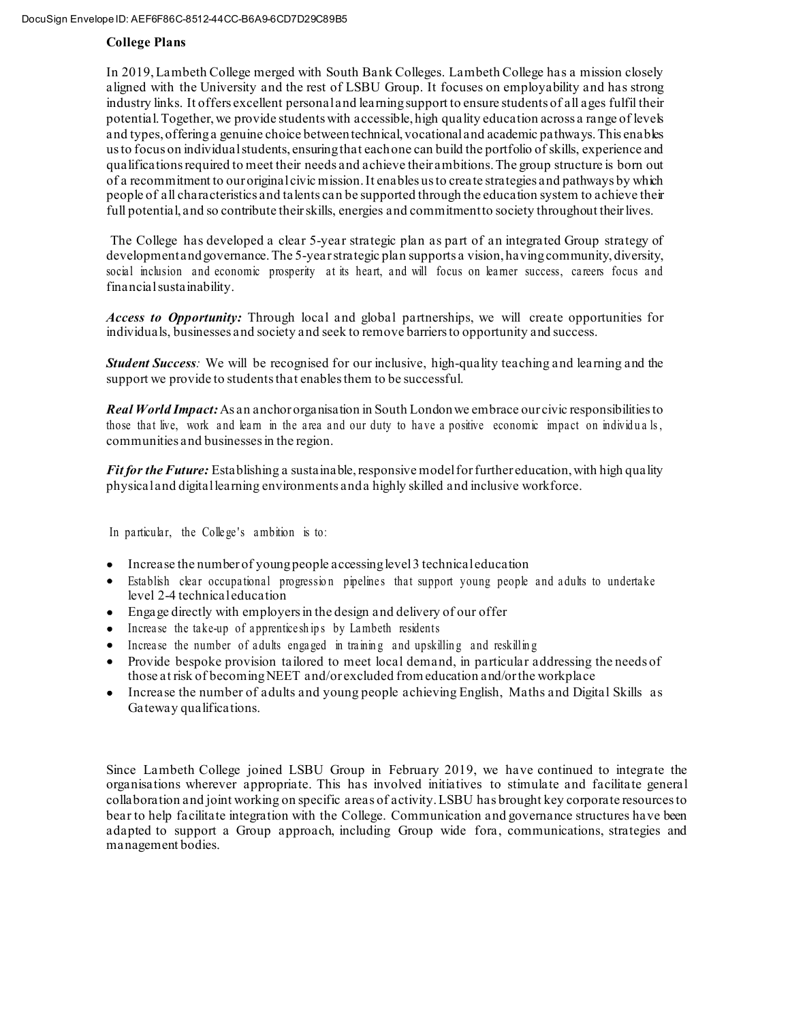## **College Plans**

In 2019, Lambeth College merged with South Bank Colleges. Lambeth College has a mission closely aligned with the University and the rest of LSBU Group. It focuses on employability and has strong industry links. It offers excellent personaland learningsupport to ensure students of all ages fulfil their potential.Together,we provide students with accessible, high quality education across a range of levels and types, offeringa genuine choice betweentechnical, vocationaland academic pathways.This enables usto focus on individualstudents, ensuringthat eachone can build the portfolio of skills, experience and qualifications required to meet their needs and achieve their ambitions. The group structure is born out of a recommitment to our originalcivic mission.It enables usto create strategies and pathways by which people of all characteristics and talents can be supported through the education system to achieve their full potential, and so contribute their skills, energies and commitment to society throughout their lives.

The College has developed a clear 5-year strategic plan as part of an integrated Group strategy of developmentandgovernance.The 5-yearstrategic plan supports a vision, havingcommunity, diversity, social inclusion and economic prosperity at its heart, and will focus on learner success, careers focus and financialsustainability.

*Access to Opportunity:* Through local and global partnerships, we will create opportunities for individuals, businesses and society and seek to remove barriersto opportunity and success.

*Student Success:* We will be recognised for our inclusive, high-quality teaching and learning and the support we provide to students that enables them to be successful.

*Real World Impact:*As an anchor organisation in South Londonwe embrace our civic responsibilitiesto those that live, work and learn in the area and our duty to have a positive economic impact on individuals, communities and businesses in the region.

*Fit for the Future:* Establishing a sustainable, responsive model for further education, with high quality physicaland digitallearning environments anda highly skilled and inclusive workforce.

In particular, the College's ambition is to:

- Increase the number of youngpeople accessinglevel3 technicaleducation
- Establish clear occupational progression pipelines that support young people and adults to undertake level 2-4 technicaleducation
- Engage directly with employersin the design and delivery of our offer
- Increase the take-up of apprentice ships by Lambeth residents  $\bullet$
- Increase the number of adults engaged in training and upskilling and reskilling
- Provide bespoke provision tailored to meet local demand, in particular addressing the needs of those at risk of becomingNEET and/or excluded fromeducation and/orthe workplace
- Increase the number of adults and young people achieving English, Maths and Digital Skills as Gateway qualifications.

Since Lambeth College joined LSBU Group in February 2019, we have continued to integrate the organisations wherever appropriate. This has involved initiatives to stimulate and facilitate general collaboration and joint working on specific areas of activity. LSBU has brought key corporate resources to bear to help facilitate integration with the College. Communication and governance structures have been adapted to support a Group approach, including Group wide fora, communications, strategies and management bodies.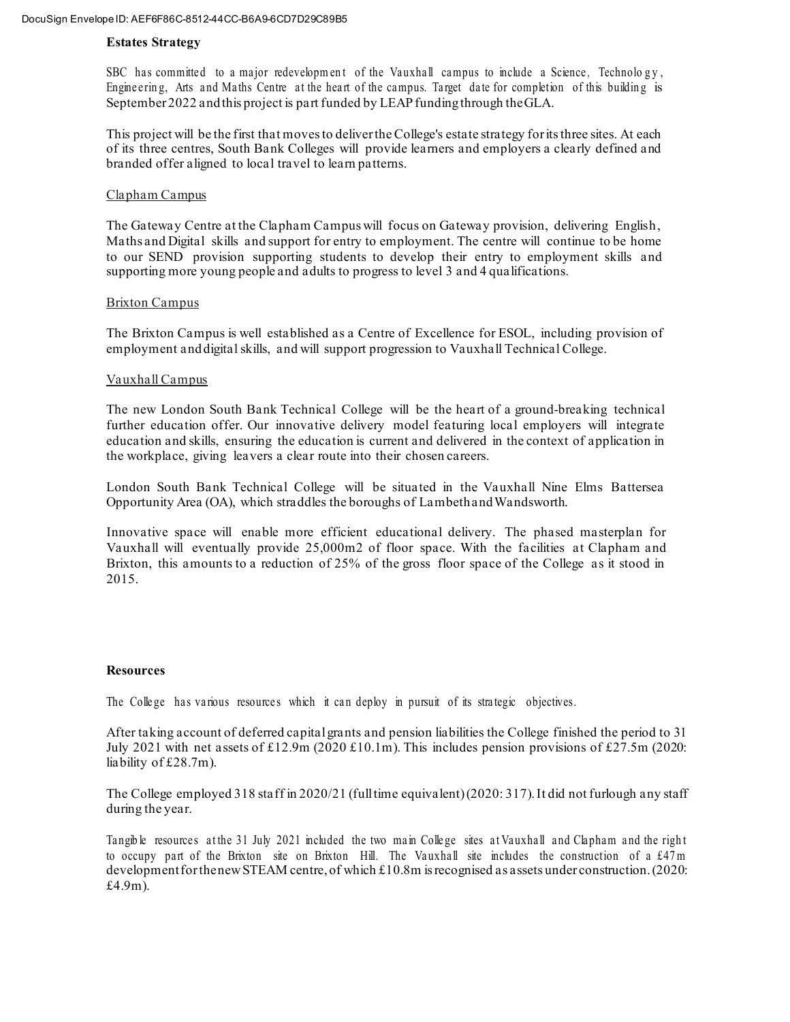### **Estates Strategy**

SBC has committed to a major redevelopment of the Vauxhall campus to include a Science, Technology, Engine ering, Arts and Maths Centre at the heart of the campus. Target date for completion of this building is September 2022 and this project is part funded by LEAP funding through the GLA.

This project will be the first that moves to deliver the College's estate strategy for its three sites. At each of its three centres, South Bank Colleges will provide learners and employers a clearly defined and branded offer aligned to local travel to learn patterns.

### Clapham Campus

The Gateway Centre at the Clapham Campus will focus on Gateway provision, delivering English, Maths and Digital skills and support for entry to employment. The centre will continue to be home to our SEND provision supporting students to develop their entry to employment skills and supporting more young people and adults to progress to level 3 and 4 qualifications.

### Brixton Campus

The Brixton Campus is well established as a Centre of Excellence for ESOL, including provision of employment anddigitalskills, and will support progression to Vauxhall Technical College.

### Vauxhall Campus

The new London South Bank Technical College will be the heart of a ground-breaking technical further education offer. Our innovative delivery model featuring local employers will integrate education and skills, ensuring the education is current and delivered in the context of application in the workplace, giving leavers a clear route into their chosen careers.

London South Bank Technical College will be situated in the Vauxhall Nine Elms Battersea Opportunity Area (OA), which straddles the boroughs of LambethandWandsworth.

Innovative space will enable more efficient educational delivery. The phased masterplan for Vauxhall will eventually provide 25,000m2 of floor space. With the facilities at Clapham and Brixton, this amounts to a reduction of 25% of the gross floor space of the College as it stood in 2015.

### **Resources**

The College has various resources which it can deploy in pursuit of its strategic objectives.

After taking account of deferred capital grants and pension liabilities the College finished the period to 31 July 2021 with net assets of £12.9m (2020 £10.1m). This includes pension provisions of £27.5m (2020: liability of £28.7m).

The College employed 318 staff in 2020/21 (full time equivalent) (2020: 317). It did not furlough any staff during the year.

Tangible resources at the 31 July 2021 included the two main College sites at Vauxhall and Clapham and the right to occupy part of the Brixton site on Brixton Hill. The Vauxhall site includes the construction of a  $\text{\pounds}47\text{m}$ development for the new STEAM centre, of which £10.8m is recognised as assets under construction. (2020: £4.9m).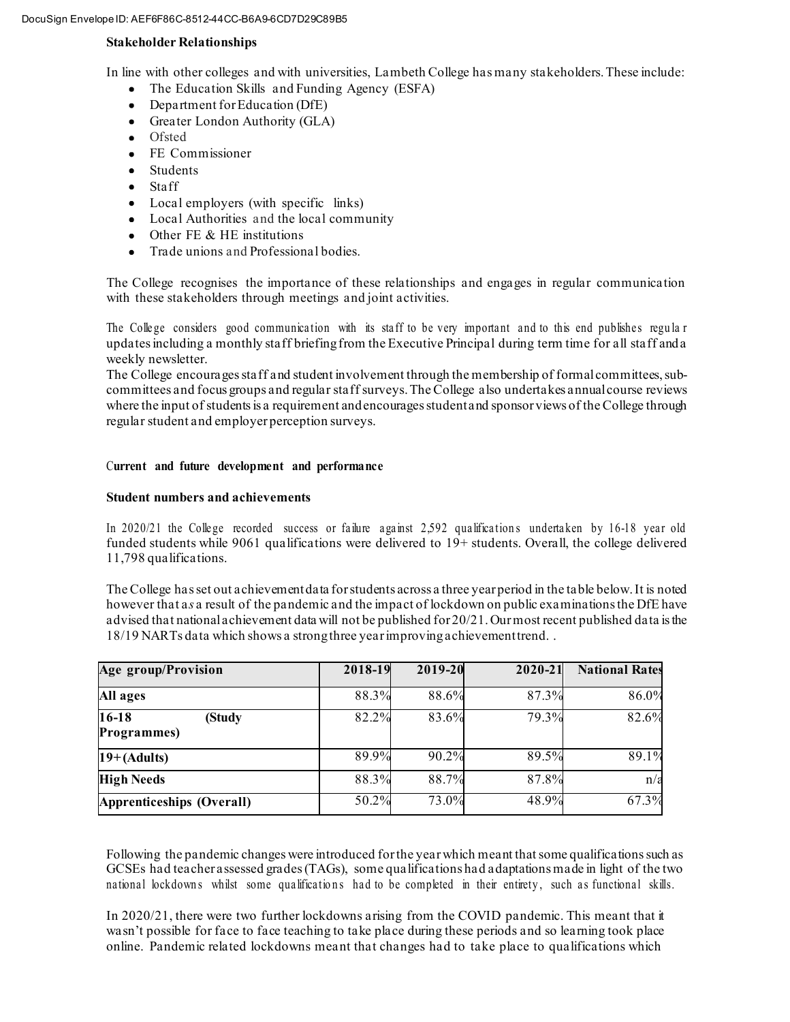### **Stakeholder Relationships**

In line with other colleges and with universities, Lambeth College hasmany stakeholders.These include:

- The Education Skills and Funding Agency (ESFA)
- Department forEducation (DfE)
- Greater London Authority (GLA)
- Ofsted
- FE Commissioner
- Students
- **Staff**
- Local employers (with specific links)
- Local Authorities and the local community
- Other FE & HE institutions
- Trade unions and Professional bodies.

The College recognises the importance of these relationships and engages in regular communication with these stakeholders through meetings and joint activities.

The College considers good communication with its staff to be very important and to this end publishes regular updates including a monthly staff briefing from the Executive Principal during term time for all staff and a weekly newsletter.

The College encourages staff and student involvement through the membership of formal committees, subcommittees and focus groups and regular staff surveys. The College also undertakes annual course reviews where the input of students is a requirement and encourages student and sponsor views of the College through regular student and employer perception surveys.

### C**urrent and future development and performance**

### **Student numbers and achievements**

In  $2020/21$  the College recorded success or failure against  $2.592$  qualifications undertaken by 16-18 year old funded students while 9061 qualifications were delivered to 19+ students. Overall, the college delivered 11,798 qualifications.

The College hasset out achievementdata forstudents across a three year period in the table below.It is noted however that a*s* a result of the pandemic and the impact of lockdown on public examinations the DfE have advised that nationalachievement data will not be published for 20/21.Ourmost recent published data isthe 18/19 NARTs data which shows a strongthree yearimprovingachievementtrend. .

| <b>Age group/Provision</b>         | 2018-19 | 2019-20 | $2020 - 21$ | <b>National Rates</b> |
|------------------------------------|---------|---------|-------------|-----------------------|
| All ages                           | 88.3%   | 88.6%   | 87.3%       | 86.0%                 |
| $16 - 18$<br>(Study<br>Programmes) | 82.2%   | 83.6%   | 79.3%       | 82.6%                 |
| $19+$ (Adults)                     | 89.9%   | 90.2%   | 89.5%       | 89.1%                 |
| <b>High Needs</b>                  | 88.3%   | 88.7%   | 87.8%       | n/a                   |
| Apprenticeships (Overall)          | 50.2%   | 73.0%   | 48.9%       | 67.3%                 |

Following the pandemic changes were introduced for the year which meant that some qualifications such as GCSEs had teacher assessed grades (TAGs), some qualifications had adaptations made in light of the two national lockdowns whilst some qualifications had to be completed in their entirety, such as functional skills.

In 2020/21, there were two further lockdowns arising from the COVID pandemic. This meant that it wasn't possible for face to face teaching to take place during these periods and so learning took place online. Pandemic related lockdowns meant that changes had to take place to qualifications which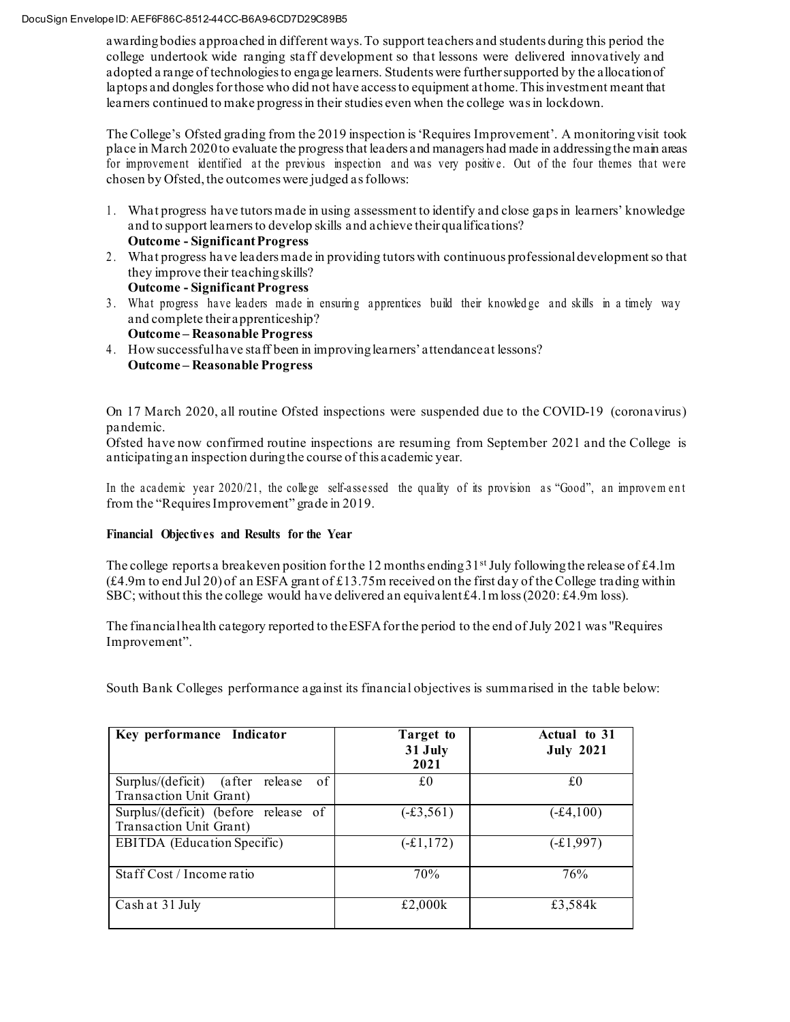### DocuSign Envelope ID: AEF6F86C-8512-44CC-B6A9-6CD7D29C89B5

awarding bodies approached in different ways. To support teachers and students during this period the college undertook wide ranging staff development so that lessons were delivered innovatively and adopted a range of technologiesto engage learners. Students were furthersupported by the allocationof laptops and dongles for those who did not have access to equipment at home. This investment meant that learners continued to make progressin their studies even when the college wasin lockdown.

The College's Ofsted grading from the 2019 inspection is'Requires Improvement'. A monitoringvisit took place in March 2020to evaluate the progressthat leaders and managers had made in addressingthe main areas for improvement identified at the previous inspection and was very positive. Out of the four themes that were chosen by Ofsted, the outcomes were judged as follows:

- 1 . What progress have tutorsmade in using assessment to identify and close gapsin learners' knowledge and to support learners to develop skills and achieve their qualifications? **Outcome - SignificantProgress**
- 2 . What progress have leadersmade in providing tutors with continuous professionaldevelopment so that they improve their teachingskills? **Outcome - SignificantProgress**
- 3. What progress have leaders made in ensuring apprentices build their knowledge and skills in a timely way and complete their apprenticeship?

**Outcome – Reasonable Progress**

4 . Howsuccessfulhave staff been in improvinglearners' attendanceat lessons? **Outcome – Reasonable Progress**

On 17 March 2020, all routine Ofsted inspections were suspended due to the COVID-19 (coronavirus) pandemic.

Ofsted have now confirmed routine inspections are resuming from September 2021 and the College is anticipatingan inspection duringthe course of this academic year.

In the a cademic year 2020/21, the college self-assessed the quality of its provision as "Good", an improvement from the "RequiresImprovement" grade in 2019.

## **Financial Objectives and Results for the Year**

The college reports a breakeven position for the 12 months ending 31st July following the release of £4.1m  $(£4.9m)$  to end Jul 20) of an ESFA grant of £13.75m received on the first day of the College trading within SBC; without this the college would have delivered an equivalent  $£4.1m$  loss (2020:  $£4.9m$  loss).

The financialhealth category reported to theESFAforthe period to the end of July 2021 was "Requires Improvement".

South Bank Colleges performance against its financial objectives is summarised in the table below:

| Key performance Indicator                                       | Target to<br>31 July<br>2021 | Actual to 31<br><b>July 2021</b> |
|-----------------------------------------------------------------|------------------------------|----------------------------------|
| Surplus/(deficit) (after release of<br>Transaction Unit Grant)  | £0                           | £0                               |
| Surplus/(deficit) (before release of<br>Transaction Unit Grant) | $(-13,561)$                  | $(-£4,100)$                      |
| <b>EBITDA</b> (Education Specific)                              | $(-1,172)$                   | (£1,997)                         |
| Staff Cost / Income ratio                                       | 70%                          | 76%                              |
| Cash at 31 July                                                 | £2,000 $k$                   | £3,584k                          |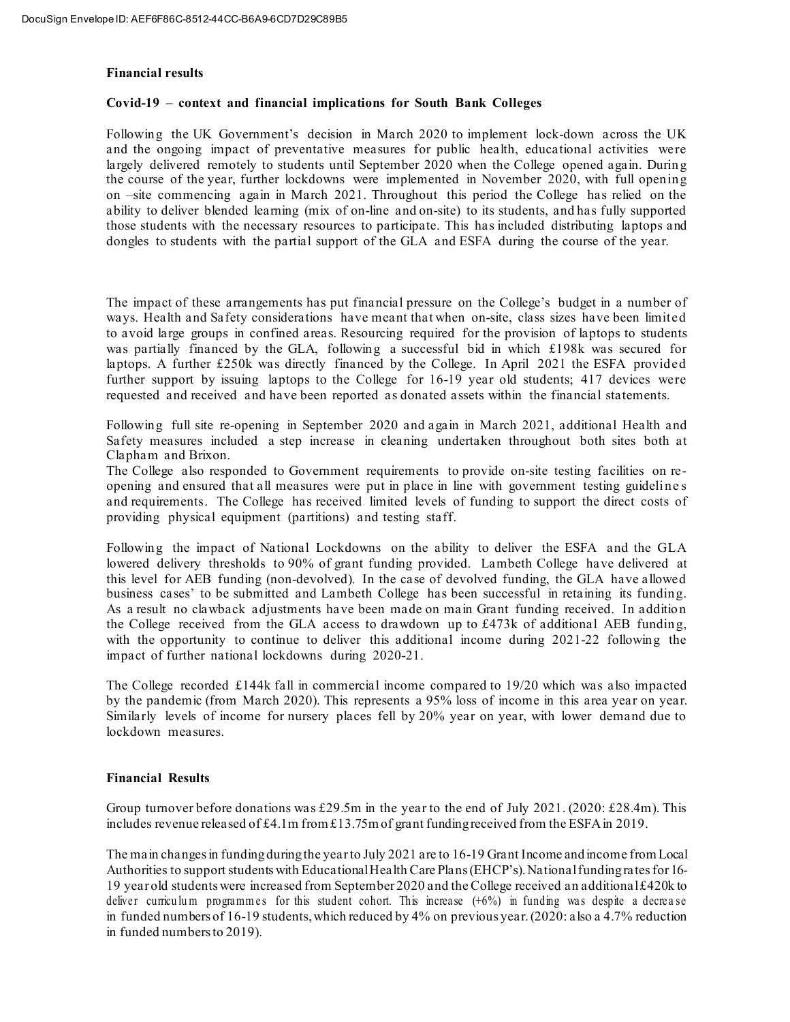### **Financial results**

### **Covid-19 – context and financial implications for South Bank Colleges**

Following the UK Government's decision in March 2020 to implement lock-down across the UK and the ongoing impact of preventative measures for public health, educational activities were largely delivered remotely to students until September 2020 when the College opened again. During the course of the year, further lockdowns were implemented in November 2020, with full opening on –site commencing again in March 2021. Throughout this period the College has relied on the ability to deliver blended learning (mix of on-line and on-site) to its students, and has fully supported those students with the necessary resources to participate. This has included distributing laptops and dongles to students with the partial support of the GLA and ESFA during the course of the year.

The impact of these arrangements has put financial pressure on the College's budget in a number of ways. Health and Safety considerations have meant that when on-site, class sizes have been limited to avoid large groups in confined areas. Resourcing required for the provision of laptops to students was partially financed by the GLA, following a successful bid in which £198k was secured for laptops. A further £250k was directly financed by the College. In April 2021 the ESFA provided further support by issuing laptops to the College for 16-19 year old students; 417 devices were requested and received and have been reported as donated assets within the financial statements.

Following full site re-opening in September 2020 and again in March 2021, additional Health and Safety measures included a step increase in cleaning undertaken throughout both sites both at Clapham and Brixon.

The College also responded to Government requirements to provide on-site testing facilities on reopening and ensured that all measures were put in place in line with government testing guideline s and requirements. The College has received limited levels of funding to support the direct costs of providing physical equipment (partitions) and testing staff.

Following the impact of National Lockdowns on the ability to deliver the ESFA and the GLA lowered delivery thresholds to 90% of grant funding provided. Lambeth College have delivered at this level for AEB funding (non-devolved). In the case of devolved funding, the GLA have allowed business cases' to be submitted and Lambeth College has been successful in retaining its funding. As a result no clawback adjustments have been made on main Grant funding received. In addition the College received from the GLA access to drawdown up to  $\text{\pounds}473k$  of additional AEB funding, with the opportunity to continue to deliver this additional income during 2021-22 following the impact of further national lockdowns during 2020-21.

The College recorded £144k fall in commercial income compared to 19/20 which was also impacted by the pandemic (from March 2020). This represents a 95% loss of income in this area year on year. Similarly levels of income for nursery places fell by 20% year on year, with lower demand due to lockdown measures.

### **Financial Results**

Group turnover before donations was £29.5m in the year to the end of July 2021. (2020: £28.4m). This includes revenue released of £4.1m from £13.75m of grant funding received from the ESFA in 2019.

The main changesin fundingduringthe yearto July 2021 are to 16-19 Grant Income andincome fromLocal Authorities to support students with Educational Health Care Plans (EHCP's). National funding rates for 16-19 year old students were increased from September 2020 and the College received an additional £420k to deliver curriculum programmes for this student cohort. This increase  $(+6%)$  in funding was despite a decrease in funded numbers of 16-19 students, which reduced by 4% on previous year. (2020: also a 4.7% reduction in funded numbers to 2019).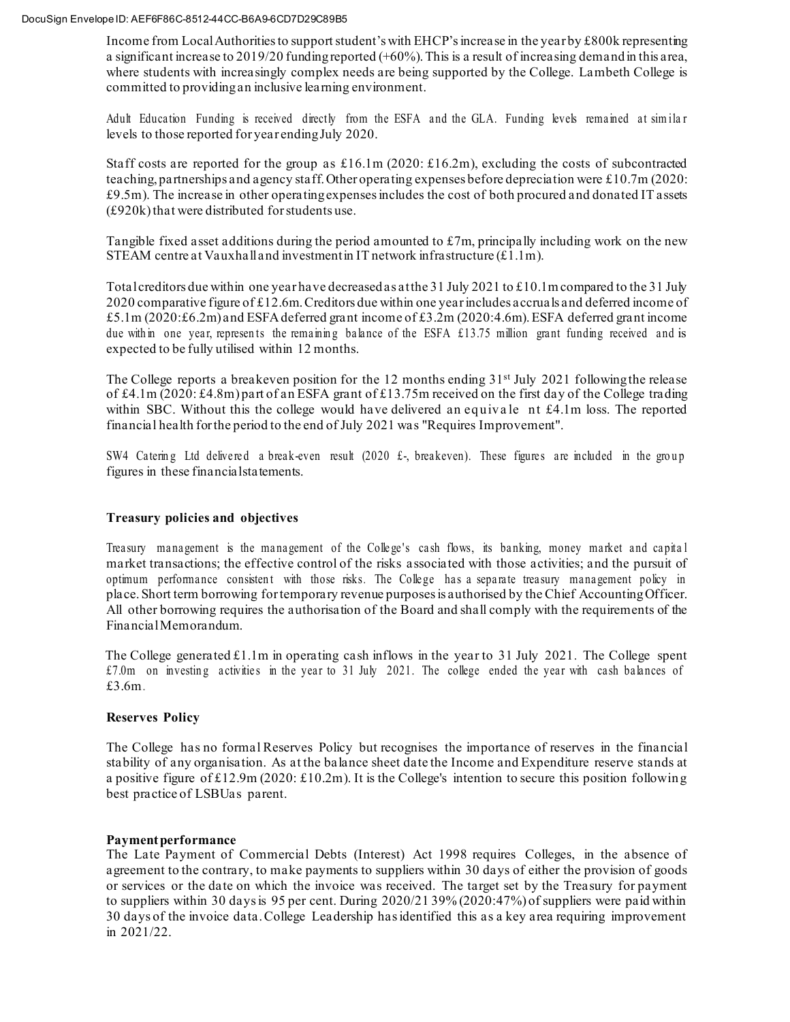#### DocuSign Envelope ID: AEF6F86C-8512-44CC-B6A9-6CD7D29C89B5

Income from Local Authorities to support student's with EHCP's increase in the year by £800k representing a significant increase to 2019/20 fundingreported (+60%).This is a result of increasing demandin this area, where students with increasingly complex needs are being supported by the College. Lambeth College is committed to providingan inclusive learning environment.

Adult Education Funding is received directly from the ESFA and the GLA. Funding levels remained at similar levels to those reported for year ending July 2020.

Staff costs are reported for the group as £16.1m (2020: £16.2m), excluding the costs of subcontracted teaching, partnerships and agency staff.Other operating expenses before depreciation were £10.7m (2020: £9.5m). The increase in other operating expenses includes the cost of both procured and donated IT assets  $(E920k)$  that were distributed for students use.

Tangible fixed asset additions during the period amounted to  $\text{\textsterling}7m$ , principally including work on the new STEAM centre at Vauxhalland investment in IT network infrastructure  $(\text{\textsterling}1.1\text{m})$ .

Totalcreditors due within one year have decreasedas atthe 31 July 2021 to £10.1mcompared to the 31 July 2020 comparative figure of £12.6m.Creditors due within one yearincludes accruals and deferred income of £5.1m (2020:£6.2m) and ESFA deferred grant income of £3.2m (2020:4.6m). ESFA deferred grant income due with in one year, represents the remaining balance of the ESFA  $£13.75$  million grant funding received and is expected to be fully utilised within 12 months.

The College reports a breakeven position for the 12 months ending  $31<sup>st</sup>$  July 2021 following the release of £4.1m (2020: £4.8m) part of an ESFA grant of £13.75m received on the first day of the College trading within SBC. Without this the college would have delivered an equivale nt £4.1m loss. The reported financial health forthe period to the end of July 2021 was "Requires Improvement".

SW4 Catering Ltd delivered a break-even result (2020  $\pounds$ -, breakeven). These figures are included in the group figures in these financialstatements.

### **Treasury policies and objectives**

Treasury management is the management of the College's cash flows, its banking, money market and capital market transactions; the effective control of the risks associated with those activities; and the pursuit of optimum performance consistent with those risks. The College has a separate treasury management policy in place.Short term borrowing fortemporary revenue purposesis authorised by the Chief AccountingOfficer. All other borrowing requires the authorisation of the Board and shall comply with the requirements of the FinancialMemorandum.

The College generated £1.1m in operating cash inflows in the year to 31 July 2021. The College spent  $£7.0m$  on investing activities in the year to 31 July 2021. The college ended the year with cash balances of £3.6m.

### **Reserves Policy**

The College has no formal Reserves Policy but recognises the importance of reserves in the financial stability of any organisation. As at the balance sheet date the Income and Expenditure reserve stands at a positive figure of £12.9m (2020: £10.2m). It is the College's intention to secure this position following best practice of LSBUas parent.

### **Paymentperformance**

The Late Payment of Commercial Debts (Interest) Act 1998 requires Colleges, in the absence of agreement to the contrary, to make payments to suppliers within 30 days of either the provision of goods or services or the date on which the invoice was received. The target set by the Treasury for payment to suppliers within 30 days is 95 per cent. During 2020/21 39% (2020:47%) of suppliers were paid within 30 days of the invoice data.College Leadership hasidentified this as a key area requiring improvement in 2021/22.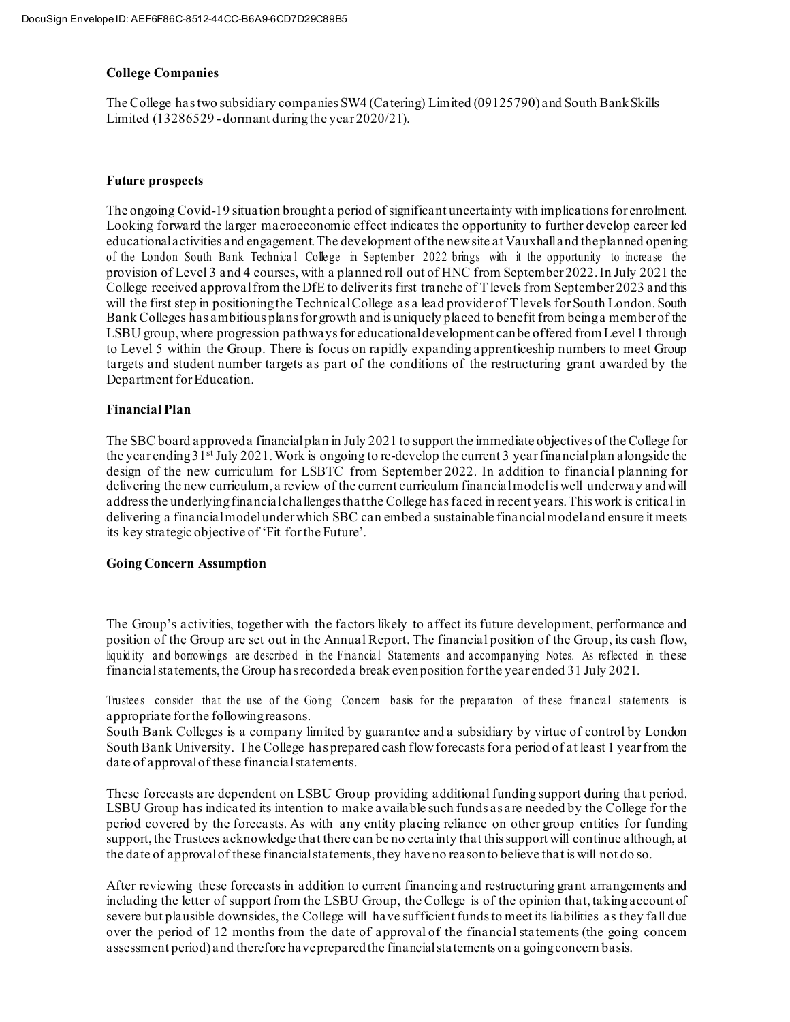### **College Companies**

The College hastwo subsidiary companies SW4 (Catering) Limited (09125790) and South BankSkills Limited (13286529 - dormant duringthe year 2020/21).

### **Future prospects**

The ongoing Covid-19 situation brought a period of significant uncertainty with implicationsfor enrolment. Looking forward the larger macroeconomic effect indicates the opportunity to further develop career led educationalactivities and engagement.The development ofthe newsite at Vauxhalland theplanned opening of the London South Bank Technical College in September 2022 brings with it the opportunity to increase the provision of Level 3 and 4 courses, with a planned roll out of HNC from September 2022. In July 2021 the College received approvalfrom the DfE to deliverits first tranche of T levels from September 2023 and this will the first step in positioningthe TechnicalCollege as a lead provider of T levels forSouth London.South Bank Colleges has ambitious plansfor growth and is uniquely placed to benefit from beinga member of the LSBU group,where progression pathwaysfor educationaldevelopment canbe offered fromLevel1 through to Level 5 within the Group. There is focus on rapidly expanding apprenticeship numbers to meet Group targets and student number targets as part of the conditions of the restructuring grant awarded by the Department forEducation.

### **Financial Plan**

The SBC board approveda financialplan in July 2021 to support the immediate objectives of the College for the year ending  $31<sup>st</sup>$  July 2021. Work is ongoing to re-develop the current 3 year financial plan alongside the design of the new curriculum for LSBTC from September 2022. In addition to financial planning for delivering the new curriculum, a review of the current curriculum financialmodelis well underway andwill addressthe underlyingfinancialchallengesthatthe College hasfaced in recent years.This work is critical in delivering a financialmodelunderwhich SBC can embed a sustainable financialmodeland ensure it meets its key strategic objective of 'Fit forthe Future'.

### **Going Concern Assumption**

The Group's activities, together with the factors likely to affect its future development, performance and position of the Group are set out in the Annual Report. The financial position of the Group, its cash flow, liquid ity and borrowings are described in the Financial Statements and accompanying Notes. As reflected in these financialstatements,the Group hasrecordeda break evenposition for the year ended 31 July 2021.

Trustees consider that the use of the Going Concern basis for the preparation of these financial statements is appropriate forthe followingreasons.

South Bank Colleges is a company limited by guarantee and a subsidiary by virtue of control by London South Bank University. The College has prepared cash flow forecasts for a period of at least 1 year from the date of approval of these financialstatements.

These forecasts are dependent on LSBU Group providing additional funding support during that period. LSBU Group has indicated its intention to make available such funds as are needed by the College for the period covered by the forecasts. As with any entity placing reliance on other group entities for funding support, the Trustees acknowledge that there can be no certainty that this support will continue although, at the date of approvalof these financialstatements,they have no reasonto believe that is will not do so.

After reviewing these forecasts in addition to current financing and restructuring grant arrangements and including the letter of support from the LSBU Group, the College is of the opinion that, taking account of severe but plausible downsides, the College will have sufficient funds to meet its liabilities as they fall due over the period of 12 months from the date of approval of the financial statements (the going concern assessment period) and therefore havepreparedthe financialstatements on a goingconcern basis.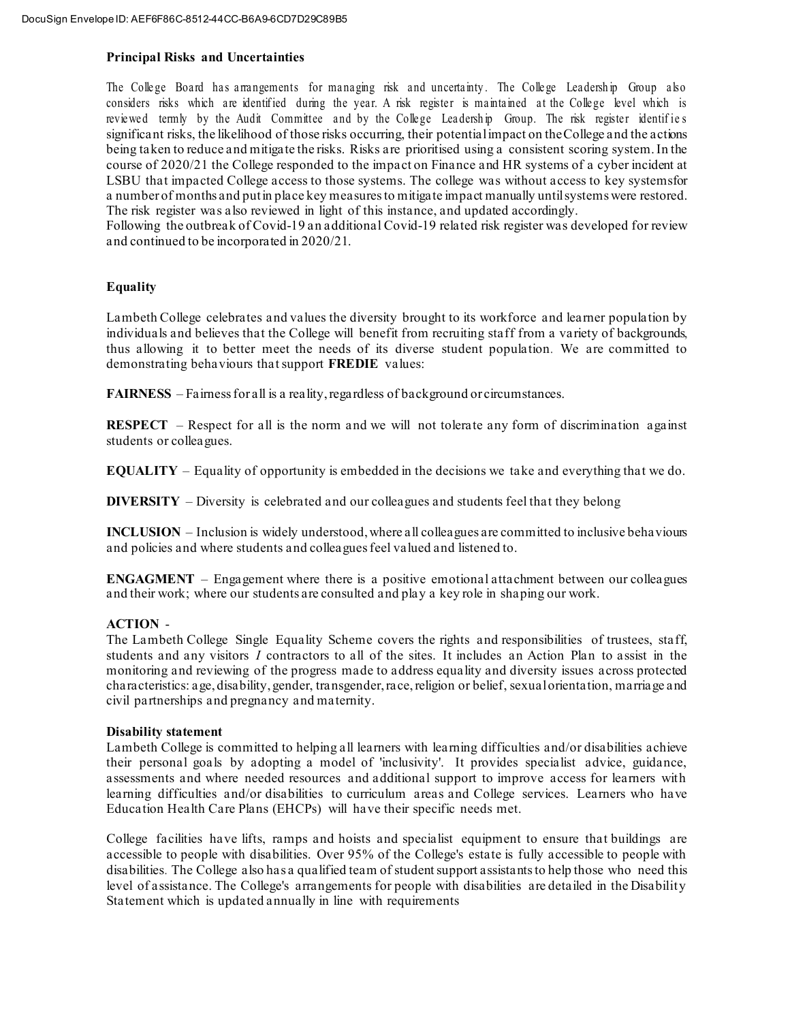## **Principal Risks and Uncertainties**

The College Board has arrangements for managing risk and uncertainty. The College Leadership Group also considers risks which are identified during the year. A risk register is maintained at the College level which is reviewed termly by the Audit Committee and by the College Leadership Group. The risk register identifies significant risks, the likelihood of those risks occurring, their potentialimpact on theCollege and the actions being taken to reduce and mitigate the risks. Risks are prioritised using a consistent scoring system. In the course of 2020/21 the College responded to the impact on Finance and HR systems of a cyber incident at LSBU that impacted College access to those systems. The college was without access to key systemsfor a number of months and put in place key measures to mitigate impact manually until systems were restored. The risk register was also reviewed in light of this instance, and updated accordingly.

Following the outbreak of Covid-19 an additional Covid-19 related risk register was developed for review and continued to be incorporated in 2020/21.

## **Equality**

Lambeth College celebrates and values the diversity brought to its workforce and learner population by individuals and believes that the College will benefit from recruiting staff from a variety of backgrounds, thus allowing it to better meet the needs of its diverse student population. We are committed to demonstrating behaviours thatsupport **FREDIE** values:

**FAIRNESS** – Fairnessfor all is a reality,regardless of background or circumstances.

**RESPECT** – Respect for all is the norm and we will not tolerate any form of discrimination against students or colleagues.

**EQUALITY** – Equality of opportunity is embedded in the decisions we take and everything that we do.

**DIVERSITY** – Diversity is celebrated and our colleagues and students feel that they belong

**INCLUSION** – Inclusion is widely understood, where all colleagues are committed to inclusive behaviours and policies and where students and colleagues feel valued and listened to.

**ENGAGMENT** – Engagement where there is a positive emotional attachment between our colleagues and their work; where our students are consulted and play a key role in shaping our work.

### **ACTION** -

The Lambeth College Single Equality Scheme covers the rights and responsibilities of trustees, staff, students and any visitors *I* contractors to all of the sites. It includes an Action Plan to assist in the monitoring and reviewing of the progress made to address equality and diversity issues across protected characteristics: age, disability, gender, transgender, race, religion or belief, sexual orientation, marriage and civil partnerships and pregnancy and maternity.

### **Disability statement**

Lambeth College is committed to helping all learners with learning difficulties and/or disabilities achieve their personal goals by adopting a model of 'inclusivity'. It provides specialist advice, guidance, assessments and where needed resources and additional support to improve access for learners with learning difficulties and/or disabilities to curriculum areas and College services. Learners who have Education Health Care Plans (EHCPs) will have their specific needs met.

College facilities have lifts, ramps and hoists and specialist equipment to ensure that buildings are accessible to people with disabilities. Over 95% of the College's estate is fully accessible to people with disabilities. The College also has a qualified team of student support assistants to help those who need this level of assistance. The College's arrangements for people with disabilities are detailed in the Disability Statement which is updated annually in line with requirements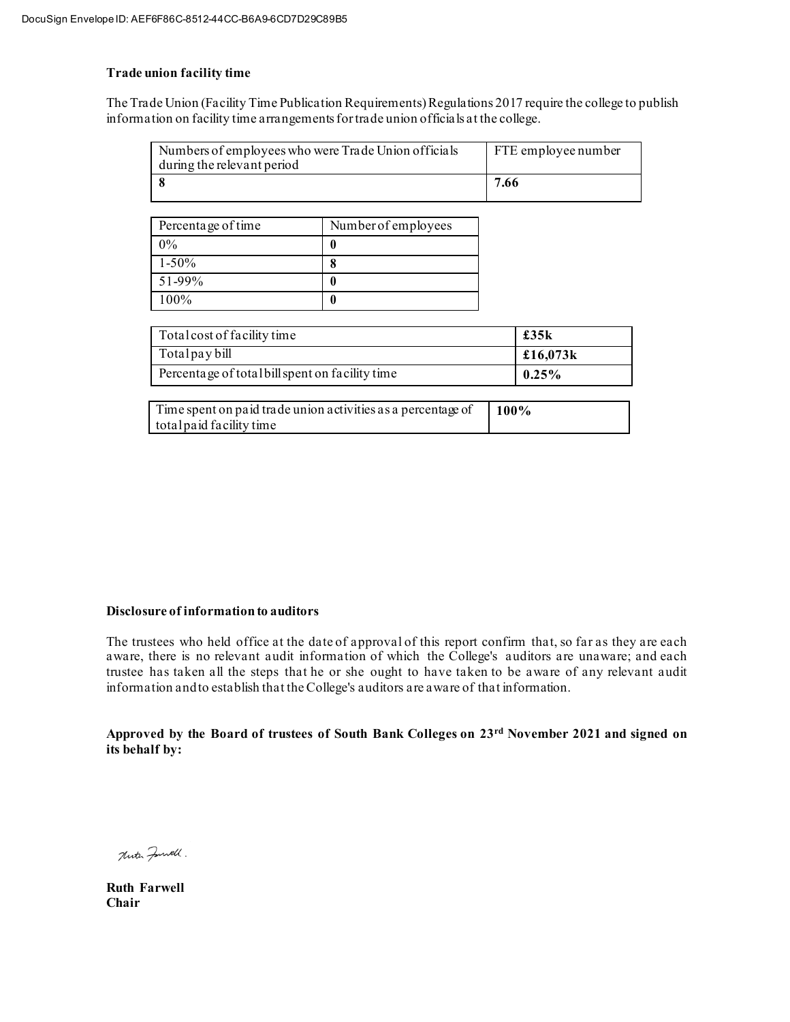## **Trade union facility time**

The Trade Union (Facility Time Publication Requirements)Regulations 2017 require the college to publish information on facility time arrangements for trade union officials at the college.

| Numbers of employees who were Trade Union officials<br>during the relevant period | FTE employee number |
|-----------------------------------------------------------------------------------|---------------------|
|                                                                                   | 7.66                |

| Percentage of time | Number of employees |
|--------------------|---------------------|
| $0\%$              |                     |
| $1 - 50\%$         |                     |
| 51-99%             |                     |
| 100%               |                     |

| Total cost of facility time                     | £35k     |
|-------------------------------------------------|----------|
| Total pay bill                                  | £16,073k |
| Percentage of total bill spent on facility time | $0.25\%$ |

| Time spent on paid trade union activities as a percentage of $\parallel$ 100% |  |
|-------------------------------------------------------------------------------|--|
| total paid facility time                                                      |  |

## **Disclosure of informationto auditors**

The trustees who held office at the date of approval of this report confirm that, so far as they are each aware, there is no relevant audit information of which the College's auditors are unaware; and each trustee has taken all the steps that he or she ought to have taken to be aware of any relevant audit information andto establish that the College's auditors are aware of that information.

# **Approved by the Board of trustees of South Bank Colleges on 23rd November 2021 and signed on its behalf by:**

Nuter Foundl.

**Ruth Farwell Chair**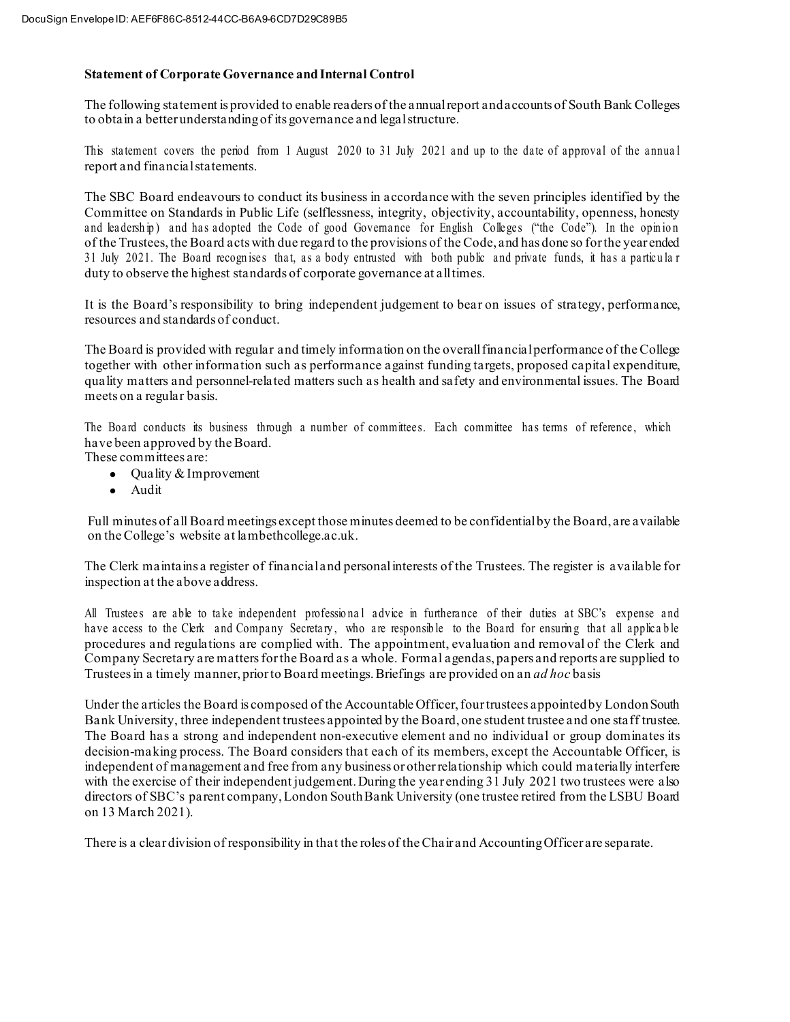## <span id="page-12-0"></span>**Statement of Corporate Governance andInternal Control**

The following statement is provided to enable readers of the annualreport andaccounts of South Bank Colleges to obtain a better understandingof its governance and legalstructure.

This statement covers the period from 1 August 2020 to 31 July 2021 and up to the date of approval of the annual report and financialstatements.

The SBC Board endeavours to conduct its business in accordance with the seven principles identified by the Committee on Standards in Public Life (selflessness, integrity, objectivity, accountability, openness, honesty and leadership) and has adopted the Code of good Governance for English Colleges ("the Code"). In the opinion of the Trustees,the Board acts with due regard to the provisions of the Code, and has done so forthe year ended  $31$  July 2021. The Board recognises that, as a body entrusted with both public and private funds, it has a particular duty to observe the highest standards of corporate governance at alltimes.

It is the Board's responsibility to bring independent judgement to bear on issues of strategy, performance, resources and standards of conduct.

The Board is provided with regular and timely information on the overallfinancialperformance of the College together with other information such as performance against funding targets, proposed capital expenditure, quality matters and personnel-related matters such as health and safety and environmental issues. The Board meets on a regular basis.

The Board conducts its business through a number of committees. Each committee has terms of reference, which have been approved by the Board.

These committees are:

- $\bullet$ Quality &Improvement
- Audit

Full minutes of all Board meetings except those minutes deemed to be confidentialby the Board, are available on the College's website at lambethcollege.ac.uk.

The Clerk maintains a register of financialand personalinterests of the Trustees. The register is available for inspection at the above address.

All Trustees are able to take independent professional advice in furtherance of their duties at SBC's expense and have access to the Clerk and Company Secretary, who are responsible to the Board for ensuring that all applicable procedures and regulations are complied with. The appointment, evaluation and removal of the Clerk and Company Secretary are matters for the Board as a whole. Formal agendas, papers and reports are supplied to Trusteesin a timely manner, priorto Board meetings.Briefings are provided on an *ad hoc* basis

Under the articles the Board is composed of the Accountable Officer, four trustees appointed by London South Bank University, three independent trustees appointed by the Board, one student trustee and one staff trustee. The Board has a strong and independent non-executive element and no individual or group dominates its decision-making process. The Board considers that each of its members, except the Accountable Officer, is independent of management and free from any business or other relationship which could materially interfere with the exercise of their independent judgement. During the year ending 31 July 2021 two trustees were also directors of SBC's parent company, London South Bank University (one trustee retired from the LSBU Board on 13 March 2021).

There is a clear division of responsibility in that the roles of the Chair and AccountingOfficer are separate.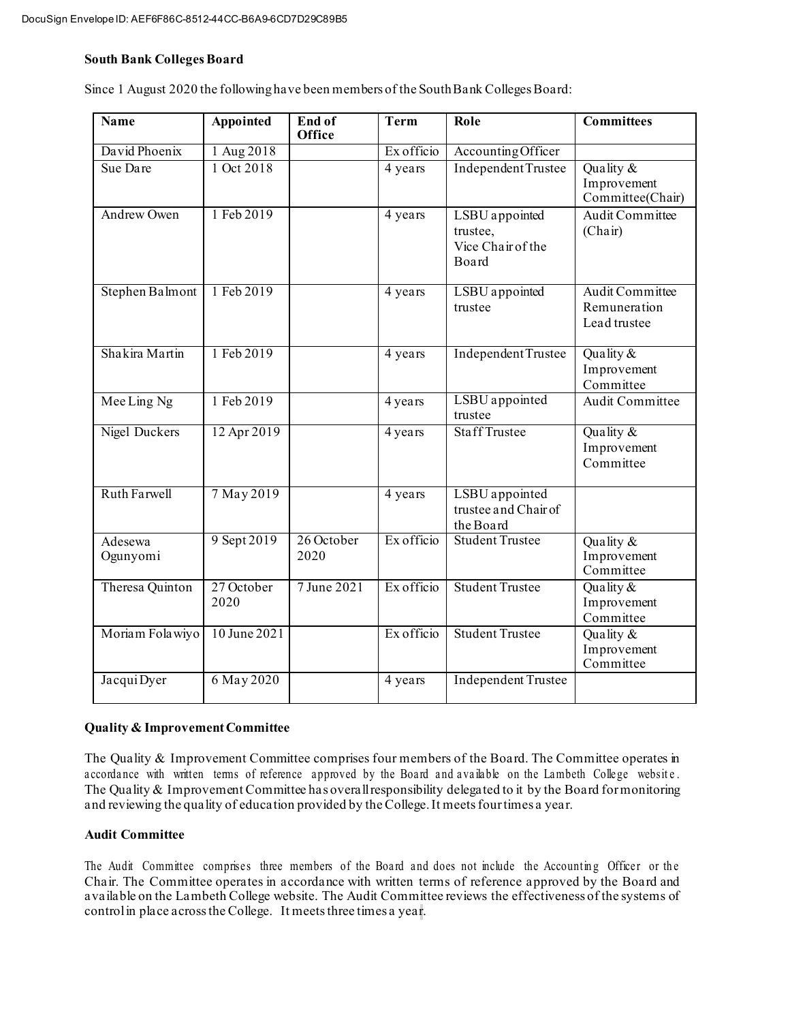## **South Bank CollegesBoard**

Since 1 August 2020 the following have been members of the South Bank Colleges Board:

| Name                 | <b>Appointed</b>   | End of<br><b>Office</b> | <b>Term</b> | Role                                                       | <b>Committees</b>                               |
|----------------------|--------------------|-------------------------|-------------|------------------------------------------------------------|-------------------------------------------------|
| David Phoenix        | 1 Aug 2018         |                         | Ex officio  | Accounting Officer                                         |                                                 |
| Sue Dare             | 1 Oct 2018         |                         | 4 years     | <b>Independent Trustee</b>                                 | Quality &<br>Improvement<br>Committee(Chair)    |
| <b>Andrew Owen</b>   | 1 Feb 2019         |                         | 4 years     | LSBU appointed<br>trustee,<br>Vice Chair of the<br>Board   | Audit Committee<br>(Chair)                      |
| Stephen Balmont      | 1 Feb 2019         |                         | 4 years     | <b>LSBU</b> appointed<br>trustee                           | Audit Committee<br>Remuneration<br>Lead trustee |
| Shakira Martin       | 1 Feb 2019         |                         | 4 years     | Independent Trustee                                        | Quality $&$<br>Improvement<br>Committee         |
| Mee Ling Ng          | 1 Feb 2019         |                         | 4 years     | <b>LSBU</b> appointed<br>trustee                           | Audit Committee                                 |
| <b>Nigel Duckers</b> | 12 Apr 2019        |                         | 4 years     | Staff Trustee                                              | Quality &<br>Improvement<br>Committee           |
| <b>Ruth Farwell</b>  | 7 May 2019         |                         | 4 years     | <b>LSBU</b> appointed<br>trustee and Chair of<br>the Board |                                                 |
| Adesewa<br>Ogunyomi  | 9 Sept 2019        | 26 October<br>2020      | Ex officio  | <b>Student Trustee</b>                                     | Quality &<br>Improvement<br>Committee           |
| Theresa Quinton      | 27 October<br>2020 | 7 June 2021             | Ex officio  | <b>Student Trustee</b>                                     | Quality &<br>Improvement<br>Committee           |
| Moriam Folawiyo      | 10 June 2021       |                         | Ex officio  | <b>Student Trustee</b>                                     | Quality &<br>Improvement<br>Committee           |
| Jacqui Dyer          | 6 May 2020         |                         | 4 years     | <b>Independent Trustee</b>                                 |                                                 |

### **Quality & ImprovementCommittee**

The Quality & Improvement Committee comprises four members of the Board. The Committee operates in accordance with written terms of reference approved by the Board and available on the Lambeth College website. The Quality & Improvement Committee has overall responsibility delegated to it by the Board for monitoring and reviewing the quality of education provided by the College.It meetsfourtimes a year.

### **Audit Committee**

The Audit Committee comprises three members of the Board and does not include the Accounting Officer or the Chair. The Committee operates in accordance with written terms of reference approved by the Board and available on the Lambeth College website. The Audit Committee reviews the effectiveness of the systems of control in place across the College. It meets three times a year.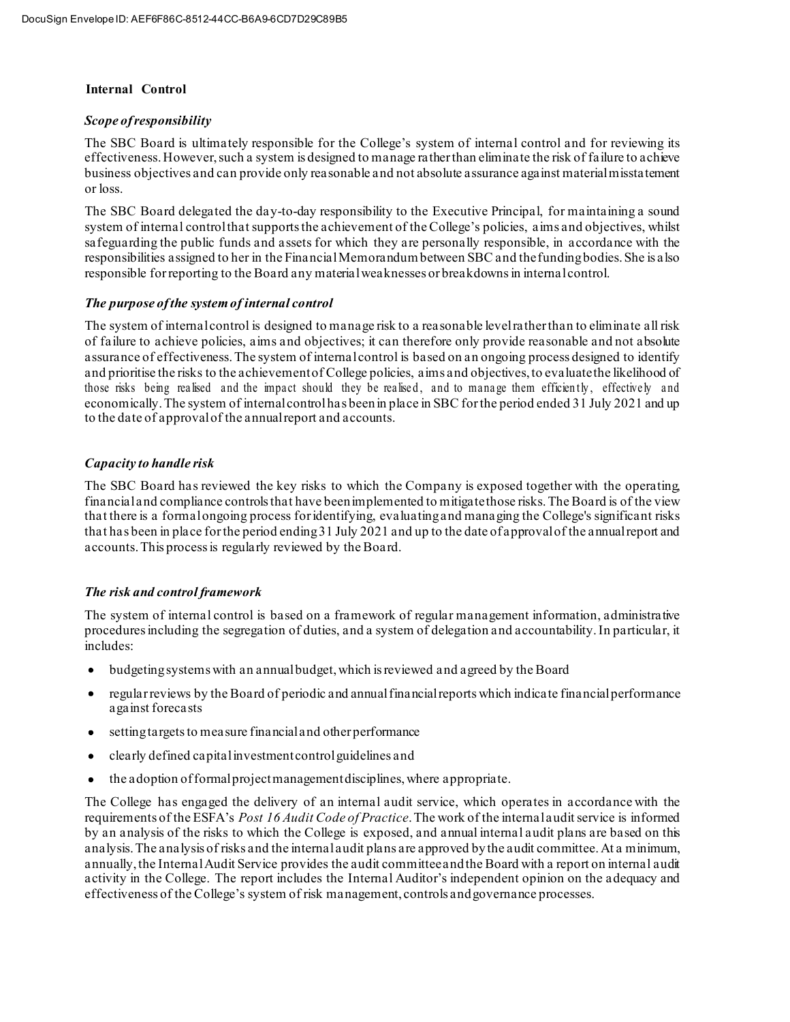## **Internal Control**

### *Scope ofresponsibility*

The SBC Board is ultimately responsible for the College's system of internal control and for reviewing its effectiveness. However, such a system is designed to manage rather than eliminate the risk of failure to achieve business objectives and can provide only reasonable and not absolute assurance against materialmisstatement or loss.

The SBC Board delegated the day-to-day responsibility to the Executive Principal, for maintaining a sound system of internal control that supports the achievement of the College's policies, aims and objectives, whilst safeguarding the public funds and assets for which they are personally responsible, in accordance with the responsibilities assigned to her in the FinancialMemorandumbetween SBC and thefundingbodies.She is also responsible for reporting to the Board any material weaknesses or breakdowns in internal control.

## *The purpose ofthe systemof internal control*

The system of internal control is designed to manage risk to a reasonable level rather than to eliminate all risk of failure to achieve policies, aims and objectives; it can therefore only provide reasonable and not absolute assurance of effectiveness. The system of internal control is based on an ongoing process designed to identify and prioritise the risks to the achievementof College policies, aims and objectives,to evaluatethe likelihood of those risks being realised and the impact should they be realised, and to manage them efficiently, effectively and economically.The system of internalcontrolhas beenin place in SBC forthe period ended 31 July 2021 and up to the date of approvalof the annualreport and accounts.

## *Capacity to handle risk*

The SBC Board has reviewed the key risks to which the Company is exposed together with the operating, financialand compliance controlsthat have beenimplemented to mitigatethose risks.The Board is of the view that there is a formal ongoing process for identifying, evaluating and managing the College's significant risks that has been in place forthe period ending31 July 2021 and up to the date of approvalof the annualreport and accounts.This processis regularly reviewed by the Board.

## *The risk and control framework*

The system of internal control is based on a framework of regular management information, administrative procedures including the segregation of duties, and a system of delegation and accountability. In particular, it includes:

- $\bullet$ budgetingsystems with an annualbudget,which isreviewed and agreed by the Board
- regularreviews by the Board of periodic and annualfinancialreports which indicate financialperformance against forecasts
- setting targets to measure financial and other performance
- clearly defined capitalinvestmentcontrolguidelines and
- $\bullet$ the adoption of formal project management disciplines, where appropriate.

The College has engaged the delivery of an internal audit service, which operates in accordance with the requirements of the ESFA's *Post 16 Audit Code of Practice*.The work of the internalauditservice is informed by an analysis of the risks to which the College is exposed, and annual internal audit plans are based on this analysis.The analysis of risks and the internalaudit plans are approved bythe audit committee.At a minimum, annually, the Internal Audit Service provides the audit committee and the Board with a report on internal audit activity in the College. The report includes the Internal Auditor's independent opinion on the adequacy and effectiveness of the College's system of risk management, controls andgovernance processes.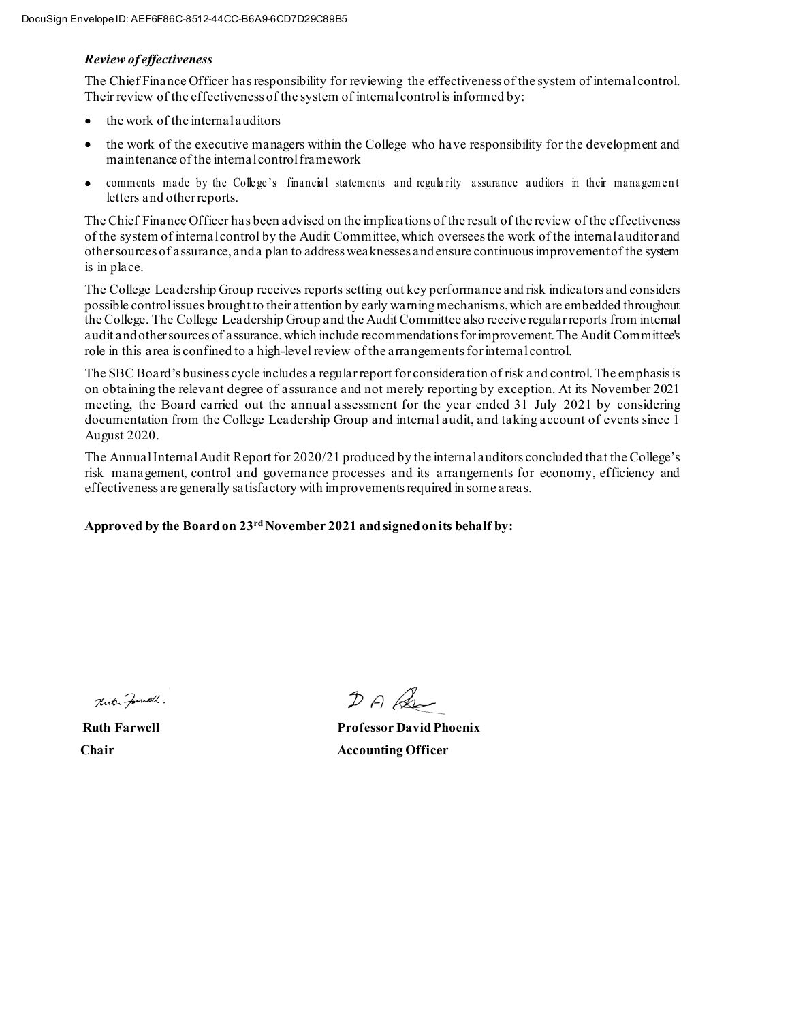## *Review of effectiveness*

The Chief Finance Officer has responsibility for reviewing the effectiveness of the system of internal control. Their review of the effectiveness of the system of internalcontrolis informed by:

- the work of the internal auditors
- the work of the executive managers within the College who have responsibility for the development and maintenance of the internalcontrolframework
- comments made by the College's financial statements and regularity assurance auditors in their management letters and otherreports.

The Chief Finance Officer has been advised on the implications of the result of the review of the effectiveness of the system of internal control by the Audit Committee, which oversees the work of the internal auditor and othersources of assurance, anda plan to address weaknesses andensure continuousimprovementof the system is in place.

The College Leadership Group receives reports setting out key performance and risk indicators and considers possible control issues brought to their attention by early warning mechanisms, which are embedded throughout the College. The College Leadership Group and the Audit Committee also receive regularreports from internal audit and other sources of assurance, which include recommendations for improvement. The Audit Committee's role in this area is confined to a high-level review of the arrangementsforinternalcontrol.

The SBC Board's business cycle includes a regularreport for consideration of risk and control.The emphasisis on obtaining the relevant degree of assurance and not merely reporting by exception. At its November 2021 meeting, the Board carried out the annual assessment for the year ended 31 July 2021 by considering documentation from the College Leadership Group and internal audit, and taking account of events since 1 August 2020.

The Annual Internal Audit Report for 2020/21 produced by the internal auditors concluded that the College's risk management, control and governance processes and its arrangements for economy, efficiency and effectiveness are generally satisfactory with improvements required in some areas.

## **Approved by the Boardon 23rd November 2021 andsignedonits behalf by:**

Nuter Foundl.

**Ruth Farwell**

 $DAG$ 

**Professor DavidPhoenix Chair Accounting Officer**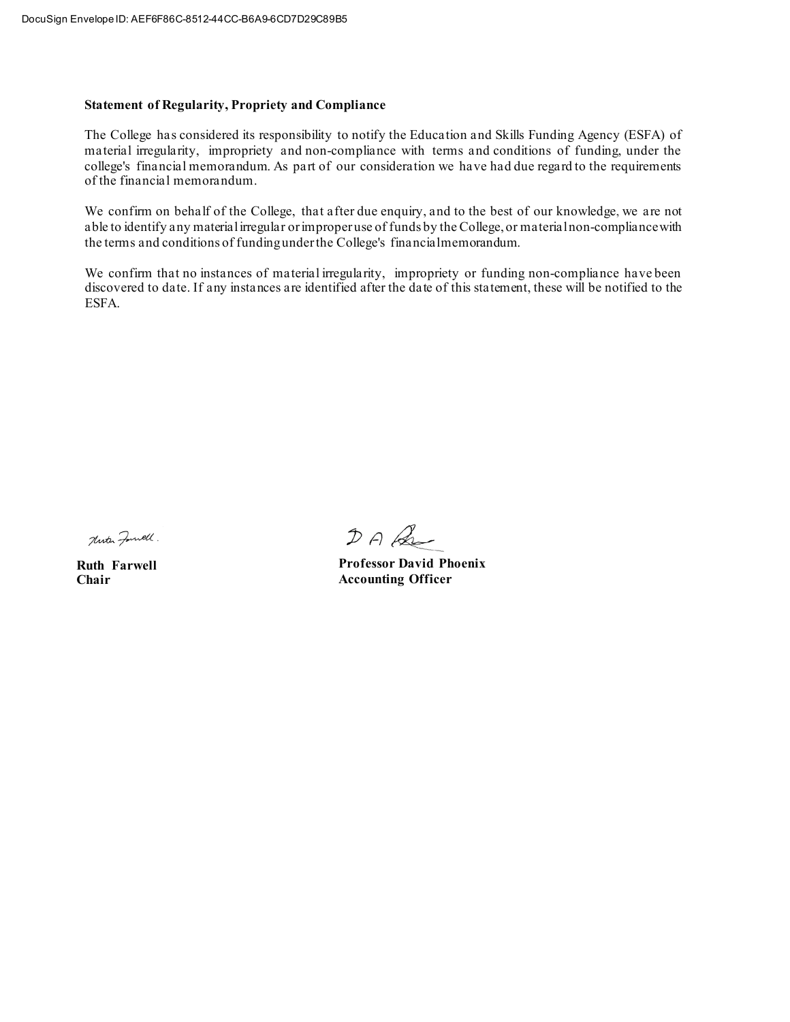### <span id="page-16-0"></span>**Statement of Regularity, Propriety and Compliance**

The College has considered its responsibility to notify the Education and Skills Funding Agency (ESFA) of material irregularity, impropriety and non-compliance with terms and conditions of funding, under the college's financial memorandum. As part of our consideration we have had due regard to the requirements of the financial memorandum.

We confirm on behalf of the College, that after due enquiry, and to the best of our knowledge, we are not able to identify any material irregular or improper use of funds by the College, or material non-compliancewith the terms and conditions of fundingunderthe College's financialmemorandum.

We confirm that no instances of material irregularity, impropriety or funding non-compliance have been discovered to date. If any instances are identified after the date of this statement, these will be notified to the ESFA.

Nuter Foundl.

**Ruth Farwell Chair**

 $D A$ 

**Professor David Phoenix Accounting Officer**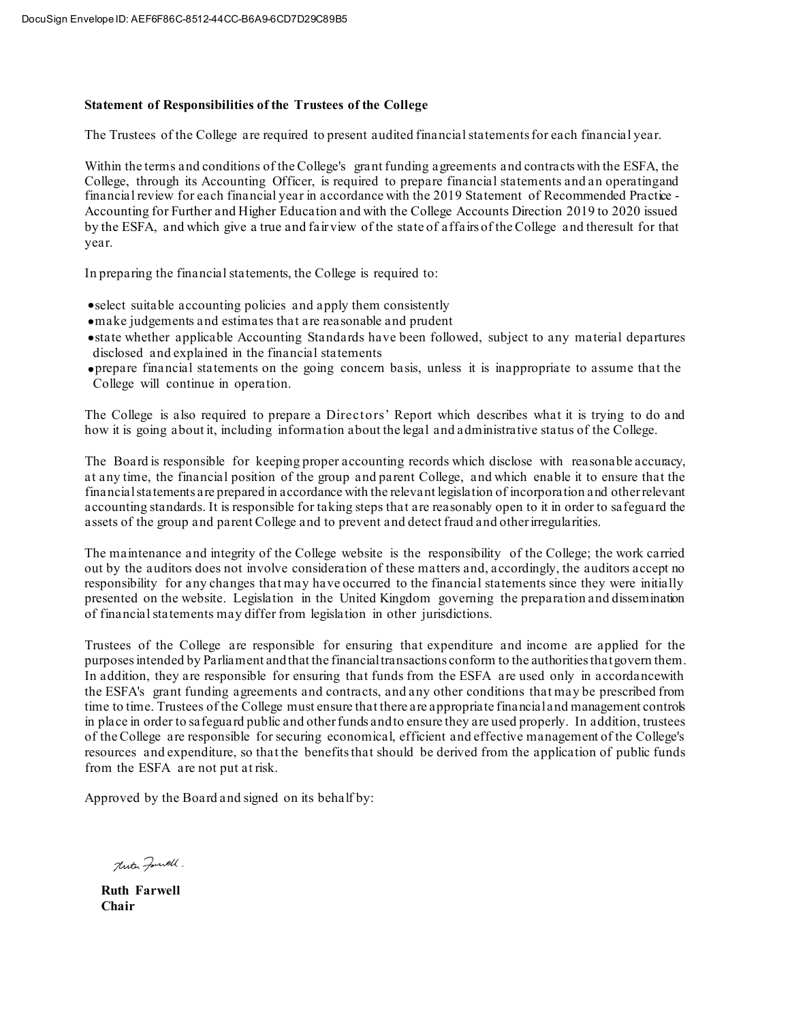### **Statement of Responsibilities of the Trustees of the College**

The Trustees of the College are required to present audited financial statements for each financial year.

Within the terms and conditions of the College's grant funding agreements and contracts with the ESFA, the College, through its Accounting Officer, is required to prepare financial statements and an operatingand financial review for each financial year in accordance with the 2019 Statement of Recommended Practice - Accounting for Further and Higher Education and with the College Accounts Direction 2019 to 2020 issued by the ESFA, and which give a true and fair view of the state of affairs of the College and theresult for that year.

In preparing the financial statements, the College is required to:

- select suitable accounting policies and apply them consistently
- make judgements and estimates that are reasonable and prudent
- state whether applicable Accounting Standards have been followed, subject to any material departures disclosed and explained in the financial statements
- prepare financial statements on the going concern basis, unless it is inappropriate to assume that the College will continue in operation.

The College is also required to prepare a Directors' Report which describes what it is trying to do and how it is going about it, including information about the legal and administrative status of the College.

The Board is responsible for keeping proper accounting records which disclose with reasonable accuracy, at any time, the financial position of the group and parent College, and which enable it to ensure that the financialstatements are prepared in accordance with the relevant legislation of incorporation and otherrelevant accounting standards. It is responsible for taking steps that are reasonably open to it in order to safeguard the assets of the group and parent College and to prevent and detect fraud and otherirregularities.

The maintenance and integrity of the College website is the responsibility of the College; the work carried out by the auditors does not involve consideration of these matters and, accordingly, the auditors accept no responsibility for any changes that may have occurred to the financial statements since they were initially presented on the website. Legislation in the United Kingdom governing the preparation and dissemination of financial statements may differ from legislation in other jurisdictions.

Trustees of the College are responsible for ensuring that expenditure and income are applied for the purposes intended by Parliament and that the financial transactions conform to the authorities that govern them. In addition, they are responsible for ensuring that funds from the ESFA are used only in accordancewith the ESFA's grant funding agreements and contracts, and any other conditions that may be prescribed from time to time. Trustees of the College must ensure that there are appropriate financial and management controls in place in order to safeguard public and other funds and to ensure they are used properly. In addition, trustees of the College are responsible for securing economical, efficient and effective management of the College's resources and expenditure, so that the benefits that should be derived from the application of public funds from the ESFA are not put at risk.

Approved by the Board and signed on its behalf by:

Nuter Fundl.

**Ruth Farwell Chair**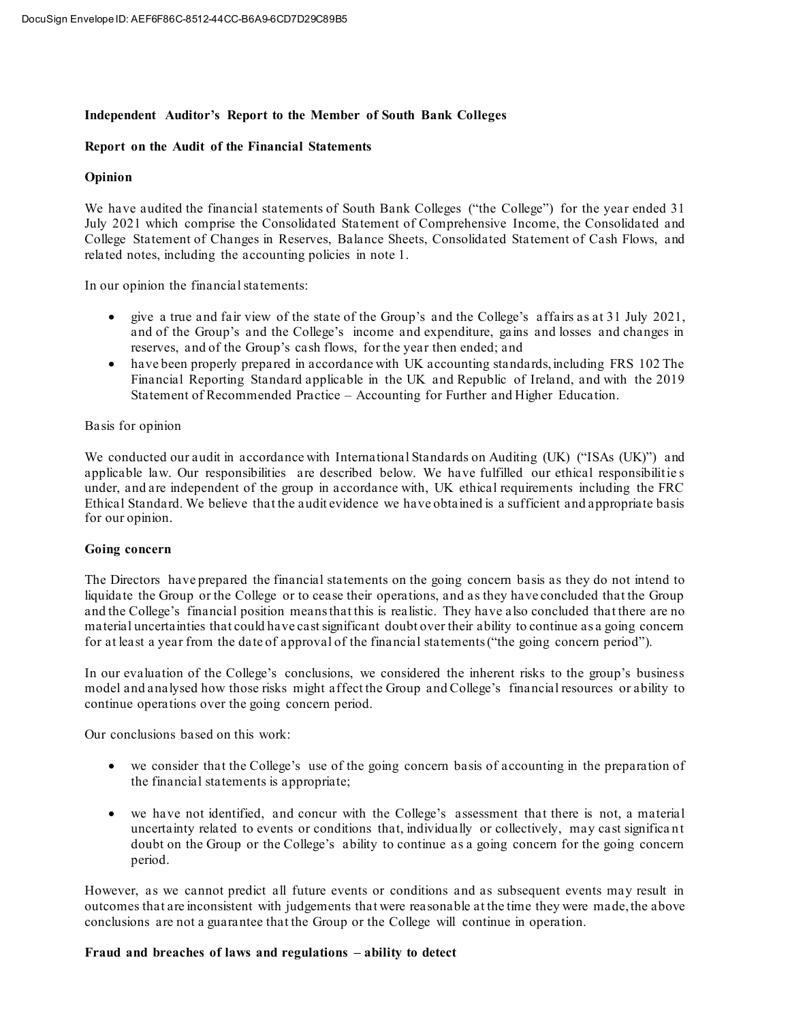### **Independent Auditor's Report to the Member of South Bank Colleges**

### **Report on the Audit of the Financial Statements**

### **Opinion**

We have audited the financial statements of South Bank Colleges ("the College") for the year ended 31 July 2021 which comprise the Consolidated Statement of Comprehensive Income, the Consolidated and College Statement of Changes in Reserves, Balance Sheets, Consolidated Statement of Cash Flows, and related notes, including the accounting policies in note 1.

In our opinion the financial statements:

- give a true and fair view of the state of the Group's and the College's affairs as at 31 July 2021, and of the Group's and the College's income and expenditure, gains and losses and changes in reserves, and of the Group's cash flows, for the year then ended; and
- have been properly prepared in accordance with UK accounting standards, including FRS 102 The Financial Reporting Standard applicable in the UK and Republic of Ireland, and with the 2019 Statement of Recommended Practice – Accounting for Further and Higher Education.

### Basis for opinion

We conducted our audit in accordance with International Standards on Auditing (UK) ("ISAs (UK)") and applicable law. Our responsibilities are described below. We have fulfilled our ethical responsibilitie s under, and are independent of the group in accordance with, UK ethical requirements including the FRC Ethical Standard. We believe that the audit evidence we have obtained is a sufficient and appropriate basis for our opinion.

## **Going concern**

The Directors have prepared the financial statements on the going concern basis as they do not intend to liquidate the Group or the College or to cease their operations, and as they have concluded that the Group and the College's financial position means that this is realistic. They have also concluded that there are no material uncertainties that could have cast significant doubt over their ability to continue as a going concern for at least a year from the date of approval of the financial statements ("the going concern period").

In our evaluation of the College's conclusions, we considered the inherent risks to the group's business model and analysed how those risks might affect the Group and College's financial resources or ability to continue operations over the going concern period.

Our conclusions based on this work:

- we consider that the College's use of the going concern basis of accounting in the preparation of the financial statements is appropriate;
- we have not identified, and concur with the College's assessment that there is not, a material uncertainty related to events or conditions that, individually or collectively, may cast significa nt doubt on the Group or the College's ability to continue as a going concern for the going concern period.

However, as we cannot predict all future events or conditions and as subsequent events may result in outcomes that are inconsistent with judgements that were reasonable at the time they were made, the above conclusions are not a guarantee that the Group or the College will continue in operation.

### **Fraud and breaches of laws and regulations – ability to detect**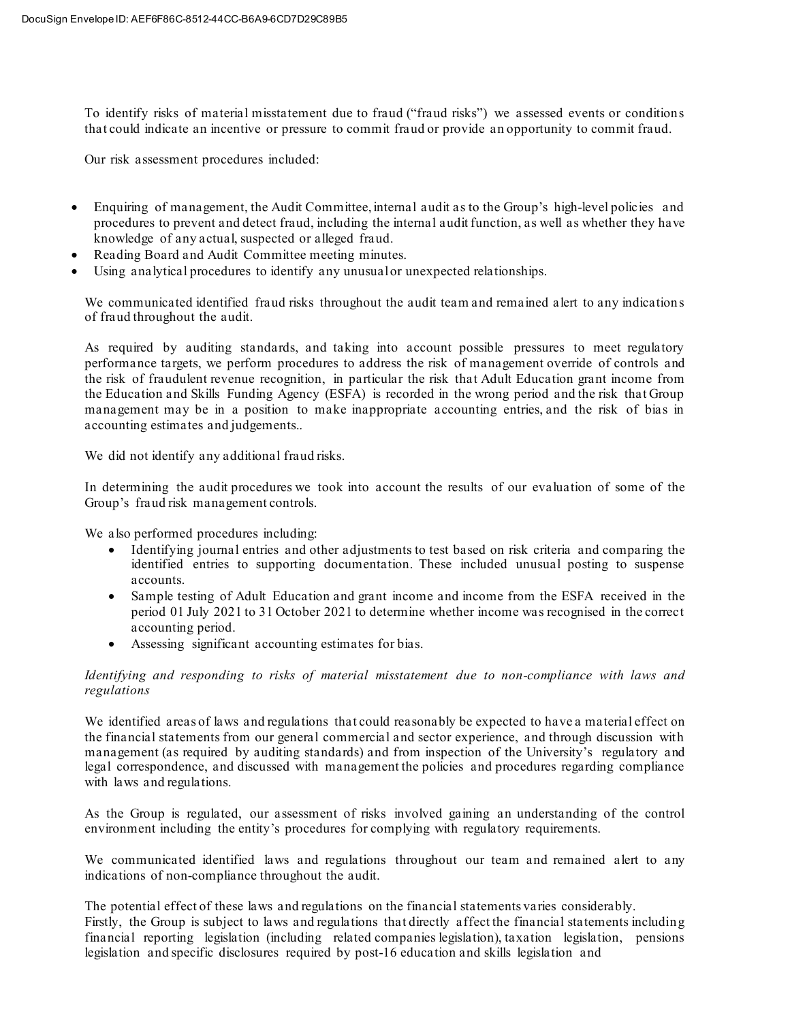To identify risks of material misstatement due to fraud ("fraud risks") we assessed events or conditions that could indicate an incentive or pressure to commit fraud or provide an opportunity to commit fraud.

Our risk assessment procedures included: 

- Enquiring of management, the Audit Committee, internal audit as to the Group's high-level policies and procedures to prevent and detect fraud, including the internal audit function, as well as whether they have knowledge of any actual, suspected or alleged fraud.
- Reading Board and Audit Committee meeting minutes.
- Using analytical procedures to identify any unusual or unexpected relationships.

We communicated identified fraud risks throughout the audit team and remained alert to any indications of fraud throughout the audit.

As required by auditing standards, and taking into account possible pressures to meet  regulatory performance targets, we perform procedures to address the risk of management override of controls and the risk of fraudulent revenue recognition, in particular the risk that Adult Education grant income from the Education and Skills Funding Agency (ESFA) is recorded in the wrong period and the risk that Group management may be in a position to make inappropriate accounting entries, and the risk of bias in accounting estimates and judgements..

We did not identify any additional fraud risks. 

In determining the audit procedures we took into account the results of our evaluation of some of the Group's fraud risk management controls.

We also performed procedures including:  

- Identifying journal entries and other adjustments to test based on risk criteria and comparing the identified entries to supporting documentation. These included unusual posting to suspense accounts.
- Sample testing of Adult Education and grant income and income from the ESFA received in the period 01 July 2021 to 31 October 2021 to determine whether income was recognised in the correct accounting period.
- Assessing significant accounting estimates for bias.

### *Identifying and responding to risks of material misstatement due to non-compliance with laws and regulations*

We identified areas of laws and regulations that could reasonably be expected to have a material effect on the financial statements from our general commercial and sector experience, and through discussion with management (as required by auditing standards) and from inspection of the University's regulatory and legal correspondence, and discussed with management the policies and procedures regarding compliance with laws and regulations.   

As the Group is regulated, our assessment of risks involved gaining an understanding of the control environment including the entity's procedures for complying with regulatory requirements.

We communicated identified laws and regulations throughout our team and remained alert to any indications of non-compliance throughout the audit.   

The potential effect of these laws and regulations on the financial statements varies considerably.  Firstly, the Group is subject to laws and regulations that directly affect the financial statements including financial reporting legislation (including related companies legislation), taxation legislation, pensions legislation and specific disclosures required by post-16 education and skills legislation and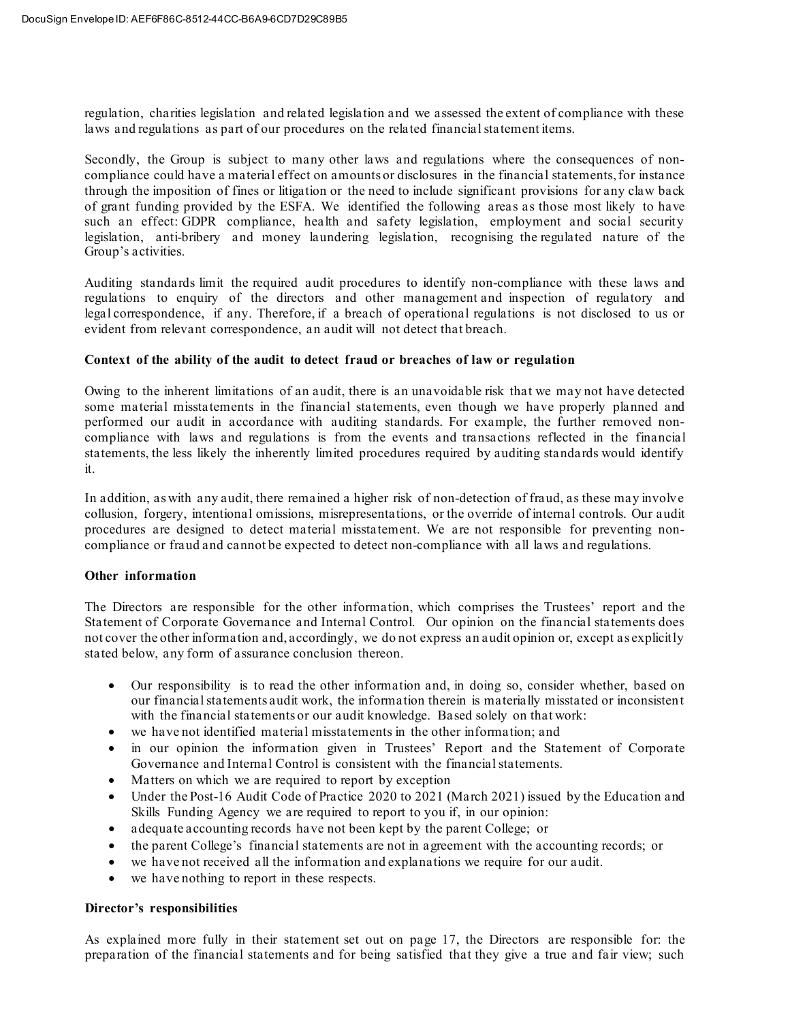regulation, charities legislation and related legislation and we assessed the extent of compliance with these laws and regulations as part of our procedures on the related financial statement items.   

Secondly, the Group is subject to many other laws and regulations where the consequences of noncompliance could have a material effect on amounts or disclosures in the financial statements, for instance through the imposition of fines or litigation or the need to include significant provisions for any claw back of grant funding provided by the ESFA.  We identified the following areas as those most likely to have such an effect: GDPR compliance, health and safety legislation, employment and social security legislation, anti-bribery and money laundering legislation, recognising the regulated nature of the Group's activities.

Auditing standards limit the required audit procedures to identify non-compliance with these laws and regulations to enquiry of the directors and other management and inspection of regulatory and legal correspondence, if any. Therefore, if a breach of operational regulations is not disclosed to us or evident from relevant correspondence, an audit will not detect that breach. 

### **Context of the ability of the audit to detect fraud or breaches of law or regulation**

Owing to the inherent limitations of an audit, there is an unavoidable risk that we may not have detected some material misstatements in the financial statements, even though we have properly planned and performed our audit in accordance with auditing standards. For example, the further removed noncompliance with laws and regulations is from the events and transactions reflected in the financial statements, the less likely the inherently limited procedures required by auditing standards would identify it.

In addition, as with any audit, there remained a higher risk of non-detection of fraud, as these may involve collusion, forgery, intentional omissions, misrepresentations, or the override of internal controls. Our audit procedures are designed to detect material misstatement. We are not responsible for preventing noncompliance or fraud and cannot be expected to detect non-compliance with all laws and regulations.

### **Other information**

The Directors are responsible for the other information, which comprises the Trustees' report and the Statement of Corporate Governance and Internal Control. Our opinion on the financial statements does not cover the other information and, accordingly, we do not express an audit opinion or, except as explicitly stated below, any form of assurance conclusion thereon.

- Our responsibility is to read the other information and, in doing so, consider whether, based on our financial statements audit work, the information therein is materially misstated or inconsistent with the financial statements or our audit knowledge. Based solely on that work:
- we have not identified material misstatements in the other information; and
- in our opinion the information given in Trustees' Report and the Statement of Corporate Governance and Internal Control is consistent with the financial statements.
- Matters on which we are required to report by exception
- Under the Post-16 Audit Code of Practice 2020 to 2021 (March 2021) issued by the Education and Skills Funding Agency we are required to report to you if, in our opinion:
- adequate accounting records have not been kept by the parent College; or
- the parent College's financial statements are not in agreement with the accounting records; or
- we have not received all the information and explanations we require for our audit.
- we have nothing to report in these respects.

### **Director's responsibilities**

As explained more fully in their statement set out on page 17, the Directors are responsible for: the preparation of the financial statements and for being satisfied that they give a true and fair view; such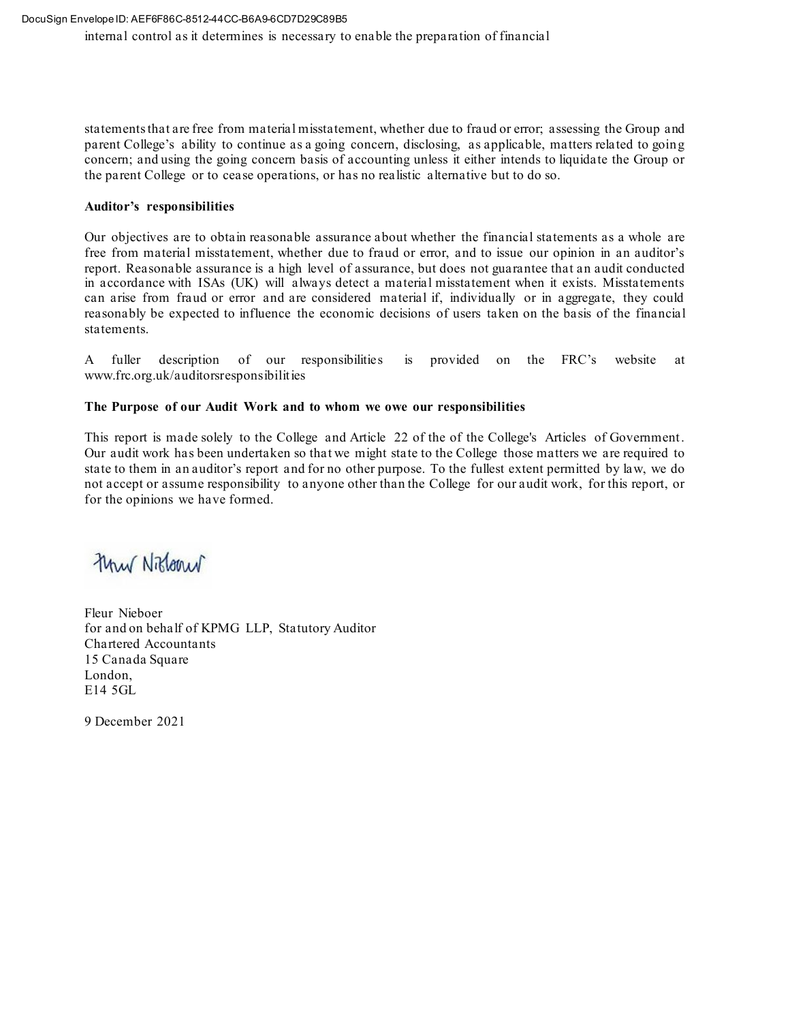internal control as it determines is necessary to enable the preparation of financial

statements that are free from material misstatement, whether due to fraud or error; assessing the Group and parent College's ability to continue as a going concern, disclosing, as applicable, matters related to going concern; and using the going concern basis of accounting unless it either intends to liquidate the Group or the parent College or to cease operations, or has no realistic alternative but to do so.

### **Auditor's responsibilities**

Our objectives are to obtain reasonable assurance about whether the financial statements as a whole are free from material misstatement, whether due to fraud or error, and to issue our opinion in an auditor's report. Reasonable assurance is a high level of assurance, but does not guarantee that an audit conducted in accordance with ISAs (UK) will always detect a material misstatement when it exists. Misstatements can arise from fraud or error and are considered material if, individually or in aggregate, they could reasonably be expected to influence the economic decisions of users taken on the basis of the financial statements.

A fuller description of our responsibilities is provided on the FRC's website at [www.frc.org.uk/auditorsresponsibilities](http://www.frc.org.uk/auditorsresponsibilities)

### **The Purpose of our Audit Work and to whom we owe our responsibilities**

This report is made solely to the College and Article 22 of the of the College's Articles of Government. Our audit work has been undertaken so that we might state to the College those matters we are required to state to them in an auditor's report and for no other purpose. To the fullest extent permitted by law, we do not accept or assume responsibility to anyone other than the College for our audit work, for this report, or for the opinions we have formed.

Fran Niclano

Fleur Nieboer for and on behalf of KPMG LLP, Statutory Auditor Chartered Accountants 15 Canada Square London, E14 5GL

9 December 2021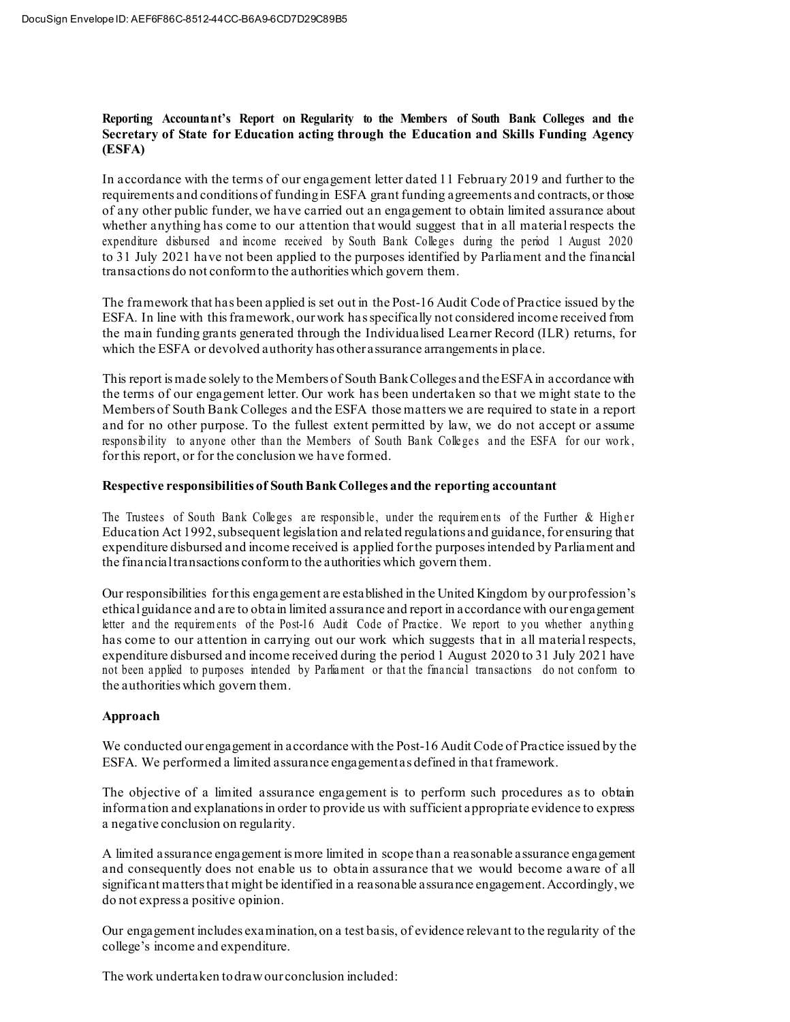## **Reporting Accountant's Report on Regularity to the Members of South Bank Colleges and the Secretary of State for Education acting through the Education and Skills Funding Agency (ESFA)**

In accordance with the terms of our engagement letter dated 11 February 2019 and further to the requirements and conditions of funding in ESFA grant funding agreements and contracts, or those of any other public funder, we have carried out an engagement to obtain limited assurance about whether anything has come to our attention that would suggest that in all material respects the expenditure disbursed and income received by South Bank Colleges during the period 1 August 2020 to 31 July 2021 have not been applied to the purposes identified by Parliament and the financial transactions do not conformto the authorities which govern them.

The framework that has been applied is set out in the Post-16 Audit Code of Practice issued by the ESFA. In line with thisframework, ourwork hasspecifically not considered income received from the main funding grants generated through the Individualised Learner Record (ILR) returns, for which the ESFA or devolved authority has other assurance arrangements in place.

This report ismade solely to the Members of South BankColleges and theESFAin accordance with the terms of our engagement letter. Our work has been undertaken so that we might state to the Members of South Bank Colleges and the ESFA those matters we are required to state in a report and for no other purpose. To the fullest extent permitted by law, we do not accept or assume responsibility to anyone other than the Members of South Bank Colleges and the ESFA for our work, forthis report, or for the conclusion we have formed.

## **Respective responsibilities of SouthBankColleges andthe reporting accountant**

The Trustees of South Bank Colleges are responsible, under the requirements of the Further  $\&$  Higher Education Act 1992, subsequent legislation and related regulations and guidance, for ensuring that expenditure disbursed and income received is applied forthe purposesintended by Parliament and the financialtransactions conformto the authorities which govern them.

Our responsibilities forthis engagement are established in the United Kingdom by our profession's ethicalguidance and are to obtain limited assurance and report in accordance with our engagement letter and the requirem ents of the Post-16 Audit Code of Practice. We report to you whether anything has come to our attention in carrying out our work which suggests that in all material respects, expenditure disbursed and income received during the period 1 August 2020 to 31 July 2021 have not been applied to purposes intended by Parliament or that the financial transactions do not conform to the authorities which govern them.

## **Approach**

We conducted our engagement in accordance with the Post-16 Audit Code of Practice issued by the ESFA. We performed a limited assurance engagementas defined in that framework.

The objective of a limited assurance engagement is to perform such procedures as to obtain information and explanationsin order to provide us with sufficient appropriate evidence to express a negative conclusion on regularity.

A limited assurance engagement is more limited in scope than a reasonable assurance engagement and consequently does not enable us to obtain assurance that we would become aware of all significant matters that might be identified in a reasonable assurance engagement. Accordingly, we do not express a positive opinion.

Our engagement includes examination, on a test basis, of evidence relevant to the regularity of the college's income and expenditure.

The work undertaken todrawour conclusion included: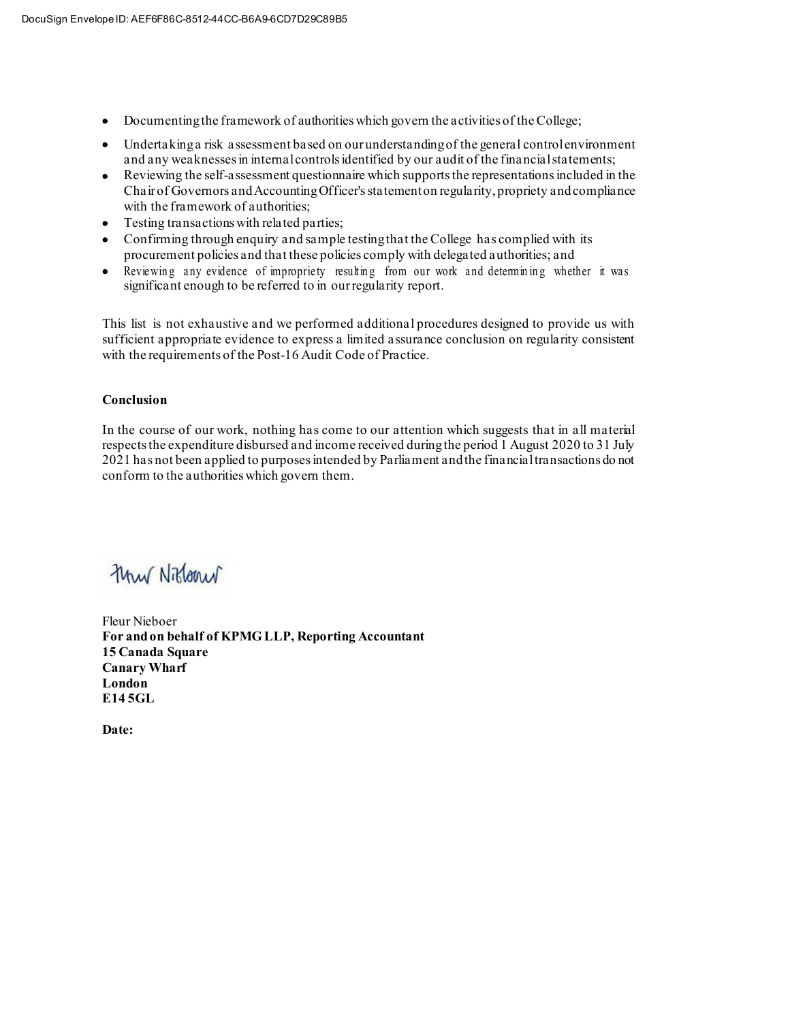- Documentingthe framework of authorities which govern the activities of the College;
- Undertaking a risk assessment based on our understandingof the general controlenvironment  $\bullet$ and any weaknesses in internal controls identified by our audit of the financial statements;
- Reviewing the self-assessment questionnaire which supportsthe representationsincluded in the  $\bullet$ Chair of Governors and Accounting Officer's statement on regularity, propriety and compliance with the framework of authorities;
- Testing transactions with related parties;  $\bullet$
- Confirming through enquiry and sample testingthat the College has complied with its  $\bullet$ procurement policies and that these policies comply with delegated authorities; and
- Reviewing any evidence of impropriety resulting from our work and determining whether it was  $\bullet$ significant enough to be referred to in ourregularity report.

This list is not exhaustive and we performed additional procedures designed to provide us with sufficient appropriate evidence to express a limited assurance conclusion on regularity consistent with the requirements of the Post-16 Audit Code of Practice.

### **Conclusion**

In the course of our work, nothing has come to our attention which suggests that in all material respectsthe expenditure disbursed and income received duringthe period 1 August 2020 to 31 July 2021 has not been applied to purposesintended by Parliament andthe financialtransactions do not conform to the authorities which govern them.

Fran Nisland

Fleur Nieboer **For andon behalf of KPMGLLP, Reporting Accountant 15 Canada Square Canary Wharf London E14 5GL** 

**9 December**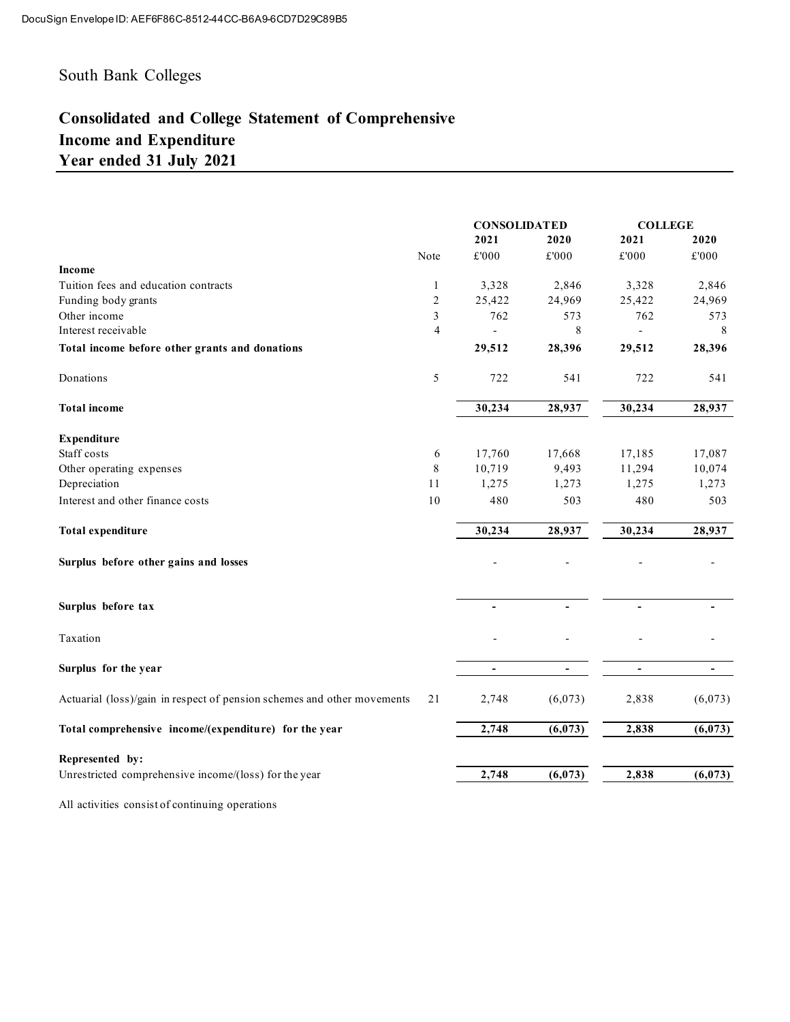# **Consolidated and College Statement of Comprehensive Income and Expenditure Year ended 31 July 2021**

|                                                                                                                                                                                                                                |                |                          | <b>CONSOLIDATED</b> |                          | <b>COLLEGE</b> |  |
|--------------------------------------------------------------------------------------------------------------------------------------------------------------------------------------------------------------------------------|----------------|--------------------------|---------------------|--------------------------|----------------|--|
|                                                                                                                                                                                                                                |                | 2021                     | 2020                | 2021                     | 2020           |  |
|                                                                                                                                                                                                                                | Note           | £'000                    | £'000               | £'000                    | $\pounds 000$  |  |
| <b>Income</b>                                                                                                                                                                                                                  |                |                          |                     |                          |                |  |
| Tuition fees and education contracts                                                                                                                                                                                           | $\mathbf{1}$   | 3,328                    | 2,846               | 3,328                    | 2,846          |  |
| Funding body grants                                                                                                                                                                                                            | $\overline{c}$ | 25,422                   | 24,969              | 25,422                   | 24,969         |  |
| Other income                                                                                                                                                                                                                   | 3              | 762                      | 573                 | 762                      | 573            |  |
| Interest receivable                                                                                                                                                                                                            | $\overline{4}$ | $\overline{a}$           | 8                   | $\overline{a}$           | 8              |  |
| Total income before other grants and donations                                                                                                                                                                                 |                | 29,512                   | 28,396              | 29,512                   | 28,396         |  |
| Donations                                                                                                                                                                                                                      | 5              | 722                      | 541                 | 722                      | 541            |  |
| <b>Total income</b>                                                                                                                                                                                                            |                | 30,234                   | 28,937              | 30,234                   | 28,937         |  |
| <b>Expenditure</b>                                                                                                                                                                                                             |                |                          |                     |                          |                |  |
| Staff costs                                                                                                                                                                                                                    | 6              | 17,760                   | 17,668              | 17,185                   | 17,087         |  |
| Other operating expenses                                                                                                                                                                                                       | 8              | 10,719                   | 9,493               | 11,294                   | 10,074         |  |
| Depreciation                                                                                                                                                                                                                   | 11             | 1,275                    | 1,273               | 1,275                    | 1,273          |  |
| Interest and other finance costs                                                                                                                                                                                               | 10             | 480                      | 503                 | 480                      | 503            |  |
| <b>Total expenditure</b>                                                                                                                                                                                                       |                | 30,234                   | 28,937              | 30,234                   | 28,937         |  |
| Surplus before other gains and losses                                                                                                                                                                                          |                |                          |                     |                          |                |  |
| Surplus before tax                                                                                                                                                                                                             |                | $\overline{a}$           |                     |                          |                |  |
| Taxation                                                                                                                                                                                                                       |                |                          |                     |                          |                |  |
| Surplus for the year                                                                                                                                                                                                           |                | $\overline{\phantom{a}}$ |                     | $\overline{\phantom{a}}$ |                |  |
| Actuarial (loss)/gain in respect of pension schemes and other movements                                                                                                                                                        | 21             | 2,748                    | (6,073)             | 2,838                    | (6,073)        |  |
| Total comprehensive income/(expenditure) for the year                                                                                                                                                                          |                | 2,748                    | (6,073)             | 2,838                    | (6,073)        |  |
| Represented by:                                                                                                                                                                                                                |                |                          |                     |                          |                |  |
| Unrestricted comprehensive income/(loss) for the year                                                                                                                                                                          |                | 2,748                    | (6,073)             | 2,838                    | (6,073)        |  |
| A 11 YO F REPORTED THE RESIDENCE OF THE RESIDENCE OF THE RESIDENCE OF THE RESIDENCE OF THE RESIDENCE OF THE RESIDENCE OF THE RESIDENCE OF THE RESIDENCE OF THE RESIDENCE OF THE RESIDENCE OF THE RESIDENCE OF THE RESIDENCE OF |                |                          |                     |                          |                |  |

All activities consist of continuing operations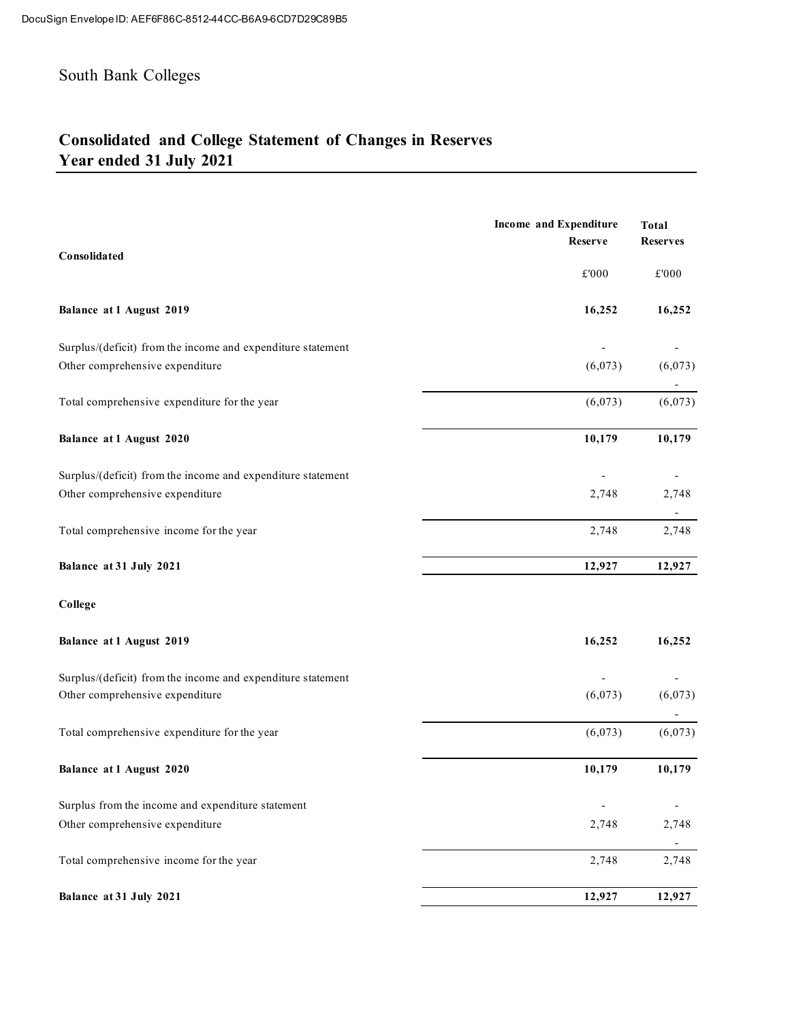# **Consolidated and College Statement of Changes in Reserves Year ended 31 July 2021**

|                                                             | Income and Expenditure<br>Reserve | <b>Total</b><br><b>Reserves</b>   |
|-------------------------------------------------------------|-----------------------------------|-----------------------------------|
| Consolidated                                                | £'000                             | £'000                             |
| Balance at 1 August 2019                                    | 16,252                            | 16,252                            |
| Surplus/(deficit) from the income and expenditure statement |                                   |                                   |
| Other comprehensive expenditure                             | (6,073)                           | (6,073)                           |
| Total comprehensive expenditure for the year                | (6,073)                           | (6,073)                           |
| Balance at 1 August 2020                                    | 10,179                            | 10,179                            |
| Surplus/(deficit) from the income and expenditure statement |                                   |                                   |
| Other comprehensive expenditure                             | 2,748                             | 2,748                             |
| Total comprehensive income for the year                     | 2,748                             | $\overline{\phantom{a}}$<br>2,748 |
| Balance at 31 July 2021                                     | 12,927                            | 12,927                            |
| College                                                     |                                   |                                   |
| Balance at 1 August 2019                                    | 16,252                            | 16,252                            |
| Surplus/(deficit) from the income and expenditure statement |                                   |                                   |
| Other comprehensive expenditure                             | (6,073)                           | (6,073)                           |
| Total comprehensive expenditure for the year                | (6,073)                           | (6,073)                           |
| Balance at 1 August 2020                                    | 10,179                            | 10,179                            |
| Surplus from the income and expenditure statement           |                                   |                                   |
| Other comprehensive expenditure                             | 2,748                             | 2,748                             |
| Total comprehensive income for the year                     | 2,748                             | 2,748                             |
| Balance at 31 July 2021                                     | 12,927                            | 12,927                            |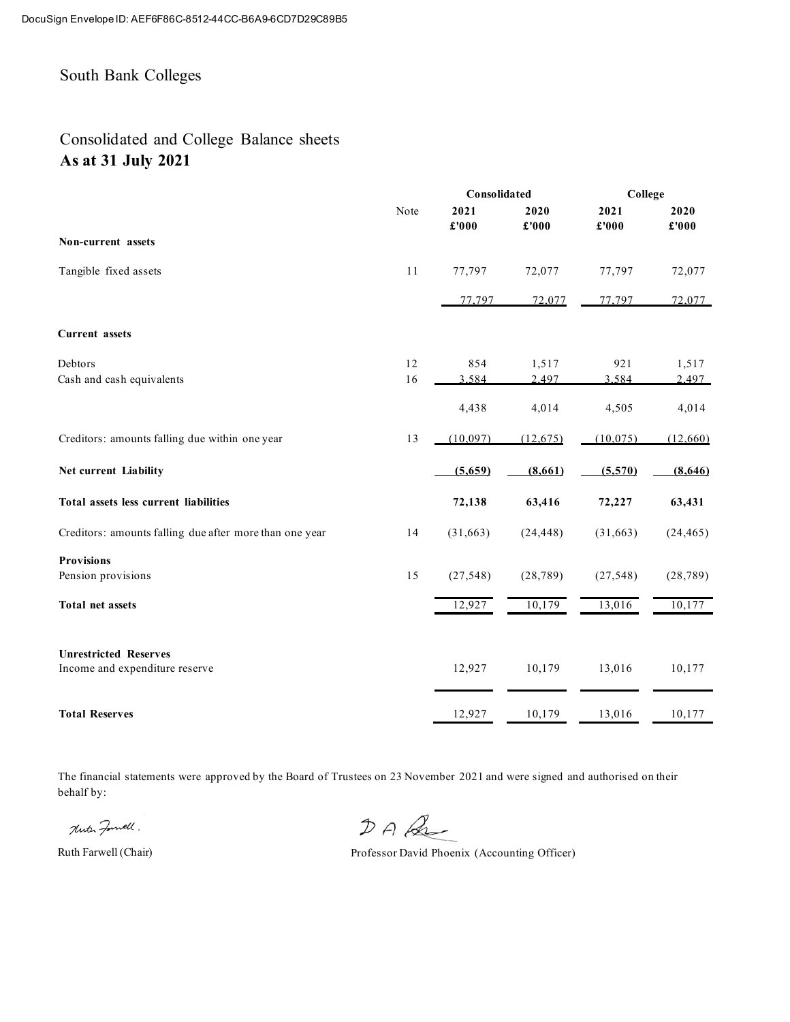# Consolidated and College Balance sheets **As at 31 July 2021**

|                                                         |        | Consolidated  |                              | College       |                        |
|---------------------------------------------------------|--------|---------------|------------------------------|---------------|------------------------|
|                                                         | Note   | 2021<br>£'000 | 2020<br>$\pmb{\pounds}$ '000 | 2021<br>£'000 | 2020<br>$\pounds$ '000 |
| Non-current assets                                      |        |               |                              |               |                        |
| Tangible fixed assets                                   | $11\,$ | 77,797        | 72,077                       | 77,797        | 72,077                 |
|                                                         |        | 77.797        | 72.077                       | 77.797        | 72.077                 |
| <b>Current</b> assets                                   |        |               |                              |               |                        |
| Debtors                                                 | 12     | 854           | 1,517                        | 921           | 1,517                  |
| Cash and cash equivalents                               | 16     | 3.584         | 2.497                        | 3.584         | 2.497                  |
|                                                         |        | 4,438         | 4,014                        | 4,505         | 4,014                  |
| Creditors: amounts falling due within one year          | 13     | (10.097)      | (12.675)                     | (10.075)      | (12.660)               |
| Net current Liability                                   |        | (5,659)       | (8,661)                      | (5,570)       | (8,646)                |
| Total assets less current liabilities                   |        | 72,138        | 63,416                       | 72,227        | 63,431                 |
| Creditors: amounts falling due after more than one year | 14     | (31, 663)     | (24, 448)                    | (31,663)      | (24, 465)              |
| <b>Provisions</b>                                       |        |               |                              |               |                        |
| Pension provisions                                      | 15     | (27, 548)     | (28, 789)                    | (27, 548)     | (28, 789)              |
| <b>Total net assets</b>                                 |        | 12,927        | 10,179                       | 13,016        | 10,177                 |
| <b>Unrestricted Reserves</b>                            |        |               |                              |               |                        |
| Income and expenditure reserve                          |        | 12,927        | 10,179                       | 13,016        | 10,177                 |
| <b>Total Reserves</b>                                   |        | 12,927        | 10,179                       | 13,016        | 10,177                 |

The financial statements were approved by the Board of Trustees on 23 November 2021 and were signed and authorised on their behalf by:

Nuter Foundl.

 $D A$ 

Ruth Farwell (Chair) Professor David Phoenix (Accounting Officer)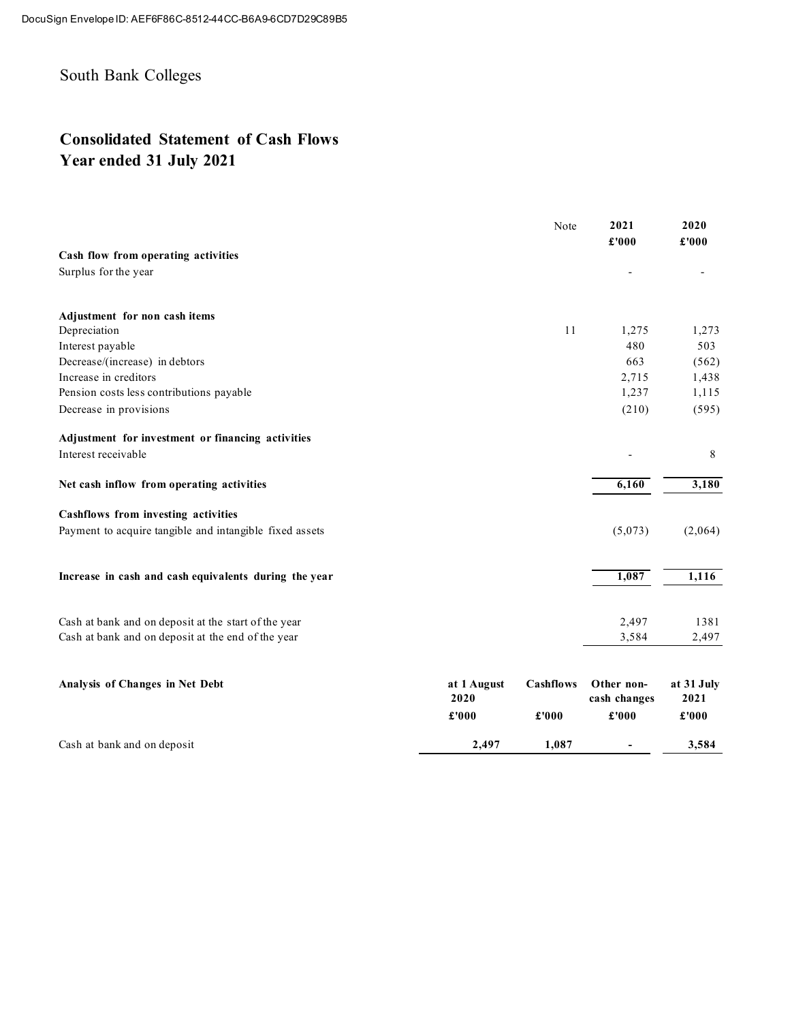# **Consolidated Statement of Cash Flows Year ended 31 July 2021**

|                                                         |               | Note             | 2021<br>£'000         | 2020<br>£'000 |
|---------------------------------------------------------|---------------|------------------|-----------------------|---------------|
| Cash flow from operating activities                     |               |                  |                       |               |
| Surplus for the year                                    |               |                  |                       |               |
| Adjustment for non cash items                           |               |                  |                       |               |
| Depreciation                                            |               | 11               | 1,275                 | 1,273         |
| Interest payable                                        |               |                  | 480                   | 503           |
| Decrease/(increase) in debtors                          |               |                  | 663                   | (562)         |
| Increase in creditors                                   |               |                  | 2,715                 | 1,438         |
| Pension costs less contributions payable                |               |                  | 1,237                 | 1,115         |
| Decrease in provisions                                  |               |                  | (210)                 | (595)         |
| Adjustment for investment or financing activities       |               |                  |                       |               |
| Interest receivable                                     |               |                  |                       | 8             |
| Net cash inflow from operating activities               |               |                  | 6,160                 | 3,180         |
| Cashflows from investing activities                     |               |                  |                       |               |
| Payment to acquire tangible and intangible fixed assets |               |                  | (5,073)               | (2,064)       |
| Increase in cash and cash equivalents during the year   |               |                  | 1,087                 | 1,116         |
|                                                         |               |                  |                       |               |
| Cash at bank and on deposit at the start of the year    |               |                  | 2,497                 | 1381          |
| Cash at bank and on deposit at the end of the year      |               |                  | 3,584                 | 2,497         |
| Analysis of Changes in Net Debt                         | at 1 August   | <b>Cashflows</b> | Other non-            | at 31 July    |
|                                                         | 2020<br>£'000 | £'000            | cash changes<br>£'000 | 2021<br>£'000 |
| Cash at bank and on deposit                             | 2,497         | 1,087            |                       | 3,584         |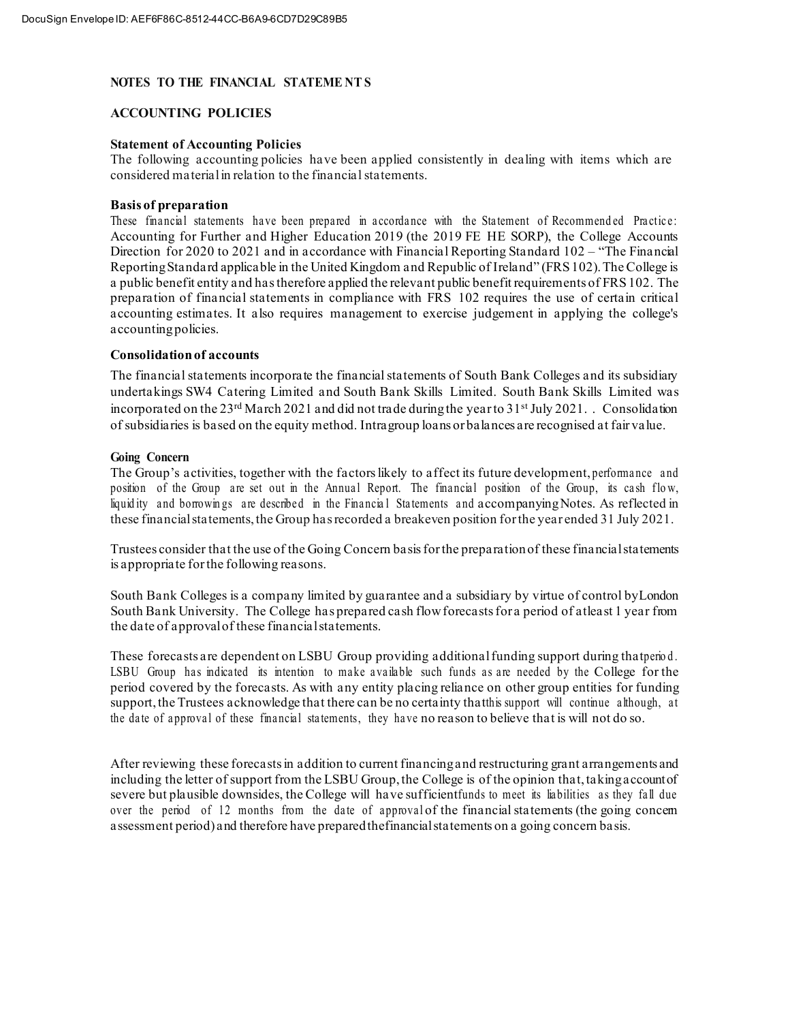### **NOTES TO THE FINANCIAL STATEME NT S**

## **ACCOUNTING POLICIES**

### **Statement of Accounting Policies**

The following accounting policies have been applied consistently in dealing with items which are considered material in relation to the financial statements.

### **Basis of preparation**

These financial statements have been prepared in accordance with the Statement of Recommended Practice: Accounting for Further and Higher Education 2019 (the 2019 FE HE SORP), the College Accounts Direction for 2020 to 2021 and in accordance with Financial Reporting Standard 102 – "The Financial ReportingStandard applicable in the United Kingdom and Republic of Ireland" (FRS102).The College is a public benefit entity and hastherefore applied the relevant public benefit requirements of FRS102. The preparation of financial statements in compliance with FRS 102 requires the use of certain critical accounting estimates. It also requires management to exercise judgement in applying the college's accountingpolicies.

### **Consolidationof accounts**

The financial statements incorporate the financial statements of South Bank Colleges and its subsidiary undertakings SW4 Catering Limited and South Bank Skills Limited. South Bank Skills Limited was incorporated on the 23<sup>rd</sup> March 2021 and did not trade during the year to 31<sup>st</sup> July 2021. . Consolidation of subsidiaries is based on the equity method. Intragroup loans or balances are recognised at fair value.

### **Going Concern**

The Group's activities, together with the factors likely to affect its future development, performance and position of the Group are set out in the Annual Report. The financial position of the Group, its cash flow, liquid ity and borrowings are described in the Financial Statements and accompanying Notes. As reflected in these financialstatements,the Group hasrecorded a breakeven position forthe year ended 31 July 2021.

Trustees consider that the use of the Going Concern basis for the preparation of these financialstatements is appropriate forthe following reasons.

South Bank Colleges is a company limited by guarantee and a subsidiary by virtue of control byLondon South Bank University. The College has prepared cash flowforecastsfor a period of atleast 1 year from the date of approvalof these financialstatements.

These forecasts are dependent on LSBU Group providing additionalfunding support during thatperio d . LSBU Group has indicated its intention to make available such funds as are needed by the College for the period covered by the forecasts. As with any entity placing reliance on other group entities for funding support, the Trustees acknowledge that there can be no certainty thatthis support will continue although, at the date of approval of these financial statements, they have no reason to believe that is will not do so.

After reviewing these forecastsin addition to current financingand restructuring grant arrangements and including the letter of support from the LSBU Group, the College is of the opinion that, taking account of severe but plausible downsides, the College will have sufficientfunds to meet its liabilities as they fall due over the period of 12 months from the date of approval of the financial statements (the going concern assessment period) and therefore have preparedthefinancialstatements on a going concern basis.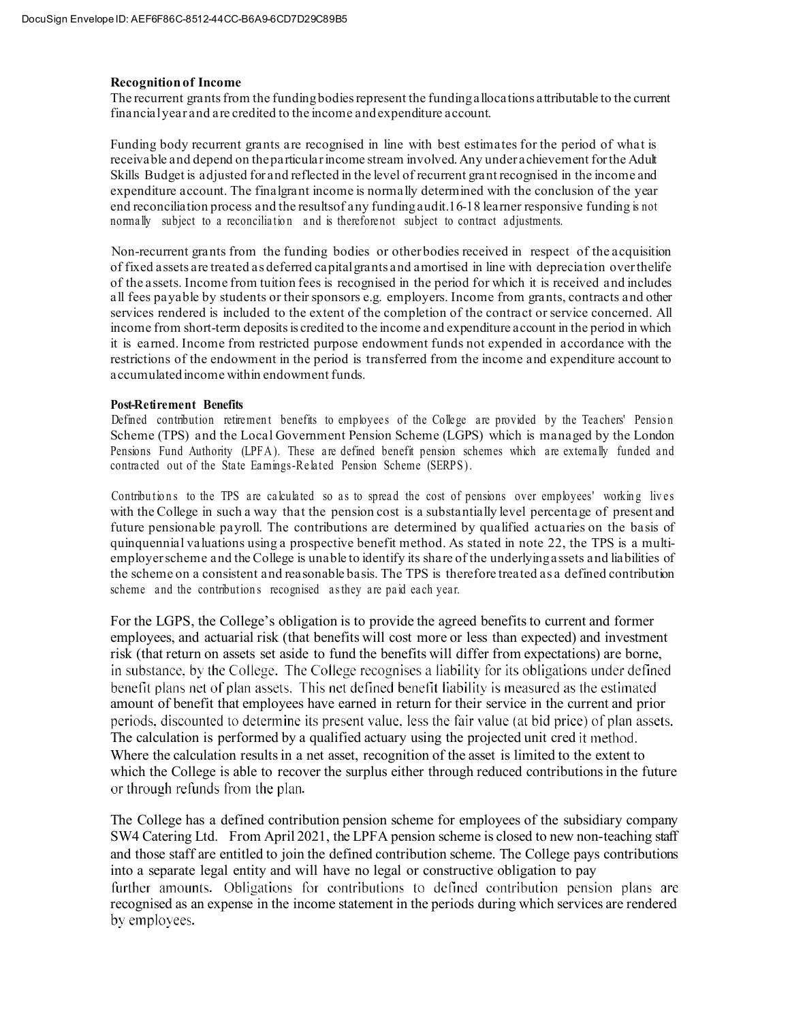### **Recognitionof Income**

The recurrent grants from the funding bodies represent the funding allocations attributable to the current financialyear and are credited to the income andexpenditure account.

Funding body recurrent grants are recognised in line with best estimates for the period of what is receivable and depend on the particular income stream involved. Any under achievement for the Adult Skills Budget is adjusted for and reflected in the level of recurrent grant recognised in the income and expenditure account. The finalgrant income is normally determined with the conclusion of the year end reconciliation process and the resultsof any funding audit.16-18 learner responsive funding is not normally subject to a reconciliation and is therefore not subject to contract adjustments.

Non-recurrent grants from the funding bodies or other bodies received in respect of the acquisition of fixed assets are treated as deferred capital grants and amortised in line with depreciation over thelife of the assets. Income from tuition fees is recognised in the period for which it is received and includes all fees payable by students or their sponsors e.g. employers. Income from grants, contracts and other services rendered is included to the extent of the completion of the contract or service concerned. All income from short-term depositsis credited to the income and expenditure account in the period in which it is earned. Income from restricted purpose endowment funds not expended in accordance with the restrictions of the endowment in the period is transferred from the income and expenditure account to accumulatedincome within endowment funds.

### **Post-Retirement Benefits**

Defined contribution retirement benefits to employees of the College are provided by the Teachers' Pension Scheme (TPS) and the Local Government Pension Scheme (LGPS) which is managed by the London Pensions Fund Authority (LPFA). These are defined benefit pension schemes which are externally funded and contracted out of the State Earnings-Related Pension Scheme (SERPS).

Contributions to the TPS are calculated so as to spread the cost of pensions over employees' working lives with the College in such a way that the pension cost is a substantially level percentage of present and future pensionable payroll. The contributions are determined by qualified actuaries on the basis of quinquennial valuations using a prospective benefit method. As stated in note 22, the TPS is a multiemployerscheme and the College is unable to identify its share of the underlyingassets and liabilities of the scheme on a consistent and reasonable basis. The TPS is therefore treated as a defined contribution scheme and the contributions recognised as they are paid each year.

For the LGPS, the College's obligation is to provide the agreed benefits to current and former employees, and actuarial risk (that benefits will cost more or less than expected) and investment risk (that return on assets set aside to fund the benefits will differ from expectations) are borne, in substance, by the College. The College recognises a liability for its obligations under defined benefit plans net of plan assets. This net defined benefit liability is measured as the estimated amount of benefit that employees have earned in return for their service in the current and prior periods, discounted to determine its present value, less the fair value (at bid price) of plan assets. The calculation is performed by a qualified actuary using the projected unit cred it method. Where the calculation results in a net asset, recognition of the asset is limited to the extent to which the College is able to recover the surplus either through reduced contributions in the future or through refunds from the plan.

The College has a defined contribution pension scheme for employees of the subsidiary company SW4 Catering Ltd. From April 2021, the LPFA pension scheme is closed to new non-teaching staff and those staff are entitled to join the defined contribution scheme. The College pays contributions into a separate legal entity and will have no legal or constructive obligation to pay further amounts. Obligations for contributions to defined contribution pension plans are recognised as an expense in the income statement in the periods during which services are renderedby employees.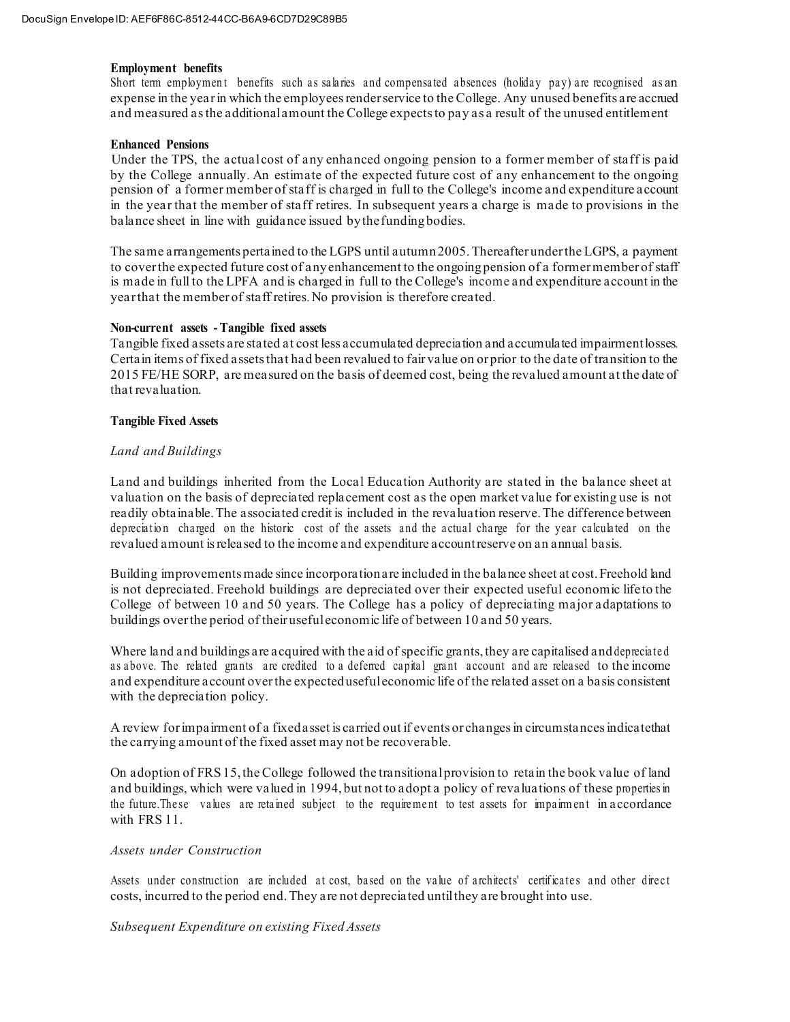### **Employment benefits**

Short term employment benefits such as salaries and compensated absences (holiday pay) are recognised as an expense in the year in which the employees render service to the College. Any unused benefits are accrued and measured as the additional amount the College expects to pay as a result of the unused entitlement

### **Enhanced Pensions**

Under the TPS, the actualcost of any enhanced ongoing pension to a former member of staff is paid by the College annually. An estimate of the expected future cost of any enhancement to the ongoing pension of a former member of staff is charged in full to the College's income and expenditure account in the year that the member of staff retires. In subsequent years a charge is made to provisions in the balance sheet in line with guidance issued bythefundingbodies.

The same arrangements pertained to the LGPS until autumn2005.Thereafter underthe LGPS, a payment to coverthe expected future cost of anyenhancement to the ongoingpension of a former member of staff is made in full to the LPFA and is charged in full to the College's income and expenditure account in the yearthat the member of staff retires.No provision is therefore created.

### **Non-current assets - Tangible fixed assets**

Tangible fixed assets are stated at cost less accumulated depreciation and accumulated impairmentlosses. Certain items of fixed assetsthat had been revalued to fair value on or prior to the date of transition to the 2015 FE/HE SORP, are measured on the basis of deemed cost, being the revalued amount at the date of that revaluation.

### **Tangible Fixed Assets**

### *Land and Buildings*

Land and buildings inherited from the Local Education Authority are stated in the balance sheet at valuation on the basis of depreciated replacement cost as the open market value for existing use is not readily obtainable. The associated credit is included in the revaluation reserve. The difference between depreciation charged on the historic cost of the assets and the actual charge for the year calculated on the revalued amount isreleased to the income and expenditure accountreserve on an annual basis.

Building improvements made since incorporation are included in the balance sheet at cost.Freehold land is not depreciated. Freehold buildings are depreciated over their expected useful economic lifeto the College of between 10 and 50 years. The College has a policy of depreciating major adaptations to buildings overthe period of their usefuleconomic life of between 10 and 50 years.

Where land and buildings are acquired with the aid of specific grants, they are capitalised and depreciated as above. The related grants are credited to a deferred capital grant account and are released to the income and expenditure account over the expected useful economic life of the related asset on a basis consistent with the depreciation policy.

A review forimpairment of a fixedasset is carried out if events or changesin circumstancesindicatethat the carrying amount of the fixed asset may not be recoverable.

On adoption of FRS 15, the College followed the transitional provision to retain the book value of land and buildings, which were valued in 1994, but not to adopt a policy of revaluations of these propertiesin the future. These values are retained subject to the requirement to test assets for impairment in accordance with FRS 11.

### *Assets under Construction*

Assets under construction are included at cost, based on the value of architects' certificates and other direct costs, incurred to the period end.They are not depreciated untilthey are brought into use.

### *Subsequent Expenditure on existing Fixed Assets*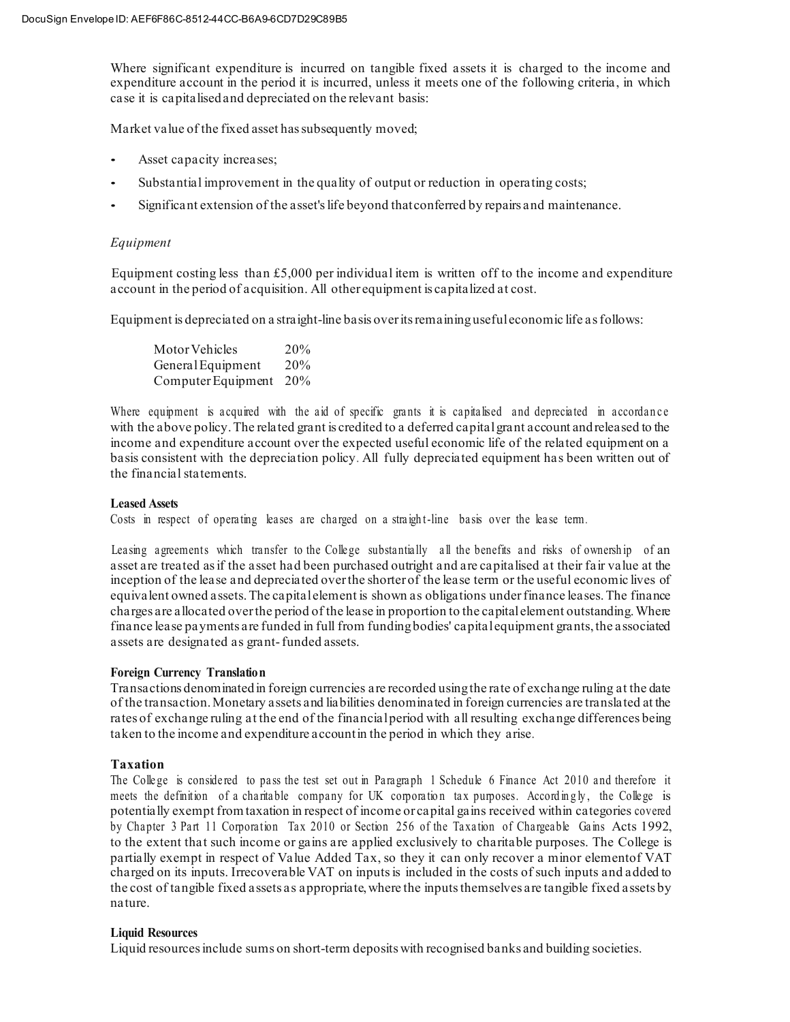Where significant expenditure is incurred on tangible fixed assets it is charged to the income and expenditure account in the period it is incurred, unless it meets one of the following criteria, in which case it is capitalisedand depreciated on the relevant basis:

Market value of the fixed asset has subsequently moved;

- Asset capacity increases;
- Substantial improvement in the quality of output or reduction in operating costs;
- Significant extension of the asset'slife beyond thatconferred by repairs and maintenance.

### *Equipment*

Equipment costing less than  $£5,000$  per individual item is written off to the income and expenditure account in the period of acquisition. All other equipment is capitalized at cost.

Equipment is depreciated on a straight-line basis over its remaining useful economic life as follows:

| Motor Vehicles     | 20% |
|--------------------|-----|
| General Equipment  | 20% |
| Computer Equipment | 20% |

Where equipment is a cquired with the aid of specific grants it is capitalised and depreciated in accordance with the above policy.The related grant is credited to a deferred capitalgrant account andreleased to the income and expenditure account over the expected useful economic life of the related equipment on a basis consistent with the depreciation policy. All fully depreciated equipment has been written out of the financial statements.

### **Leased Assets**

Costs in respect of operating leases are charged on a straight-line basis over the lease term.

Lea sing a greements which transfer to the College substantially all the benefits and risks of ownership of an asset are treated asif the asset had been purchased outright and are capitalised at their fair value at the inception of the lease and depreciated over the shorter of the lease term or the useful economic lives of equivalent owned assets. The capital element is shown as obligations under finance leases. The finance charges are allocated over the period of the lease in proportion to the capital element outstanding.Where finance lease payments are funded in full from funding bodies' capital equipment grants, the associated assets are designated as grant-funded assets.

### **Foreign Currency Translation**

Transactions denominatedin foreign currencies are recorded usingthe rate of exchange ruling at the date of the transaction.Monetary assets and liabilities denominated in foreign currencies are translated at the rates of exchange ruling at the end of the financial period with all resulting exchange differences being taken to the income and expenditure accountin the period in which they arise.

### **Taxation**

The College is considered to pass the test set out in Paragraph 1 Schedule 6 Finance Act 2010 and therefore it meets the definition of a charitable company for UK corporation tax purposes. Accordingly, the College is potentially exempt from taxation in respect of income or capital gains received within categories covered by Chapter 3 Part 11 Corporation Tax 2010 or Section 256 of the Taxation of Chargeable Gains Acts 1992, to the extent that such income or gains are applied exclusively to charitable purposes. The College is partially exempt in respect of Value Added Tax, so they it can only recover a minor elementof VAT charged on its inputs. Irrecoverable VAT on inputs is included in the costs of such inputs and added to the cost of tangible fixed assets as appropriate, where the inputs themselves are tangible fixed assets by nature.

### **Liquid Resources**

Liquid resources include sums on short-term deposits with recognised banks and building societies.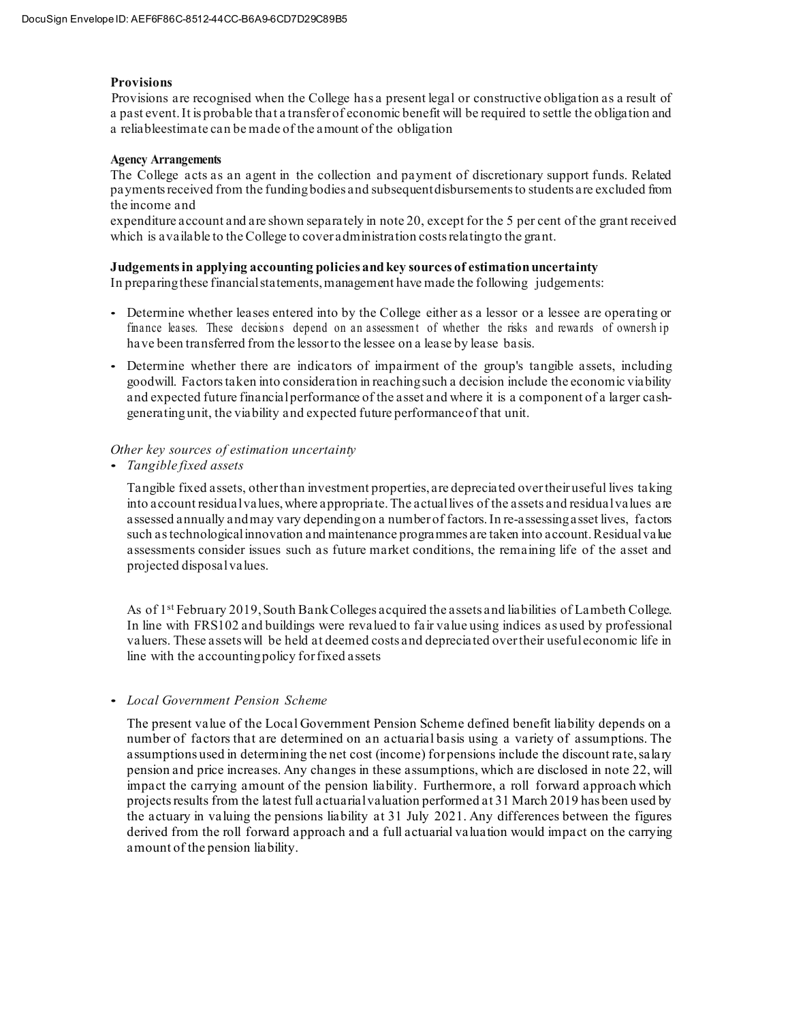### **Provisions**

Provisions are recognised when the College has a present legal or constructive obligation as a result of a past event. It is probable that a transfer of economic benefit will be required to settle the obligation and a reliableestimate can be made of the amount of the obligation

### **Agency Arrangements**

The College acts as an agent in the collection and payment of discretionary support funds. Related payments received from the funding bodies and subsequent disbursements to students are excluded from the income and

expenditure account and are shown separately in note 20, except for the 5 per cent of the grant received which is available to the College to cover administration costsrelatingto the grant.

### **Judgementsin applying accounting policies andkey sources of estimationuncertainty**

In preparing these financial statements, management have made the following judgements:

- Determine whether leases entered into by the College either as a lessor or a lessee are operating or finance leases. These decisions depend on an assessment of whether the risks and rewards of ownership have been transferred from the lessorto the lessee on a lease by lease basis.
- Determine whether there are indicators of impairment of the group's tangible assets, including goodwill. Factorstaken into consideration in reachingsuch a decision include the economic viability and expected future financial performance of the asset and where it is a component of a larger cashgeneratingunit, the viability and expected future performanceof that unit.

### *Other key sources of estimation uncertainty*

• *Tangible fixed assets*

Tangible fixed assets, other than investment properties, are depreciated over their useful lives taking into account residualvalues,where appropriate.The actuallives of the assets and residualvalues are assessed annually andmay vary dependingon a number of factors.In re-assessingasset lives, factors such as technological innovation and maintenance programmes are taken into account. Residual value assessments consider issues such as future market conditions, the remaining life of the asset and projected disposalvalues.

As of 1st February 2019,South BankColleges acquired the assets and liabilities of Lambeth College. In line with FRS102 and buildings were revalued to fair value using indices as used by professional valuers. These assets will be held at deemed costs and depreciated over their useful economic life in line with the accountingpolicy forfixed assets

### • *Local Government Pension Scheme*

The present value of the Local Government Pension Scheme defined benefit liability depends on a number of factors that are determined on an actuarial basis using a variety of assumptions. The assumptions used in determining the net cost (income) for pensions include the discount rate, salary pension and price increases. Any changes in these assumptions, which are disclosed in note 22, will impact the carrying amount of the pension liability. Furthermore, a roll forward approach which projects results from the latest full actuarial valuation performed at 31 March 2019 has been used by the actuary in valuing the pensions liability at 31 July 2021. Any differences between the figures derived from the roll forward approach and a full actuarial valuation would impact on the carrying amount of the pension liability.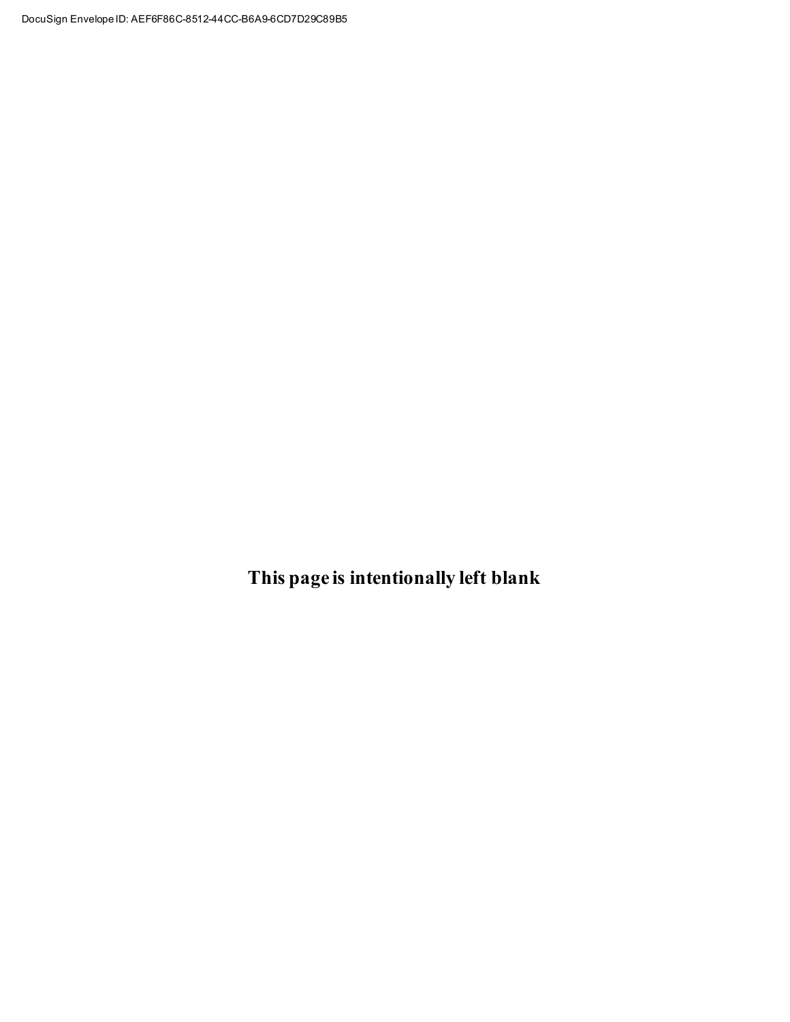DocuSign Envelope ID: AEF6F86C-8512-44CC-B6A9-6CD7D29C89B5

**This page is intentionally left blank**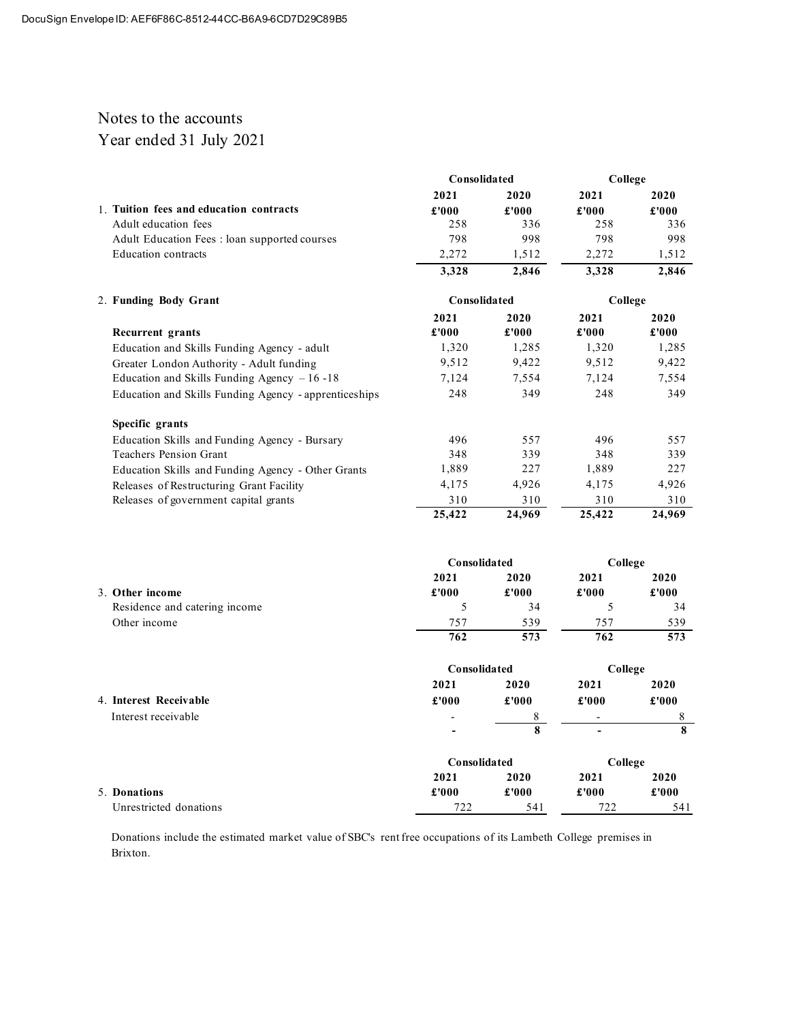|                                                       | Consolidated |                         | College |        |
|-------------------------------------------------------|--------------|-------------------------|---------|--------|
|                                                       | 2021         | 2020                    | 2021    | 2020   |
| 1. Tuition fees and education contracts               | £'000        | £'000                   | £'000   | £'000  |
| Adult education fees                                  | 258          | 336                     | 258     | 336    |
| Adult Education Fees : loan supported courses         | 798          | 998                     | 798     | 998    |
| <b>Education</b> contracts                            | 2,272        | 1,512                   | 2,272   | 1,512  |
|                                                       | 3,328        | 2,846                   | 3,328   | 2,846  |
| 2. Funding Body Grant                                 | Consolidated |                         | College |        |
|                                                       | 2021         | 2020                    | 2021    | 2020   |
| <b>Recurrent grants</b>                               | £'000        | £'000                   | £'000   | £'000  |
| Education and Skills Funding Agency - adult           | 1,320        | 1,285                   | 1,320   | 1,285  |
| Greater London Authority - Adult funding              | 9,512        | 9,422                   | 9,512   | 9,422  |
| Education and Skills Funding Agency $-16 -18$         | 7,124        | 7,554                   | 7,124   | 7,554  |
| Education and Skills Funding Agency - apprenticeships | 248          | 349                     | 248     | 349    |
| Specific grants                                       |              |                         |         |        |
| Education Skills and Funding Agency - Bursary         | 496          | 557                     | 496     | 557    |
| <b>Teachers Pension Grant</b>                         | 348          | 339                     | 348     | 339    |
| Education Skills and Funding Agency - Other Grants    | 1,889        | 227                     | 1,889   | 227    |
| Releases of Restructuring Grant Facility              | 4,175        | 4,926                   | 4,175   | 4,926  |
| Releases of government capital grants                 | 310          | 310                     | 310     | 310    |
|                                                       | 25,422       | 24,969                  | 25,422  | 24,969 |
|                                                       |              |                         |         |        |
|                                                       | Consolidated |                         | College |        |
|                                                       | 2021         | 2020                    | 2021    | 2020   |
| 3. Other income                                       | £'000        | £'000                   | £'000   | £'000  |
| Residence and catering income                         | 5            | 34                      | 5       | 34     |
| Other income                                          | 757          | 539                     | 757     | 539    |
|                                                       | 762          | 573                     | 762     | 573    |
|                                                       | Consolidated |                         | College |        |
|                                                       | 2021         | 2020                    | 2021    | 2020   |
| 4. Interest Receivable                                | £'000        | £'000                   | £'000   | £'000  |
| Interest receivable                                   |              | 8                       |         | 8      |
|                                                       |              | $\overline{\mathbf{g}}$ |         | 8      |
|                                                       | Consolidated |                         | College |        |
|                                                       | 2021         | 2020                    | 2021    | 2020   |
| 5. Donations                                          | £'000        | £'000                   | £'000   | £'000  |
| Unrestricted donations                                | 722          | 541                     | 722     | 541    |

Donations include the estimated market value of SBC's rent free occupations of its Lambeth College premises in Brixton.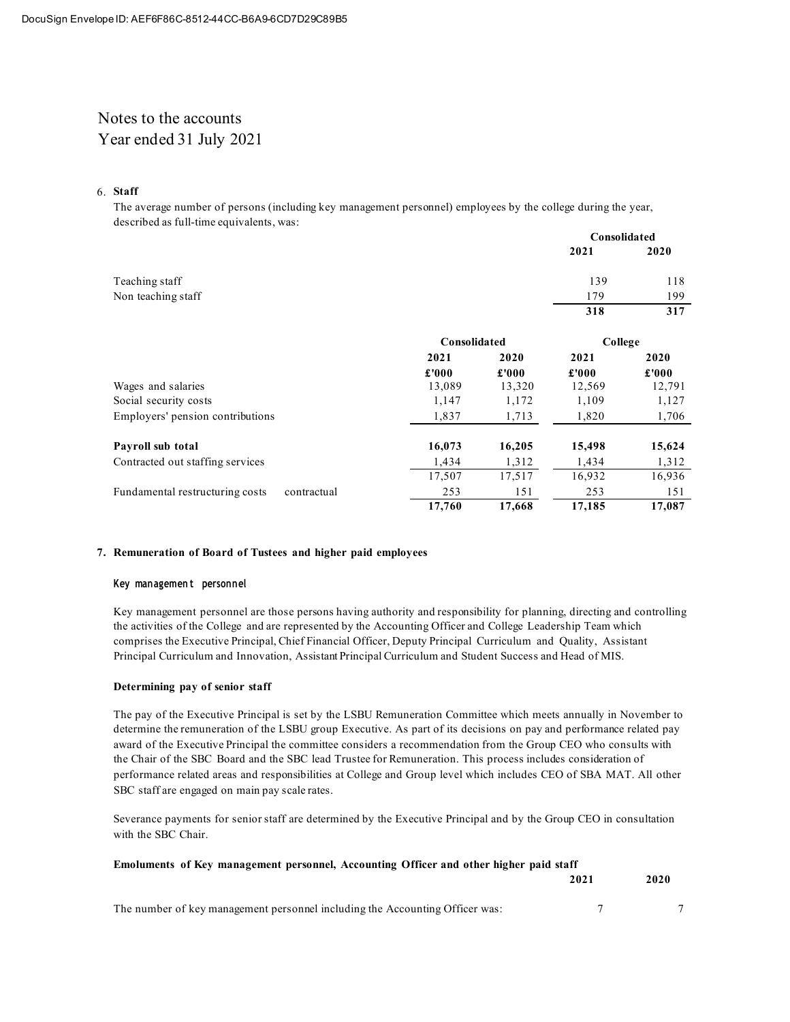### 6. **Staff**

The average number of persons (including key management personnel) employees by the college during the year, described as full-time equivalents, was: **Consolidated**

|                                                |              |        | Consolidated |        |
|------------------------------------------------|--------------|--------|--------------|--------|
|                                                |              |        | 2021         | 2020   |
| Teaching staff                                 |              |        | 139          | 118    |
| Non teaching staff                             |              |        | 179          | 199    |
|                                                |              |        | 318          | 317    |
|                                                | Consolidated |        | College      |        |
|                                                | 2021         | 2020   | 2021         | 2020   |
|                                                | £'000        | £'000  | £'000        | £'000  |
| Wages and salaries                             | 13,089       | 13,320 | 12,569       | 12,791 |
| Social security costs                          | 1,147        | 1,172  | 1,109        | 1,127  |
| Employers' pension contributions               | 1,837        | 1,713  | 1,820        | 1,706  |
| Payroll sub total                              | 16,073       | 16,205 | 15,498       | 15,624 |
| Contracted out staffing services               | 1,434        | 1,312  | 1,434        | 1,312  |
|                                                | 17,507       | 17,517 | 16,932       | 16,936 |
| Fundamental restructuring costs<br>contractual | 253          | 151    | 253          | 151    |
|                                                | 17,760       | 17,668 | 17,185       | 17,087 |

#### **7. Remuneration of Board of Tustees and higher paid employees**

#### **Key managemen t personnel**

Key management personnel are those persons having authority and responsibility for planning, directing and controlling the activities of the College and are represented by the Accounting Officer and College Leadership Team which comprises the Executive Principal, Chief Financial Officer, Deputy Principal Curriculum and Quality, Assistant Principal Curriculum and Innovation, Assistant Principal Curriculum and Student Success and Head of MIS.

#### **Determining pay of senior staff**

The pay of the Executive Principal is set by the LSBU Remuneration Committee which meets annually in November to determine the remuneration of the LSBU group Executive. As part of its decisions on pay and performance related pay award of the Executive Principal the committee considers a recommendation from the Group CEO who consults with the Chair of the SBC Board and the SBC lead Trustee for Remuneration. This process includes consideration of performance related areas and responsibilities at College and Group level which includes CEO of SBA MAT. All other SBC staff are engaged on main pay scale rates.

Severance payments for senior staff are determined by the Executive Principal and by the Group CEO in consultation with the SBC Chair.

| Emoluments of Key management personnel, Accounting Officer and other higher paid staff |      |      |  |  |  |
|----------------------------------------------------------------------------------------|------|------|--|--|--|
|                                                                                        | 2021 | 2020 |  |  |  |
| The number of key management personnel including the Accounting Officer was:           |      |      |  |  |  |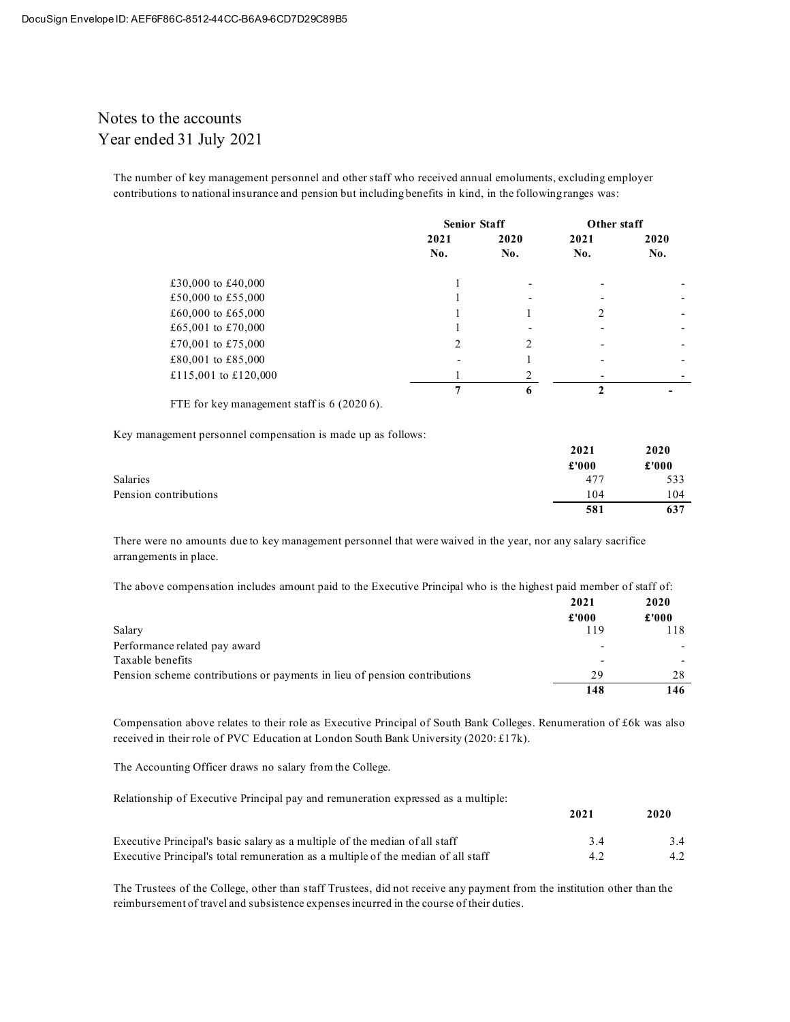The number of key management personnel and other staff who received annual emoluments, excluding employer contributions to national insurance and pension but including benefits in kind, in the following ranges was:

|                      | <b>Senior Staff</b> |      | Other staff    |      |
|----------------------|---------------------|------|----------------|------|
|                      | 2021                | 2020 | 2021           | 2020 |
|                      | No.                 | No.  | No.            | No.  |
| £30,000 to £40,000   |                     |      |                |      |
| £50,000 to £55,000   |                     |      |                |      |
| £60,000 to £65,000   |                     |      | $\mathfrak{D}$ |      |
| £65,001 to £70,000   |                     |      |                |      |
| £70,001 to £75,000   |                     |      |                |      |
| £80,001 to £85,000   |                     |      |                |      |
| £115,001 to £120,000 |                     |      |                |      |
|                      |                     |      |                |      |

FTE for key management staff is 6 (2020 6).

Key management personnel compensation is made up as follows:

|                       | 2021  | 2020  |
|-----------------------|-------|-------|
|                       | £'000 | £'000 |
| Salaries              | 477   | 533   |
| Pension contributions | 104   | 104   |
|                       | 581   | 637   |

There were no amounts due to key management personnel that were waived in the year, nor any salary sacrifice arrangements in place.

The above compensation includes amount paid to the Executive Principal who is the highest paid member of staff of:

|                                                                           | 2021  | 2020  |
|---------------------------------------------------------------------------|-------|-------|
|                                                                           | £'000 | £'000 |
| Salary                                                                    | 119   |       |
| Performance related pay award                                             |       |       |
| Taxable benefits                                                          |       |       |
| Pension scheme contributions or payments in lieu of pension contributions | 29    | 28    |
|                                                                           | 148   | 146   |

Compensation above relates to their role as Executive Principal of South Bank Colleges. Renumeration of £6k was also received in their role of PVC Education at London South Bank University (2020: £17k).

The Accounting Officer draws no salary from the College.

Relationship of Executive Principal pay and remuneration expressed as a multiple:

| recommending of Encountry Franciscop with remainderation expressed as a meaniper- | 2021 | 2020 |
|-----------------------------------------------------------------------------------|------|------|
| Executive Principal's basic salary as a multiple of the median of all staff       | 34   | 34   |
| Executive Principal's total remuneration as a multiple of the median of all staff | 42   | 4.2. |

The Trustees of the College, other than staff Trustees, did not receive any payment from the institution other than the reimbursement of travel and subsistence expensesincurred in the course of their duties.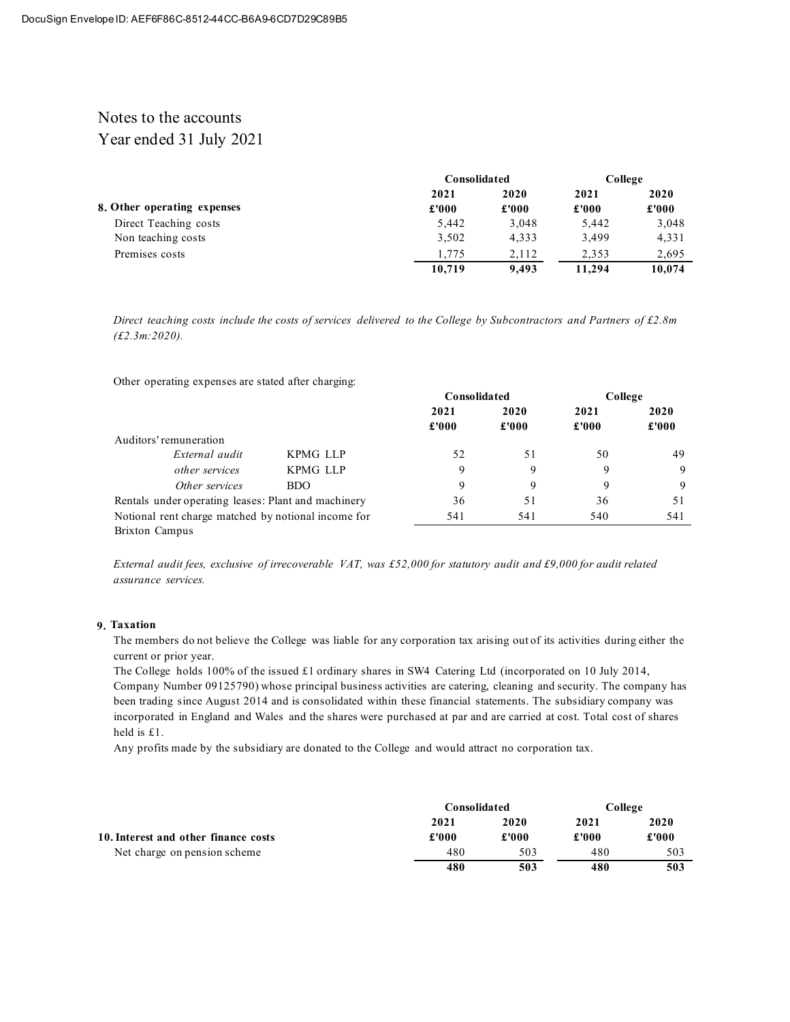|                             |        | Consolidated |        | College |
|-----------------------------|--------|--------------|--------|---------|
|                             | 2021   | 2020         | 2021   | 2020    |
| 8. Other operating expenses | £'000  | £'000        | £'000  | £'000   |
| Direct Teaching costs       | 5.442  | 3.048        | 5,442  | 3,048   |
| Non teaching costs          | 3,502  | 4.333        | 3,499  | 4,331   |
| Premises costs              | 1.775  | 2.112        | 2.353  | 2,695   |
|                             | 10,719 | 9.493        | 11.294 | 10.074  |

Direct teaching costs include the costs of services delivered to the College by Subcontractors and Partners of £2.8m *(£2.3m:2020).*

Other operating expenses are stated after charging:

|                                                     |            | Consolidated |       | College |       |
|-----------------------------------------------------|------------|--------------|-------|---------|-------|
|                                                     |            | 2021         | 2020  | 2021    | 2020  |
|                                                     |            | £'000        | £'000 | £'000   | £'000 |
| Auditors' remuneration                              |            |              |       |         |       |
| External audit                                      | KPMG LLP   | 52           | 51    | 50      | 49    |
| other services                                      | KPMG LLP   | 9            | 9     | 9       | 9     |
| Other services                                      | <b>BDO</b> | 9            | 9     | 9       | 9     |
| Rentals under operating leases: Plant and machinery |            | 36           | 51    | 36      | 51    |
| Notional rent charge matched by notional income for |            | 541          | 541   | 540     | 541   |
| Brixton Campus                                      |            |              |       |         |       |

External audit fees, exclusive of irrecoverable VAT, was £52,000 for statutory audit and £9,000 for audit related *assurance services.*

### **9. Taxation**

The members do not believe the College was liable for any corporation tax arising out of its activities during either the current or prior year.

The College holds 100% of the issued £1 ordinary shares in SW4 Catering Ltd (incorporated on 10 July 2014, Company Number 09125790) whose principal business activities are catering, cleaning and security. The company has been trading since August 2014 and is consolidated within these financial statements. The subsidiary company was incorporated in England and Wales and the shares were purchased at par and are carried at cost. Total cost of shares held is £1.

Any profits made by the subsidiary are donated to the College and would attract no corporation tax.

|                                      | Consolidated |       | College |       |
|--------------------------------------|--------------|-------|---------|-------|
|                                      | 2021         | 2020  | 2021    | 2020  |
| 10. Interest and other finance costs | £'000        | £'000 | £'000   | £'000 |
| Net charge on pension scheme         | 480          | 503   | 480     | 503   |
|                                      | 480          | 503   | 480     | 503   |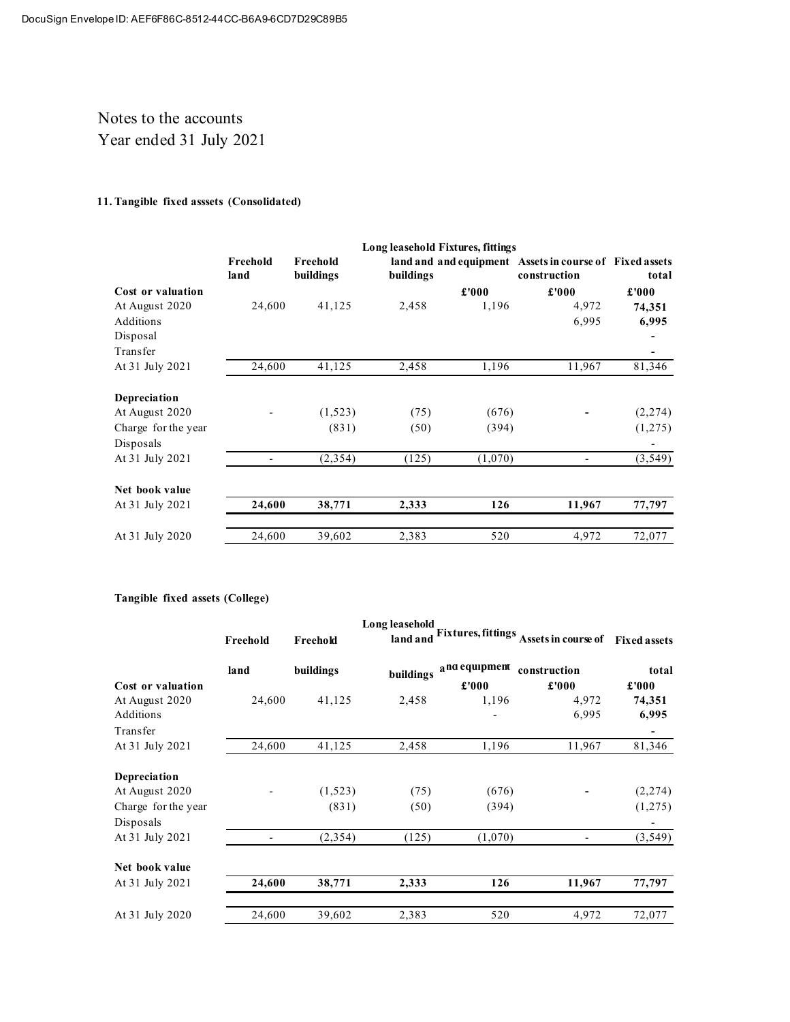# **11. Tangible fixed asssets (Consolidated)**

|                     |                          | Long leasehold Fixtures, fittings |           |         |                                                                         |          |  |  |
|---------------------|--------------------------|-----------------------------------|-----------|---------|-------------------------------------------------------------------------|----------|--|--|
|                     | Freehold<br>land         | Freehold<br>buildings             | buildings |         | land and and equipment Assets in course of Fixed assets<br>construction | total    |  |  |
| Cost or valuation   |                          |                                   |           | £'000   | £'000                                                                   | £'000    |  |  |
| At August 2020      | 24,600                   | 41,125                            | 2,458     | 1,196   | 4,972                                                                   | 74,351   |  |  |
| <b>Additions</b>    |                          |                                   |           |         | 6,995                                                                   | 6,995    |  |  |
| Disposal            |                          |                                   |           |         |                                                                         |          |  |  |
| Transfer            |                          |                                   |           |         |                                                                         |          |  |  |
| At 31 July 2021     | 24,600                   | 41,125                            | 2,458     | 1,196   | 11,967                                                                  | 81,346   |  |  |
| Depreciation        |                          |                                   |           |         |                                                                         |          |  |  |
| At August 2020      |                          | (1,523)                           | (75)      | (676)   |                                                                         | (2,274)  |  |  |
| Charge for the year |                          | (831)                             | (50)      | (394)   |                                                                         | (1,275)  |  |  |
| Disposals           |                          |                                   |           |         |                                                                         |          |  |  |
| At 31 July 2021     | $\overline{\phantom{a}}$ | (2, 354)                          | (125)     | (1,070) |                                                                         | (3, 549) |  |  |
| Net book value      |                          |                                   |           |         |                                                                         |          |  |  |
| At 31 July 2021     | 24,600                   | 38,771                            | 2,333     | 126     | 11,967                                                                  | 77,797   |  |  |
| At 31 July 2020     | 24,600                   | 39,602                            | 2,383     | 520     | 4,972                                                                   | 72,077   |  |  |

## **Tangible fixed assets (College)**

|                                     | Freehold | Freehold  | Long leasehold<br>land and |                | Fixtures, fittings Assets in course of | <b>Fixed assets</b> |
|-------------------------------------|----------|-----------|----------------------------|----------------|----------------------------------------|---------------------|
|                                     | land     | buildings | buildings                  | and equipment  | construction                           | total               |
| Cost or valuation<br>At August 2020 | 24,600   | 41,125    | 2,458                      | £'000<br>1,196 | £'000<br>4,972                         | £'000<br>74,351     |
| Additions                           |          |           |                            |                | 6,995                                  | 6,995               |
| Transfer                            |          |           |                            |                |                                        |                     |
| At 31 July 2021                     | 24,600   | 41,125    | 2,458                      | 1,196          | 11,967                                 | 81,346              |
| Depreciation                        |          |           |                            |                |                                        |                     |
| At August 2020                      |          | (1,523)   | (75)                       | (676)          |                                        | (2,274)             |
| Charge for the year                 |          | (831)     | (50)                       | (394)          |                                        | (1,275)             |
| Disposals                           |          |           |                            |                |                                        |                     |
| At 31 July 2021                     |          | (2,354)   | (125)                      | (1,070)        |                                        | (3, 549)            |
| Net book value                      |          |           |                            |                |                                        |                     |
| At 31 July 2021                     | 24,600   | 38,771    | 2,333                      | 126            | 11,967                                 | 77,797              |
| At 31 July 2020                     | 24,600   | 39,602    | 2,383                      | 520            | 4,972                                  | 72,077              |
|                                     |          |           |                            |                |                                        |                     |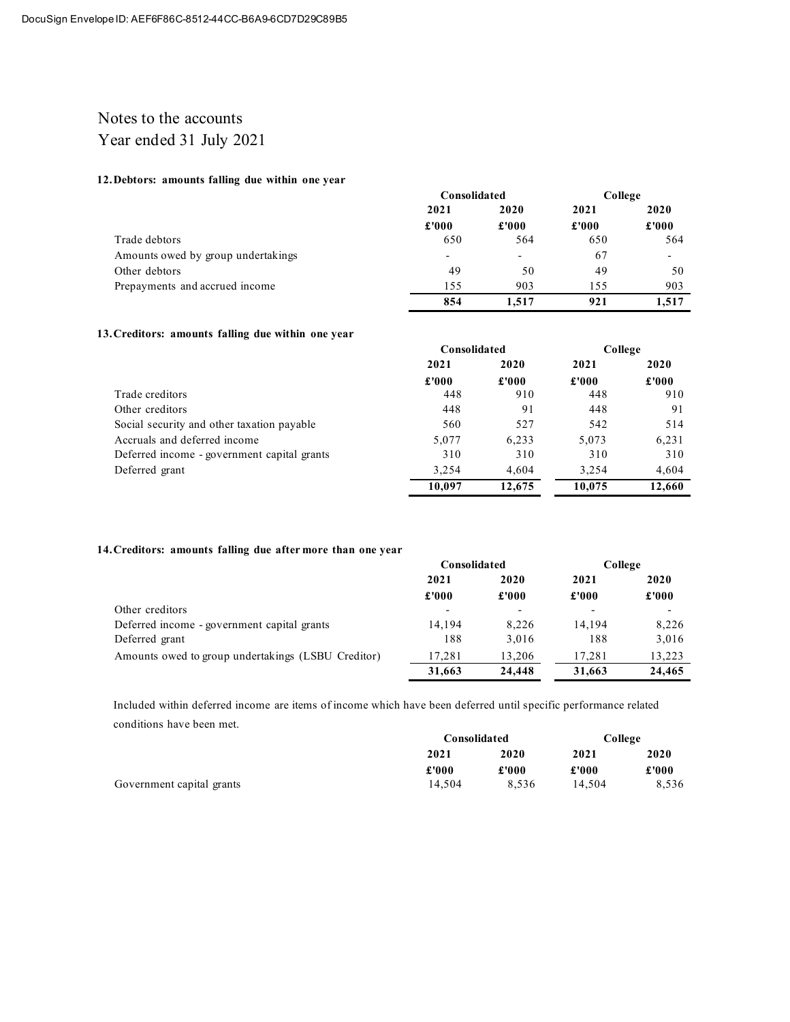#### **12.Debtors: amounts falling due within one year**

|                                    | Consolidated             |       | College |                          |      |
|------------------------------------|--------------------------|-------|---------|--------------------------|------|
|                                    | 2021                     | 2020  | 2021    |                          | 2020 |
|                                    | £'000                    | £'000 | £'000   | £'000                    |      |
| Trade debtors                      | 650                      | 564   | 650     | 564                      |      |
| Amounts owed by group undertakings | $\overline{\phantom{a}}$ |       | 67      | $\overline{\phantom{0}}$ |      |
| Other debtors                      | 49                       | 50    | 49      | 50                       |      |
| Prepayments and accrued income     | 155                      | 903   | 155     | 903                      |      |
|                                    | 854                      | 1.517 | 921     | 1.517                    |      |

### **13.Creditors: amounts falling due within one year**

|                                             | Consolidated |        | College |        |
|---------------------------------------------|--------------|--------|---------|--------|
|                                             | 2021         | 2020   | 2021    | 2020   |
|                                             | £'000        | £'000  | £'000   | £'000  |
| Trade creditors                             | 448          | 910    | 448     | 910    |
| Other creditors                             | 448          | 91     | 448     | 91     |
| Social security and other taxation payable  | 560          | 527    | 542     | 514    |
| Accruals and deferred income                | 5,077        | 6,233  | 5,073   | 6,231  |
| Deferred income - government capital grants | 310          | 310    | 310     | 310    |
| Deferred grant                              | 3.254        | 4.604  | 3.254   | 4,604  |
|                                             | 10.097       | 12.675 | 10.075  | 12.660 |

### **14.Creditors: amounts falling due after more than one year**

|                                                    | Consolidated             |        | College                  |        |
|----------------------------------------------------|--------------------------|--------|--------------------------|--------|
|                                                    | 2021                     | 2020   | 2021                     | 2020   |
|                                                    | £'000                    | £'000  | £'000                    | £'000  |
| Other creditors                                    | $\overline{\phantom{0}}$ |        | $\overline{\phantom{0}}$ |        |
| Deferred income - government capital grants        | 14.194                   | 8.226  | 14.194                   | 8,226  |
| Deferred grant                                     | 188                      | 3.016  | 188                      | 3,016  |
| Amounts owed to group undertakings (LSBU Creditor) | 17.281                   | 13,206 | 17.281                   | 13,223 |
|                                                    | 31,663                   | 24,448 | 31,663                   | 24,465 |

Included within deferred income are items of income which have been deferred until specific performance related conditions have been met.

|                           |        | Consolidated |        | College |  |
|---------------------------|--------|--------------|--------|---------|--|
|                           | 2021   | 2020         | 2021   | 2020    |  |
|                           | £'000  | £'000        | £'000  | £'000   |  |
| Government capital grants | 14.504 | 8.536        | 14.504 | 8,536   |  |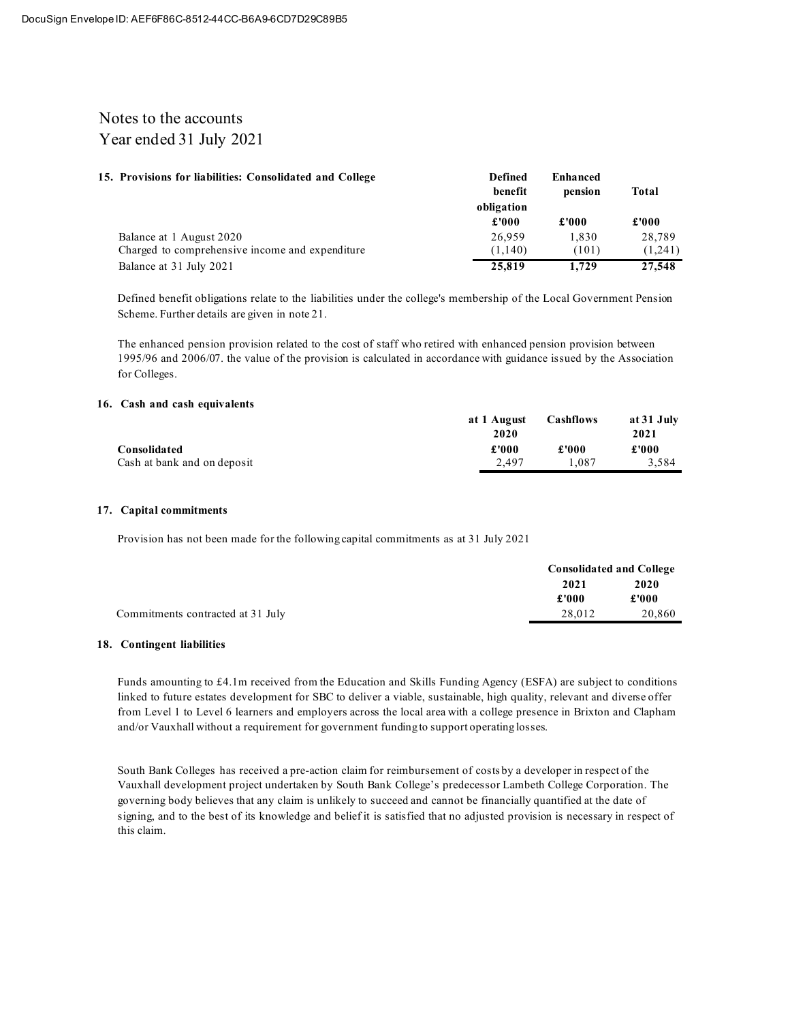| 15. Provisions for liabilities: Consolidated and College | Defined<br>benefit<br>obligation | <b>Enhanced</b><br>pension | Total   |
|----------------------------------------------------------|----------------------------------|----------------------------|---------|
|                                                          | £'000                            | £'000                      | £'000   |
| Balance at 1 August 2020                                 | 26.959                           | 1,830                      | 28,789  |
| Charged to comprehensive income and expenditure          | (1.140)                          | (101)                      | (1,241) |
| Balance at 31 July 2021                                  | 25,819                           | 1.729                      | 27,548  |

Defined benefit obligations relate to the liabilities under the college's membership of the Local Government Pension Scheme. Further details are given in note 21.

The enhanced pension provision related to the cost of staff who retired with enhanced pension provision between 1995/96 and 2006/07. the value of the provision is calculated in accordance with guidance issued by the Association for Colleges.

### **16. Cash and cash equivalents**

|                             | at 1 August | <b>Cashflows</b> | at 31 July |
|-----------------------------|-------------|------------------|------------|
|                             | 2020        |                  | 2021       |
| Consolidated                | £'000       | £'000            | £'000      |
| Cash at bank and on deposit | 2.497       | 0.087            | 3.584      |

#### **17. Capital commitments**

Provision has not been made for the following capital commitments as at 31 July 2021

|                                   |        | <b>Consolidated and College</b> |
|-----------------------------------|--------|---------------------------------|
|                                   | 2021   | 2020                            |
|                                   | £'000  | £'000                           |
| Commitments contracted at 31 July | 28,012 | 20,860                          |

### **18. Contingent liabilities**

Funds amounting to £4.1m received from the Education and Skills Funding Agency (ESFA) are subject to conditions linked to future estates development for SBC to deliver a viable, sustainable, high quality, relevant and diverse offer from Level 1 to Level 6 learners and employers across the local area with a college presence in Brixton and Clapham and/or Vauxhall without a requirement for government funding to support operating losses.

South Bank Colleges has received a pre-action claim for reimbursement of costs by a developer in respect of the Vauxhall development project undertaken by South Bank College's predecessor Lambeth College Corporation. The governing body believes that any claim is unlikely to succeed and cannot be financially quantified at the date of signing, and to the best of its knowledge and belief it is satisfied that no adjusted provision is necessary in respect of this claim.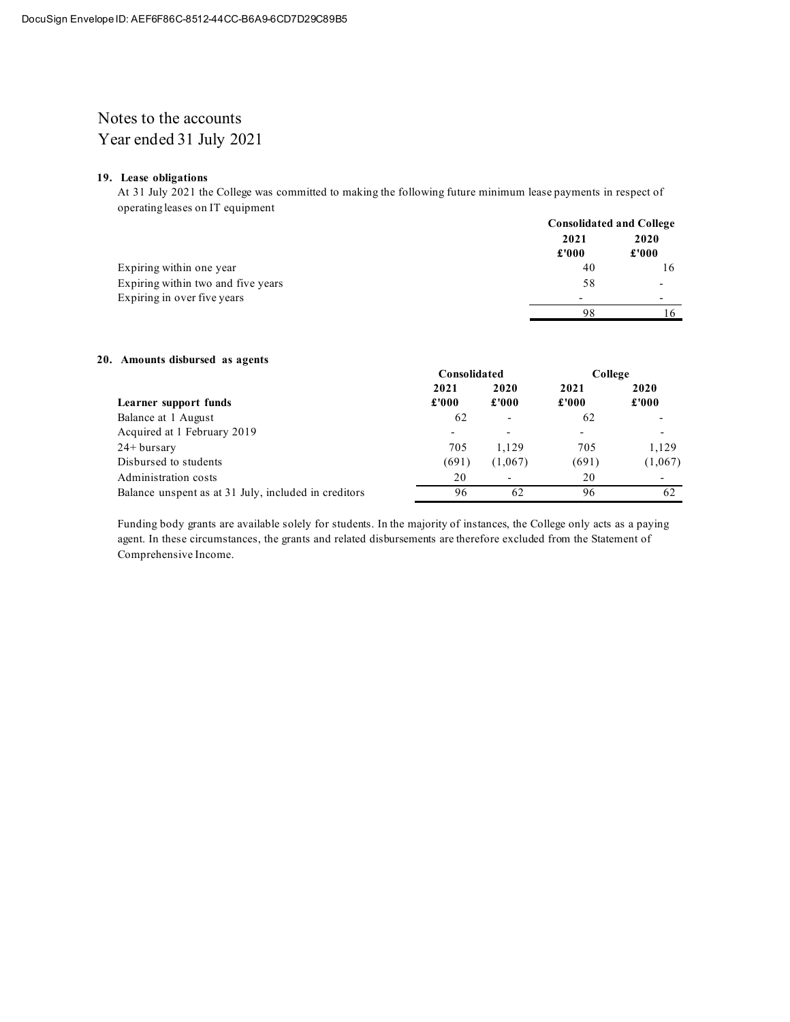### **19. Lease obligations**

At 31 July 2021 the College was committed to making the following future minimum lease payments in respect of operating leases on IT equipment

|                                    |               | <b>Consolidated and College</b> |
|------------------------------------|---------------|---------------------------------|
|                                    | 2021<br>£'000 | 2020<br>£'000                   |
| Expiring within one year           | 40            | 16                              |
| Expiring within two and five years | 58            |                                 |
| Expiring in over five years        |               |                                 |
|                                    | 98            |                                 |

### **20. Amounts disbursed as agents**

|                                                      | Consolidated             |         | College                  |         |
|------------------------------------------------------|--------------------------|---------|--------------------------|---------|
|                                                      | 2021                     | 2020    | 2021                     | 2020    |
| Learner support funds                                | £'000                    | £'000   | £'000                    | £'000   |
| Balance at 1 August                                  | 62                       | -       | 62                       |         |
| Acquired at 1 February 2019                          | $\overline{\phantom{0}}$ |         | $\overline{\phantom{0}}$ |         |
| $24+$ bursary                                        | 705                      | 1.129   | 705                      | 1,129   |
| Disbursed to students                                | (691)                    | (1,067) | (691)                    | (1,067) |
| Administration costs                                 | 20                       |         | 20                       |         |
| Balance unspent as at 31 July, included in creditors | 96                       | 62      | 96                       | 62      |

Funding body grants are available solely for students. In the majority of instances, the College only acts as a paying agent. In these circumstances, the grants and related disbursements are therefore excluded from the Statement of Comprehensive Income.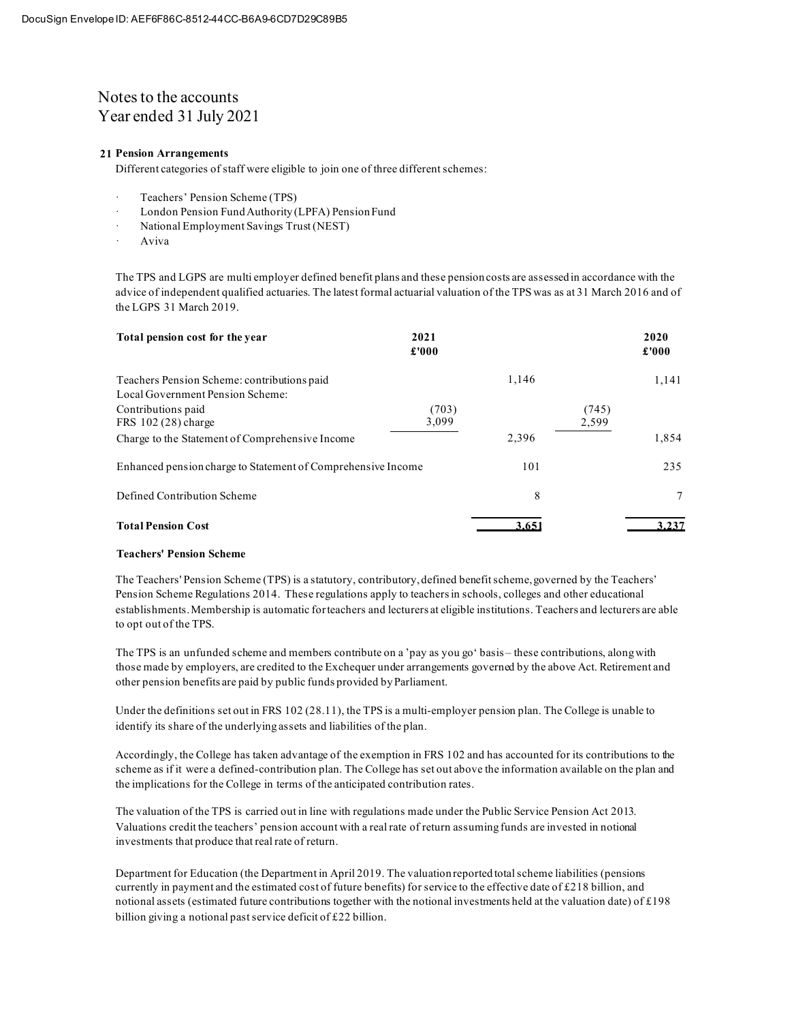### **21 Pension Arrangements**

Different categories of staff were eligible to join one of three different schemes:

- Teachers' Pension Scheme (TPS)
- · London Pension FundAuthority (LPFA) PensionFund
- · National Employment Savings Trust (NEST)
- · Aviva

The TPS and LGPS are multi employer defined benefit plans and these pension costs are assessed in accordance with the advice of independent qualified actuaries. The latest formal actuarial valuation of the TPS was as at 31 March 2016 and of the LGPS 31 March 2019.

| Total pension cost for the year                              | 2021<br>£'000 |       |       | 2020<br>£'000 |
|--------------------------------------------------------------|---------------|-------|-------|---------------|
| Teachers Pension Scheme: contributions paid                  |               | 1.146 |       | 1,141         |
| Local Government Pension Scheme:                             |               |       |       |               |
| Contributions paid                                           | (703)         |       | (745) |               |
| FRS 102 (28) charge                                          | 3,099         |       | 2,599 |               |
| Charge to the Statement of Comprehensive Income              |               | 2,396 |       | 1,854         |
| Enhanced pension charge to Statement of Comprehensive Income |               | 101   |       | 235           |
| Defined Contribution Scheme                                  |               | 8     |       | 7             |
| <b>Total Pension Cost</b>                                    |               | 3.651 |       | 3.237         |

### **Teachers' Pension Scheme**

The Teachers' Pension Scheme (TPS) is a statutory, contributory, defined benefit scheme, governed by the Teachers' Pension Scheme Regulations 2014. These regulations apply to teachers in schools, colleges and other educational establishments.Membership is automatic for teachers and lecturers at eligible institutions. Teachers and lecturers are able to opt out of the TPS.

The TPS is an unfunded scheme and members contribute on a 'pay as you go' basis – these contributions, along with those made by employers, are credited to the Exchequer under arrangements governed by the above Act. Retirement and other pension benefits are paid by public funds provided byParliament.

Under the definitions set out in FRS 102 (28.11), the TPS is a multi-employer pension plan. The College is unable to identify its share of the underlying assets and liabilities of the plan.

Accordingly, the College has taken advantage of the exemption in FRS 102 and has accounted for its contributions to the scheme as if it were a defined-contribution plan. The College has set out above the information available on the plan and the implications for the College in terms of the anticipated contribution rates.

The valuation of the TPS is carried out in line with regulations made under the Public Service Pension Act 2013. Valuations credit the teachers' pension account with a real rate of return assuming funds are invested in notional investments that produce that real rate of return.

Department for Education (the Department in April 2019. The valuation reported total scheme liabilities (pensions currently in payment and the estimated cost of future benefits) for service to the effective date of £218 billion, and notional assets (estimated future contributions together with the notional investments held at the valuation date) of £198 billion giving a notional pastservice deficit of £22 billion.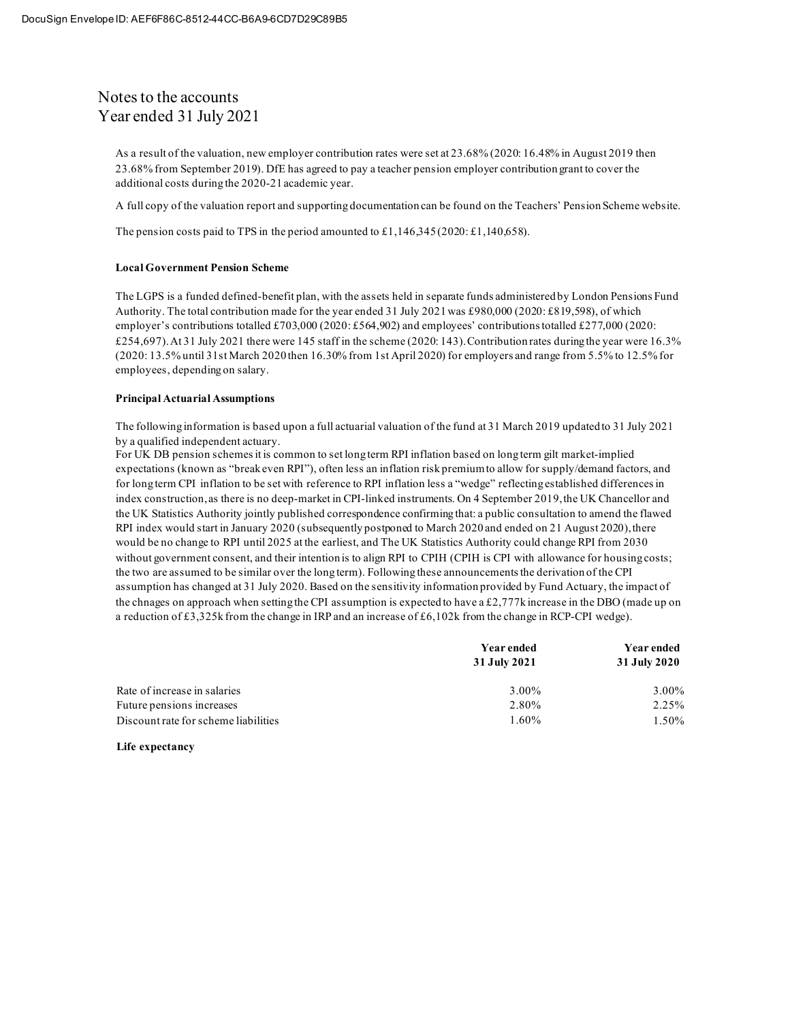As a result of the valuation, new employer contribution rates were set at 23.68% (2020: 16.48% in August 2019 then 23.68% from September 2019). DfE has agreed to pay a teacher pension employer contribution grant to cover the additional costs during the 2020-21 academic year.

A full copy of the valuation report and supporting documentation can be found on the Teachers' Pension Scheme website.

The pension costs paid to TPS in the period amounted to  $\pounds1,146,345$  (2020:  $\pounds1,140,658$ ).

### **Local Government Pension Scheme**

The LGPS is a funded defined-benefit plan, with the assets held in separate funds administered by London Pensions Fund Authority. The total contribution made for the year ended 31 July 2021 was £980,000 (2020: £819,598), of which employer's contributions totalled £703,000 (2020: £564,902) and employees' contributions totalled £277,000 (2020: £254,697). At 31 July 2021 there were 145 staff in the scheme (2020: 143). Contribution rates during the year were 16.3% (2020: 13.5% until 31st March 2020 then 16.30% from 1st April 2020) for employers and range from 5.5% to 12.5% for employees, depending on salary.

### **Principal Actuarial Assumptions**

The following information is based upon a full actuarial valuation of the fund at 31 March 2019 updated to 31 July 2021 by a qualified independent actuary.

For UK DB pension schemesit is common to set long term RPI inflation based on long term gilt market-implied expectations (known as "break even RPI"), often less an inflation risk premiumto allow for supply/demand factors, and for long term CPI inflation to be set with reference to RPI inflation less a "wedge" reflecting established differences in index construction, as there is no deep-market in CPI-linked instruments. On 4 September 2019, the UK Chancellor and the UK Statistics Authority jointly published correspondence confirming that: a public consultation to amend the flawed RPI index would start in January 2020 (subsequently postponed to March 2020 and ended on 21 August 2020), there would be no change to RPI until 2025 at the earliest, and The UK Statistics Authority could change RPI from 2030 without government consent, and their intention is to align RPI to CPIH (CPIH is CPI with allowance for housing costs; the two are assumed to be similar over the long term). Following these announcements the derivation of the CPI assumption has changed at 31 July 2020. Based on the sensitivity information provided by Fund Actuary, the impact of the chnages on approach when setting the CPI assumption is expected to have a  $\text{\pounds}2,777\text{k}$  increase in the DBO (made up on a reduction of £3,325k from the change in IRP and an increase of £6,102k from the change in RCP-CPI wedge).

|                                      | <b>Year ended</b> | <b>Year ended</b> |  |
|--------------------------------------|-------------------|-------------------|--|
|                                      | 31 July 2021      | 31 July 2020      |  |
| Rate of increase in salaries         | 3.00%             | 3.00%             |  |
| Future pensions increases            | 2.80%             | 2.25%             |  |
| Discount rate for scheme liabilities | $1.60\%$          | 1.50%             |  |

#### **Life expectancy**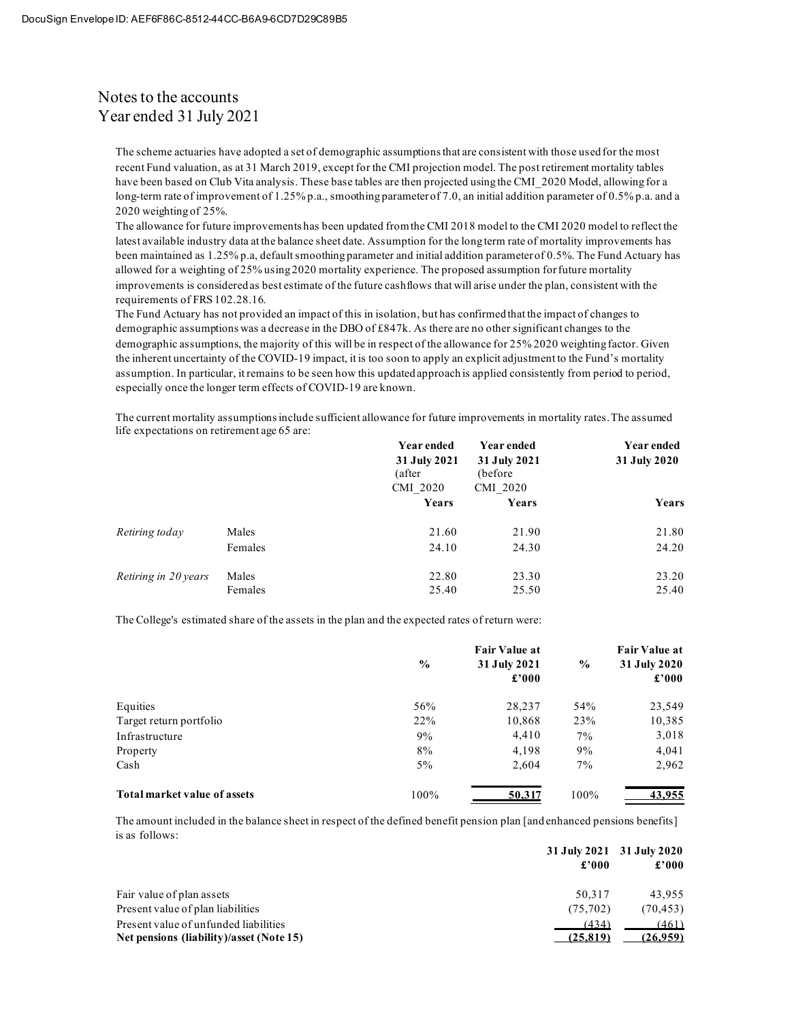The scheme actuaries have adopted a set of demographic assumptions that are consistent with those used for the most recent Fund valuation, as at 31 March 2019, except for the CMI projection model. The post retirement mortality tables have been based on Club Vita analysis. These base tables are then projected using the CMI\_2020 Model, allowing for a long-term rate of improvement of 1.25% p.a., smoothing parameter of 7.0, an initial addition parameter of 0.5% p.a. and a 2020 weighting of 25%.

The allowance for future improvements has been updated from the CMI 2018 model to the CMI 2020 model to reflect the latest available industry data at the balance sheet date. Assumption for the long term rate of mortality improvements has been maintained as 1.25% p.a, default smoothing parameter and initial addition parameter of 0.5%. The Fund Actuary has allowed for a weighting of 25% using 2020 mortality experience. The proposed assumption for future mortality improvements is considered as best estimate of the future cashflows that will arise under the plan, consistent with the requirements of FRS 102.28.16.

The Fund Actuary has not provided an impact of this in isolation, but has confirmed that the impact of changes to demographic assumptions was a decrease in the DBO of £847k. As there are no other significant changes to the demographic assumptions, the majority of this will be in respect of the allowance for 25% 2020 weighting factor. Given the inherent uncertainty of the COVID-19 impact, it is too soon to apply an explicit adjustment to the Fund's mortality assumption. In particular, it remains to be seen how this updated approach is applied consistently from period to period, especially once the longer term effects of COVID-19 are known.

The current mortality assumptions include sufficient allowance for future improvements in mortality rates.The assumed life expectations on retirement age 65 are:

|                  | <b>Year ended</b><br>31 July 2021<br>(after<br>CMI 2020 | <b>Year ended</b><br>31 July 2021<br>(before)<br>CMI 2020 | <b>Year ended</b><br>31 July 2020 |
|------------------|---------------------------------------------------------|-----------------------------------------------------------|-----------------------------------|
|                  | Years                                                   | Years                                                     | Years                             |
| Males            | 21.60                                                   | 21.90                                                     | 21.80                             |
| Females          | 24.10                                                   | 24.30                                                     | 24.20                             |
| Males<br>Females | 22.80<br>25.40                                          | 23.30<br>25.50                                            | 23.20<br>25.40                    |
|                  |                                                         |                                                           |                                   |

The College's estimated share of the assets in the plan and the expected rates of return were:

|                              | $\frac{0}{0}$ | <b>Fair Value at</b><br>31 July 2021<br>£'000 | $\frac{6}{9}$ | <b>Fair Value at</b><br>31 July 2020<br>$\pounds$ '000 |
|------------------------------|---------------|-----------------------------------------------|---------------|--------------------------------------------------------|
| Equities                     | 56%           | 28,237                                        | 54%           | 23,549                                                 |
| Target return portfolio      | 22%           | 10,868                                        | 23%           | 10,385                                                 |
| Infrastructure               | 9%            | 4,410                                         | $7\%$         | 3,018                                                  |
| Property                     | 8%            | 4,198                                         | 9%            | 4,041                                                  |
| Cash                         | $5\%$         | 2,604                                         | $7\%$         | 2,962                                                  |
| Total market value of assets | 100%          | 50,317                                        | 100%          | 43,955                                                 |

The amount included in the balance sheet in respect of the defined benefit pension plan [and enhanced pensions benefits] is as follows:

|                                          | 31 July 2021 31 July 2020 |                 |
|------------------------------------------|---------------------------|-----------------|
|                                          | £'000                     | £'000           |
| Fair value of plan assets                | 50.317                    | 43.955          |
| Present value of plan liabilities        | (75,702)                  | (70, 453)       |
| Present value of unfunded liabilities    | (434)                     | <u>(461)</u>    |
| Net pensions (liability)/asset (Note 15) | (25.819)                  | <u>(26.959)</u> |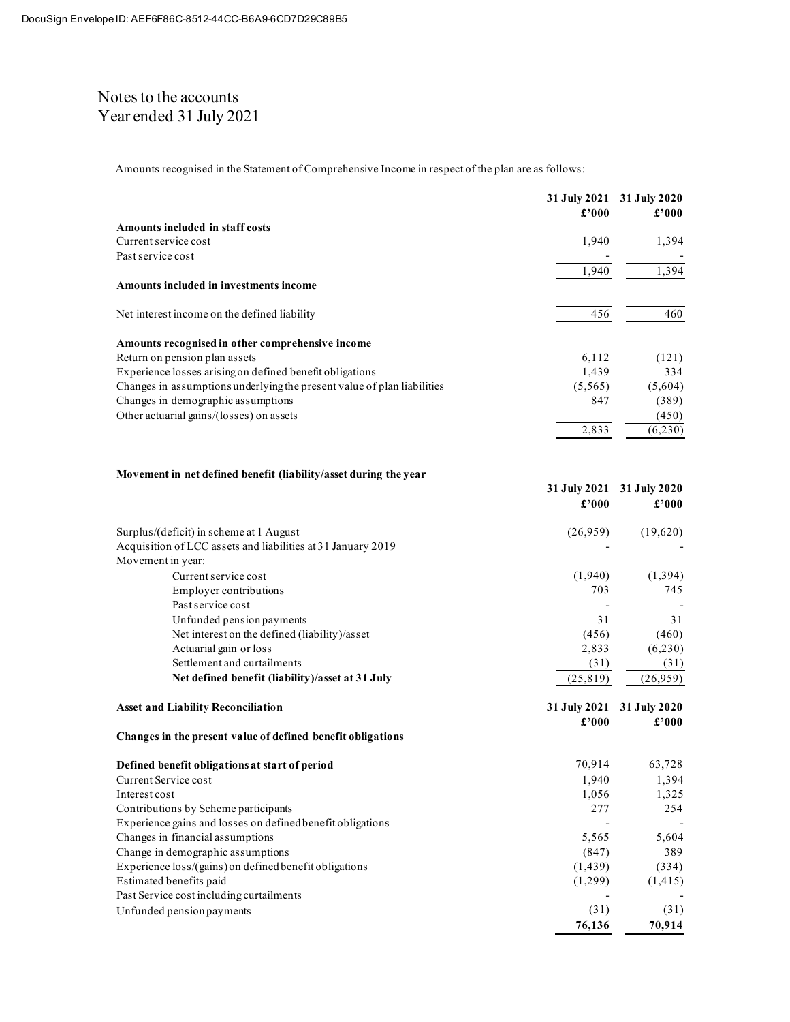Amounts recognised in the Statement of Comprehensive Income in respect of the plan are as follows:

|                                                                         | 31 July 2021<br>£2000 | 31 July 2020<br>$\pounds$ '000 |
|-------------------------------------------------------------------------|-----------------------|--------------------------------|
| Amounts included in staff costs                                         |                       |                                |
| Current service cost                                                    | 1.940                 | 1.394                          |
| Past service cost                                                       |                       |                                |
|                                                                         | 1,940                 | 1,394                          |
| Amounts included in investments income                                  |                       |                                |
| Net interest income on the defined liability                            | 456                   | 460                            |
| Amounts recognised in other comprehensive income                        |                       |                                |
| Return on pension plan assets                                           | 6,112                 | (121)                          |
| Experience losses arising on defined benefit obligations                | 1,439                 | 334                            |
| Changes in assumptions underlying the present value of plan liabilities | (5,565)               | (5,604)                        |
| Changes in demographic assumptions                                      | 847                   | (389)                          |
| Other actuarial gains/(losses) on assets                                |                       | (450)                          |
|                                                                         | 2,833                 | (6,230)                        |

**31 July 2021 31 July 2020**

## **Movement in net defined benefit (liability/asset during the year**

|                                                              | £'000        | £'000                        |
|--------------------------------------------------------------|--------------|------------------------------|
| Surplus/(deficit) in scheme at 1 August                      | (26,959)     | (19,620)                     |
| Acquisition of LCC assets and liabilities at 31 January 2019 |              |                              |
| Movement in year:                                            |              |                              |
| Current service cost                                         | (1,940)      | (1, 394)                     |
| Employer contributions                                       | 703          | 745                          |
| Past service cost                                            |              |                              |
| Unfunded pension payments                                    | 31           | 31                           |
| Net interest on the defined (liability)/asset                | (456)        | (460)                        |
| Actuarial gain or loss                                       | 2,833        | (6,230)                      |
| Settlement and curtailments                                  | (31)         | (31)                         |
| Net defined benefit (liability)/asset at 31 July             | (25, 819)    | (26,959)                     |
| <b>Asset and Liability Reconciliation</b>                    | 31 July 2021 | 31 July 2020                 |
| Changes in the present value of defined benefit obligations  | £'000        | $\pmb{\pounds}^{\bullet}000$ |
|                                                              |              |                              |
| Defined benefit obligations at start of period               | 70,914       | 63,728                       |
| Current Service cost                                         | 1,940        | 1,394                        |
| Interest cost                                                | 1,056        | 1,325                        |
| Contributions by Scheme participants                         | 277          | 254                          |
| Experience gains and losses on defined benefit obligations   |              |                              |
| Changes in financial assumptions                             | 5,565        | 5,604                        |
| Change in demographic assumptions                            | (847)        | 389                          |
| Experience loss/(gains) on defined benefit obligations       | (1, 439)     | (334)                        |
| Estimated benefits paid                                      | (1,299)      | (1, 415)                     |
| Past Service cost including curtailments                     |              |                              |
| Unfunded pension payments                                    | (31)         | (31)                         |
|                                                              | 76,136       | 70.914                       |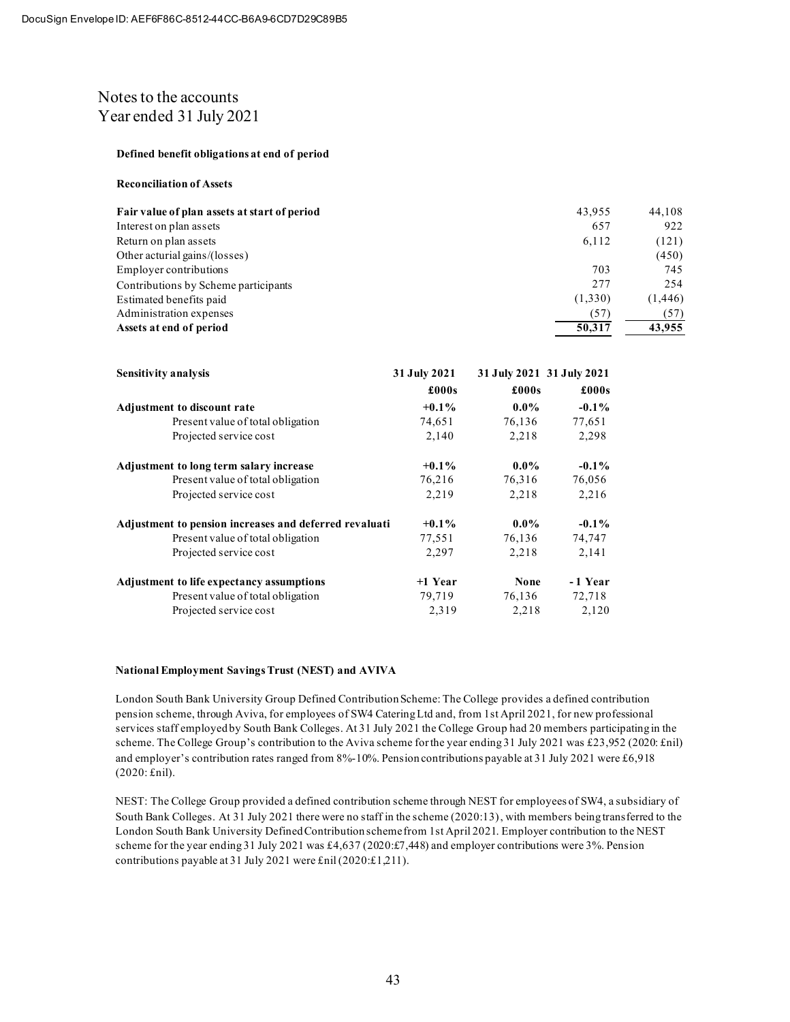### **Defined benefit obligations at end of period**

### **Reconciliation of Assets**

| Fair value of plan assets at start of period | 43,955  | 44,108  |
|----------------------------------------------|---------|---------|
| Interest on plan assets                      | 657     | 922     |
| Return on plan assets                        | 6,112   | (121)   |
| Other acturial gains/(losses)                |         | (450)   |
| Employer contributions                       | 703     | 745     |
| Contributions by Scheme participants         | 277     | 254     |
| Estimated benefits paid                      | (1,330) | (1,446) |
| Administration expenses                      | (57)    | (57)    |
| Assets at end of period                      | 50,317  | 43,955  |

| <b>Sensitivity analysis</b>                            | 31 July 2021 | 31 July 2021 31 July 2021 |          |
|--------------------------------------------------------|--------------|---------------------------|----------|
|                                                        | £000s        | £000s                     | £000s    |
| Adjustment to discount rate                            | $+0.1\%$     | $0.0\%$                   | $-0.1\%$ |
| Present value of total obligation                      | 74,651       | 76,136                    | 77,651   |
| Projected service cost                                 | 2,140        | 2,218                     | 2,298    |
| Adjustment to long term salary increase                | $+0.1\%$     | $0.0\%$                   | $-0.1\%$ |
| Present value of total obligation                      | 76,216       | 76,316                    | 76,056   |
| Projected service cost                                 | 2,219        | 2,218                     | 2,216    |
| Adjustment to pension increases and deferred revaluati | $+0.1\%$     | $0.0\%$                   | $-0.1\%$ |
| Present value of total obligation                      | 77,551       | 76,136                    | 74,747   |
| Projected service cost                                 | 2,297        | 2,218                     | 2,141    |
| Adjustment to life expectancy assumptions              | +1 Year      | <b>None</b>               | -1 Year  |
| Present value of total obligation                      | 79,719       | 76,136                    | 72,718   |
| Projected service cost                                 | 2,319        | 2,218                     | 2,120    |

#### **National Employment SavingsTrust (NEST) and AVIVA**

London South Bank University Group Defined Contribution Scheme: The College provides a defined contribution pension scheme, through Aviva, for employees of SW4 CateringLtd and, from 1st April 2021, for new professional services staff employed by South Bank Colleges. At 31 July 2021 the College Group had 20 members participating in the scheme. The College Group's contribution to the Aviva scheme for the year ending 31 July 2021 was £23,952 (2020: £nil) and employer's contribution rates ranged from 8%-10%. Pension contributions payable at 31 July 2021 were £6,918 (2020: £nil).

NEST: The College Group provided a defined contribution scheme through NEST for employees of SW4, a subsidiary of South Bank Colleges. At 31 July 2021 there were no staff in the scheme (2020:13) , with members being transferred to the London South Bank University Defined Contribution scheme from 1st April 2021. Employer contribution to the NEST scheme for the year ending 31 July 2021 was £4,637 (2020:£7,448) and employer contributions were 3%. Pension contributions payable at 31 July 2021 were £nil (2020:£1,211).